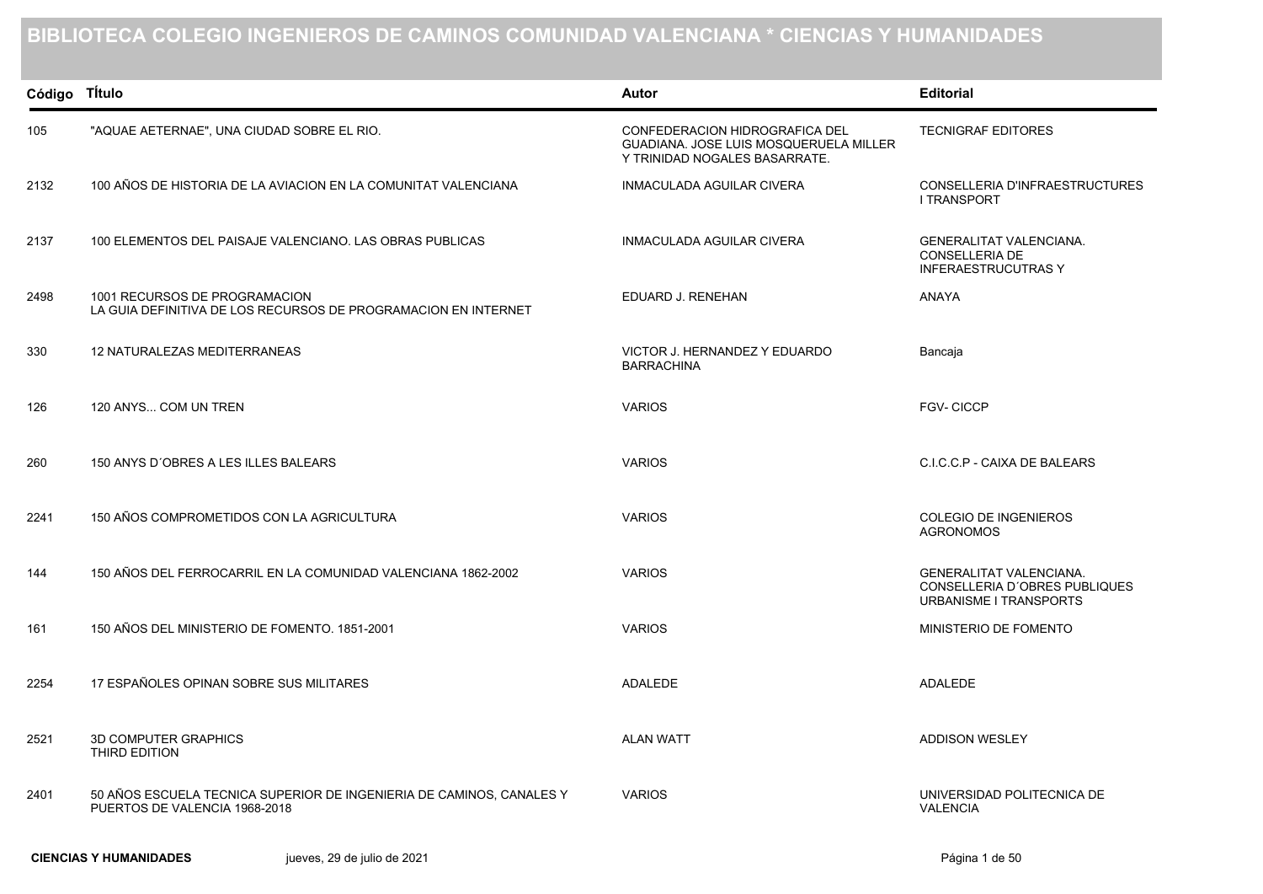## **BIBLIOTECA COLEGIO INGENIEROS DE CAMINOS COMUNIDAD VALENCIANA \* CIENCIAS Y HUMANIDADES**

| Código Título |                                                                                                       | Autor                                                                                                     | <b>Editorial</b>                                                                          |
|---------------|-------------------------------------------------------------------------------------------------------|-----------------------------------------------------------------------------------------------------------|-------------------------------------------------------------------------------------------|
| 105           | "AQUAE AETERNAE", UNA CIUDAD SOBRE EL RIO.                                                            | CONFEDERACION HIDROGRAFICA DEL<br>GUADIANA. JOSE LUIS MOSQUERUELA MILLER<br>Y TRINIDAD NOGALES BASARRATE. | <b>TECNIGRAF EDITORES</b>                                                                 |
| 2132          | 100 AÑOS DE HISTORIA DE LA AVIACION EN LA COMUNITAT VALENCIANA                                        | <b>INMACULADA AGUILAR CIVERA</b>                                                                          | CONSELLERIA D'INFRAESTRUCTURES<br><b>I TRANSPORT</b>                                      |
| 2137          | 100 ELEMENTOS DEL PAISAJE VALENCIANO. LAS OBRAS PUBLICAS                                              | <b>INMACULADA AGUILAR CIVERA</b>                                                                          | GENERALITAT VALENCIANA.<br><b>CONSELLERIA DE</b><br><b>INFERAESTRUCUTRAS Y</b>            |
| 2498          | 1001 RECURSOS DE PROGRAMACION<br>LA GUIA DEFINITIVA DE LOS RECURSOS DE PROGRAMACION EN INTERNET       | EDUARD J. RENEHAN                                                                                         | <b>ANAYA</b>                                                                              |
| 330           | <b>12 NATURALEZAS MEDITERRANEAS</b>                                                                   | VICTOR J. HERNANDEZ Y EDUARDO<br><b>BARRACHINA</b>                                                        | Bancaja                                                                                   |
| 126           | 120 ANYS COM UN TREN                                                                                  | <b>VARIOS</b>                                                                                             | <b>FGV-CICCP</b>                                                                          |
| 260           | 150 ANYS D'OBRES A LES ILLES BALEARS                                                                  | <b>VARIOS</b>                                                                                             | C.I.C.C.P - CAIXA DE BALEARS                                                              |
| 2241          | 150 AÑOS COMPROMETIDOS CON LA AGRICULTURA                                                             | <b>VARIOS</b>                                                                                             | <b>COLEGIO DE INGENIEROS</b><br><b>AGRONOMOS</b>                                          |
| 144           | 150 AÑOS DEL FERROCARRIL EN LA COMUNIDAD VALENCIANA 1862-2002                                         | <b>VARIOS</b>                                                                                             | <b>GENERALITAT VALENCIANA.</b><br>CONSELLERIA D'OBRES PUBLIQUES<br>URBANISME I TRANSPORTS |
| 161           | 150 AÑOS DEL MINISTERIO DE FOMENTO. 1851-2001                                                         | <b>VARIOS</b>                                                                                             | MINISTERIO DE FOMENTO                                                                     |
| 2254          | 17 ESPAÑOLES OPINAN SOBRE SUS MILITARES                                                               | <b>ADALEDE</b>                                                                                            | <b>ADALEDE</b>                                                                            |
| 2521          | <b>3D COMPUTER GRAPHICS</b><br>THIRD EDITION                                                          | <b>ALAN WATT</b>                                                                                          | <b>ADDISON WESLEY</b>                                                                     |
| 2401          | 50 AÑOS ESCUELA TECNICA SUPERIOR DE INGENIERIA DE CAMINOS, CANALES Y<br>PUERTOS DE VALENCIA 1968-2018 | <b>VARIOS</b>                                                                                             | UNIVERSIDAD POLITECNICA DE<br><b>VALENCIA</b>                                             |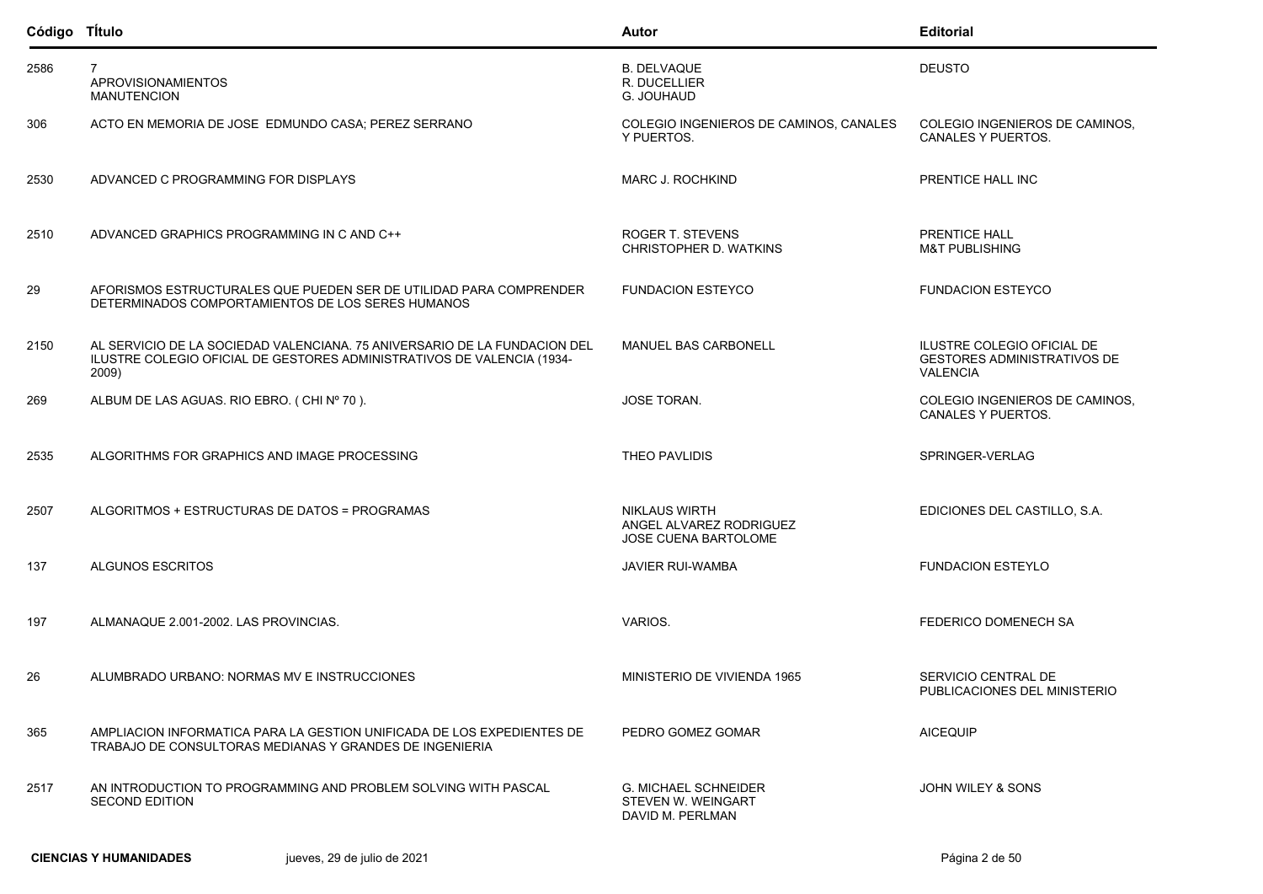| Código Título |                                                                                                                                                              | Autor                                                                   | <b>Editorial</b>                                                                    |
|---------------|--------------------------------------------------------------------------------------------------------------------------------------------------------------|-------------------------------------------------------------------------|-------------------------------------------------------------------------------------|
| 2586          | $\overline{7}$<br><b>APROVISIONAMIENTOS</b><br><b>MANUTENCION</b>                                                                                            | <b>B. DELVAQUE</b><br>R. DUCELLIER<br>G. JOUHAUD                        | <b>DEUSTO</b>                                                                       |
| 306           | ACTO EN MEMORIA DE JOSE EDMUNDO CASA; PEREZ SERRANO                                                                                                          | COLEGIO INGENIEROS DE CAMINOS, CANALES<br>Y PUERTOS.                    | COLEGIO INGENIEROS DE CAMINOS,<br><b>CANALES Y PUERTOS.</b>                         |
| 2530          | ADVANCED C PROGRAMMING FOR DISPLAYS                                                                                                                          | MARC J. ROCHKIND                                                        | PRENTICE HALL INC                                                                   |
| 2510          | ADVANCED GRAPHICS PROGRAMMING IN C AND C++                                                                                                                   | ROGER T. STEVENS<br>CHRISTOPHER D. WATKINS                              | PRENTICE HALL<br><b>M&amp;T PUBLISHING</b>                                          |
| 29            | AFORISMOS ESTRUCTURALES QUE PUEDEN SER DE UTILIDAD PARA COMPRENDER<br>DETERMINADOS COMPORTAMIENTOS DE LOS SERES HUMANOS                                      | <b>FUNDACION ESTEYCO</b>                                                | <b>FUNDACION ESTEYCO</b>                                                            |
| 2150          | AL SERVICIO DE LA SOCIEDAD VALENCIANA, 75 ANIVERSARIO DE LA FUNDACION DEL<br>ILUSTRE COLEGIO OFICIAL DE GESTORES ADMINISTRATIVOS DE VALENCIA (1934-<br>2009) | <b>MANUEL BAS CARBONELL</b>                                             | ILUSTRE COLEGIO OFICIAL DE<br><b>GESTORES ADMINISTRATIVOS DE</b><br><b>VALENCIA</b> |
| 269           | ALBUM DE LAS AGUAS. RIO EBRO. (CHI Nº 70).                                                                                                                   | JOSE TORAN.                                                             | COLEGIO INGENIEROS DE CAMINOS,<br>CANALES Y PUERTOS.                                |
| 2535          | ALGORITHMS FOR GRAPHICS AND IMAGE PROCESSING                                                                                                                 | THEO PAVLIDIS                                                           | SPRINGER-VERLAG                                                                     |
| 2507          | ALGORITMOS + ESTRUCTURAS DE DATOS = PROGRAMAS                                                                                                                | <b>NIKLAUS WIRTH</b><br>ANGEL ALVAREZ RODRIGUEZ<br>JOSE CUENA BARTOLOME | EDICIONES DEL CASTILLO, S.A.                                                        |
| 137           | <b>ALGUNOS ESCRITOS</b>                                                                                                                                      | <b>JAVIER RUI-WAMBA</b>                                                 | <b>FUNDACION ESTEYLO</b>                                                            |
| 197           | ALMANAQUE 2.001-2002. LAS PROVINCIAS.                                                                                                                        | VARIOS.                                                                 | FEDERICO DOMENECH SA                                                                |
| 26            | ALUMBRADO URBANO: NORMAS MV E INSTRUCCIONES                                                                                                                  | MINISTERIO DE VIVIENDA 1965                                             | SERVICIO CENTRAL DE<br>PUBLICACIONES DEL MINISTERIO                                 |
| 365           | AMPLIACION INFORMATICA PARA LA GESTION UNIFICADA DE LOS EXPEDIENTES DE<br>TRABAJO DE CONSULTORAS MEDIANAS Y GRANDES DE INGENIERIA                            | PEDRO GOMEZ GOMAR                                                       | <b>AICEQUIP</b>                                                                     |
| 2517          | AN INTRODUCTION TO PROGRAMMING AND PROBLEM SOLVING WITH PASCAL<br><b>SECOND EDITION</b>                                                                      | <b>G. MICHAEL SCHNEIDER</b><br>STEVEN W. WEINGART<br>DAVID M. PERLMAN   | JOHN WILEY & SONS                                                                   |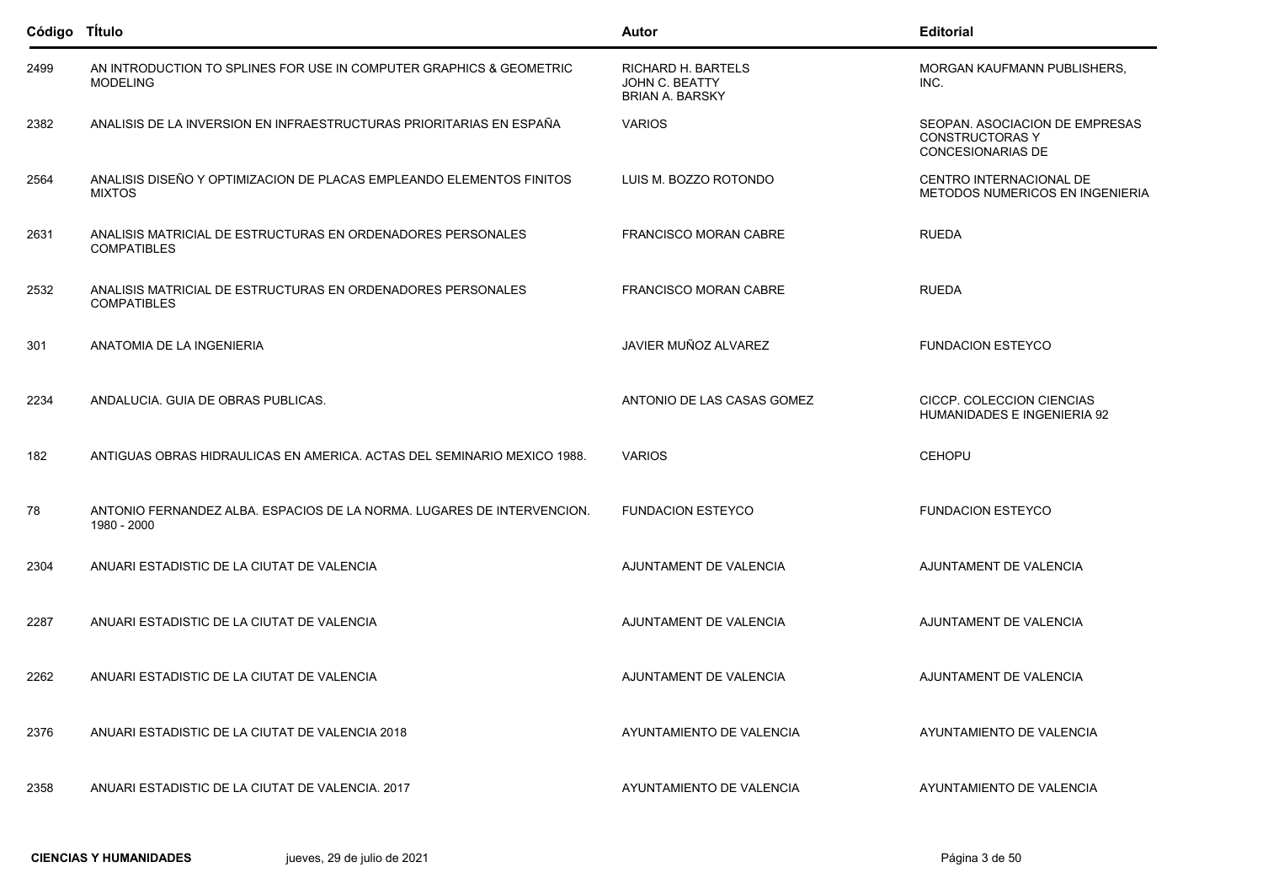| Código Título |                                                                                        | Autor                                                          | <b>Editorial</b>                                                                     |
|---------------|----------------------------------------------------------------------------------------|----------------------------------------------------------------|--------------------------------------------------------------------------------------|
| 2499          | AN INTRODUCTION TO SPLINES FOR USE IN COMPUTER GRAPHICS & GEOMETRIC<br><b>MODELING</b> | RICHARD H. BARTELS<br>JOHN C. BEATTY<br><b>BRIAN A. BARSKY</b> | MORGAN KAUFMANN PUBLISHERS,<br>INC.                                                  |
| 2382          | ANALISIS DE LA INVERSION EN INFRAESTRUCTURAS PRIORITARIAS EN ESPAÑA                    | <b>VARIOS</b>                                                  | SEOPAN. ASOCIACION DE EMPRESAS<br><b>CONSTRUCTORAS Y</b><br><b>CONCESIONARIAS DE</b> |
| 2564          | ANALISIS DISEÑO Y OPTIMIZACION DE PLACAS EMPLEANDO ELEMENTOS FINITOS<br><b>MIXTOS</b>  | LUIS M. BOZZO ROTONDO                                          | CENTRO INTERNACIONAL DE<br>METODOS NUMERICOS EN INGENIERIA                           |
| 2631          | ANALISIS MATRICIAL DE ESTRUCTURAS EN ORDENADORES PERSONALES<br><b>COMPATIBLES</b>      | <b>FRANCISCO MORAN CABRE</b>                                   | <b>RUEDA</b>                                                                         |
| 2532          | ANALISIS MATRICIAL DE ESTRUCTURAS EN ORDENADORES PERSONALES<br><b>COMPATIBLES</b>      | <b>FRANCISCO MORAN CABRE</b>                                   | <b>RUEDA</b>                                                                         |
| 301           | ANATOMIA DE LA INGENIERIA                                                              | JAVIER MUÑOZ ALVAREZ                                           | <b>FUNDACION ESTEYCO</b>                                                             |
| 2234          | ANDALUCIA. GUIA DE OBRAS PUBLICAS.                                                     | ANTONIO DE LAS CASAS GOMEZ                                     | CICCP. COLECCION CIENCIAS<br>HUMANIDADES E INGENIERIA 92                             |
| 182           | ANTIGUAS OBRAS HIDRAULICAS EN AMERICA. ACTAS DEL SEMINARIO MEXICO 1988.                | <b>VARIOS</b>                                                  | <b>CEHOPU</b>                                                                        |
| 78            | ANTONIO FERNANDEZ ALBA. ESPACIOS DE LA NORMA. LUGARES DE INTERVENCION.<br>1980 - 2000  | <b>FUNDACION ESTEYCO</b>                                       | <b>FUNDACION ESTEYCO</b>                                                             |
| 2304          | ANUARI ESTADISTIC DE LA CIUTAT DE VALENCIA                                             | AJUNTAMENT DE VALENCIA                                         | AJUNTAMENT DE VALENCIA                                                               |
| 2287          | ANUARI ESTADISTIC DE LA CIUTAT DE VALENCIA                                             | AJUNTAMENT DE VALENCIA                                         | AJUNTAMENT DE VALENCIA                                                               |
| 2262          | ANUARI ESTADISTIC DE LA CIUTAT DE VALENCIA                                             | AJUNTAMENT DE VALENCIA                                         | AJUNTAMENT DE VALENCIA                                                               |
| 2376          | ANUARI ESTADISTIC DE LA CIUTAT DE VALENCIA 2018                                        | AYUNTAMIENTO DE VALENCIA                                       | AYUNTAMIENTO DE VALENCIA                                                             |
| 2358          | ANUARI ESTADISTIC DE LA CIUTAT DE VALENCIA. 2017                                       | AYUNTAMIENTO DE VALENCIA                                       | AYUNTAMIENTO DE VALENCIA                                                             |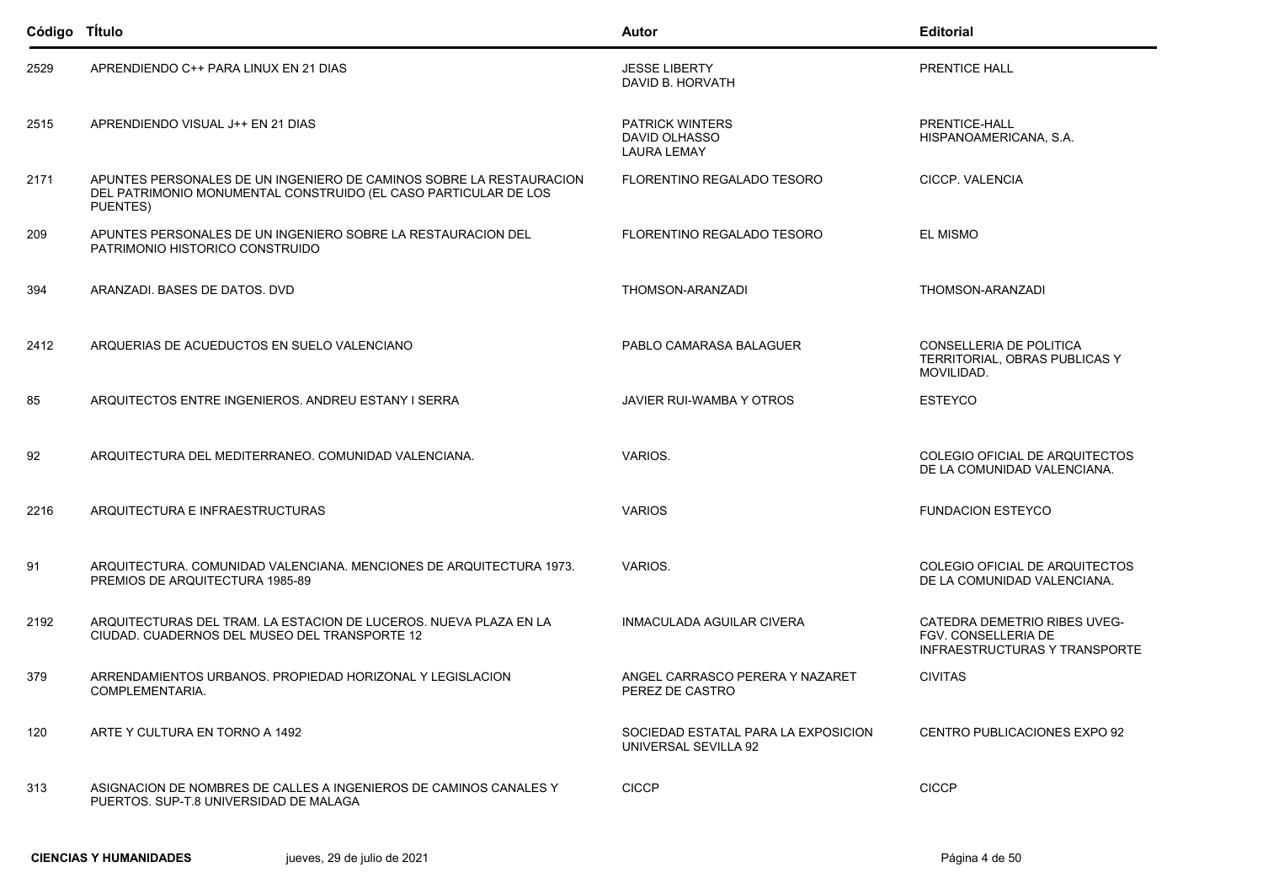| Código TÍtulo |                                                                                                                                                    | Autor                                                         | <b>Editorial</b>                                                                            |
|---------------|----------------------------------------------------------------------------------------------------------------------------------------------------|---------------------------------------------------------------|---------------------------------------------------------------------------------------------|
| 2529          | APRENDIENDO C++ PARA LINUX EN 21 DIAS                                                                                                              | <b>JESSE LIBERTY</b><br>DAVID B. HORVATH                      | PRENTICE HALL                                                                               |
| 2515          | APRENDIENDO VISUAL J++ EN 21 DIAS                                                                                                                  | <b>PATRICK WINTERS</b><br>DAVID OLHASSO<br><b>LAURA LEMAY</b> | PRENTICE-HALL<br>HISPANOAMERICANA, S.A.                                                     |
| 2171          | APUNTES PERSONALES DE UN INGENIERO DE CAMINOS SOBRE LA RESTAURACION<br>DEL PATRIMONIO MONUMENTAL CONSTRUIDO (EL CASO PARTICULAR DE LOS<br>PUENTES) | FLORENTINO REGALADO TESORO                                    | CICCP. VALENCIA                                                                             |
| 209           | APUNTES PERSONALES DE UN INGENIERO SOBRE LA RESTAURACION DEL<br>PATRIMONIO HISTORICO CONSTRUIDO                                                    | FLORENTINO REGALADO TESORO                                    | <b>EL MISMO</b>                                                                             |
| 394           | ARANZADI. BASES DE DATOS. DVD                                                                                                                      | THOMSON-ARANZADI                                              | THOMSON-ARANZADI                                                                            |
| 2412          | ARQUERIAS DE ACUEDUCTOS EN SUELO VALENCIANO                                                                                                        | PABLO CAMARASA BALAGUER                                       | CONSELLERIA DE POLITICA<br>TERRITORIAL, OBRAS PUBLICAS Y<br>MOVILIDAD.                      |
| 85            | ARQUITECTOS ENTRE INGENIEROS. ANDREU ESTANY I SERRA                                                                                                | JAVIER RUI-WAMBA Y OTROS                                      | <b>ESTEYCO</b>                                                                              |
| 92            | ARQUITECTURA DEL MEDITERRANEO. COMUNIDAD VALENCIANA.                                                                                               | VARIOS.                                                       | COLEGIO OFICIAL DE ARQUITECTOS<br>DE LA COMUNIDAD VALENCIANA.                               |
| 2216          | ARQUITECTURA E INFRAESTRUCTURAS                                                                                                                    | <b>VARIOS</b>                                                 | <b>FUNDACION ESTEYCO</b>                                                                    |
| 91            | ARQUITECTURA. COMUNIDAD VALENCIANA. MENCIONES DE ARQUITECTURA 1973.<br>PREMIOS DE ARQUITECTURA 1985-89                                             | VARIOS.                                                       | COLEGIO OFICIAL DE ARQUITECTOS<br>DE LA COMUNIDAD VALENCIANA.                               |
| 2192          | ARQUITECTURAS DEL TRAM. LA ESTACION DE LUCEROS. NUEVA PLAZA EN LA<br>CIUDAD. CUADERNOS DEL MUSEO DEL TRANSPORTE 12                                 | INMACULADA AGUILAR CIVERA                                     | CATEDRA DEMETRIO RIBES UVEG-<br>FGV. CONSELLERIA DE<br><b>INFRAESTRUCTURAS Y TRANSPORTE</b> |
| 379           | ARRENDAMIENTOS URBANOS. PROPIEDAD HORIZONAL Y LEGISLACION<br>COMPLEMENTARIA.                                                                       | ANGEL CARRASCO PERERA Y NAZARET<br>PEREZ DE CASTRO            | <b>CIVITAS</b>                                                                              |
| 120           | ARTE Y CULTURA EN TORNO A 1492                                                                                                                     | SOCIEDAD ESTATAL PARA LA EXPOSICION<br>UNIVERSAL SEVILLA 92   | CENTRO PUBLICACIONES EXPO 92                                                                |
| 313           | ASIGNACION DE NOMBRES DE CALLES A INGENIEROS DE CAMINOS CANALES Y<br>PUERTOS. SUP-T.8 UNIVERSIDAD DE MALAGA                                        | <b>CICCP</b>                                                  | <b>CICCP</b>                                                                                |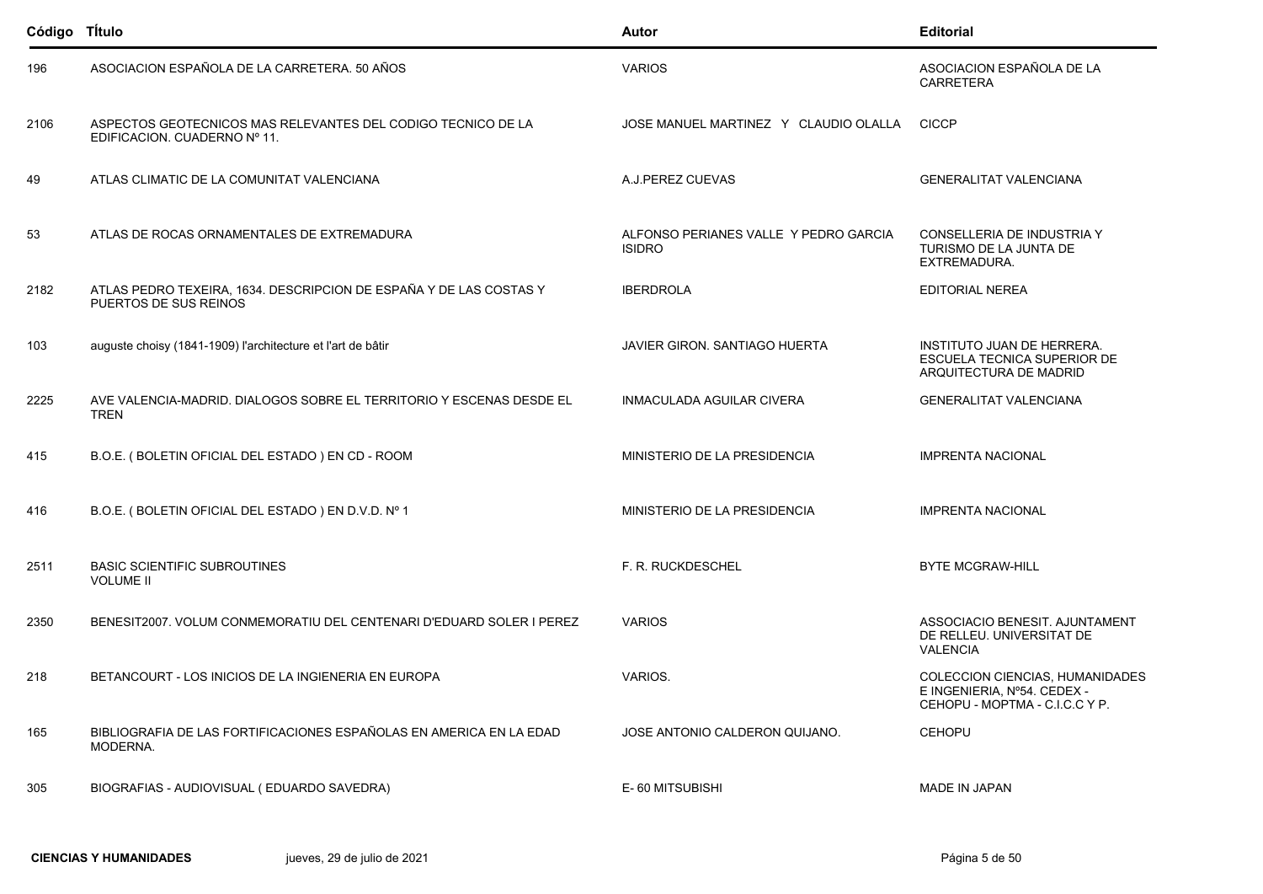| Código TÍtulo |                                                                                              | Autor                                                  | <b>Editorial</b>                                                                                  |
|---------------|----------------------------------------------------------------------------------------------|--------------------------------------------------------|---------------------------------------------------------------------------------------------------|
| 196           | ASOCIACION ESPAÑOLA DE LA CARRETERA. 50 AÑOS                                                 | <b>VARIOS</b>                                          | ASOCIACION ESPAÑOLA DE LA<br><b>CARRETERA</b>                                                     |
| 2106          | ASPECTOS GEOTECNICOS MAS RELEVANTES DEL CODIGO TECNICO DE LA<br>EDIFICACION. CUADERNO Nº 11. | JOSE MANUEL MARTINEZ Y CLAUDIO OLALLA                  | <b>CICCP</b>                                                                                      |
| 49            | ATLAS CLIMATIC DE LA COMUNITAT VALENCIANA                                                    | A.J.PEREZ CUEVAS                                       | <b>GENERALITAT VALENCIANA</b>                                                                     |
| 53            | ATLAS DE ROCAS ORNAMENTALES DE EXTREMADURA                                                   | ALFONSO PERIANES VALLE Y PEDRO GARCIA<br><b>ISIDRO</b> | CONSELLERIA DE INDUSTRIA Y<br>TURISMO DE LA JUNTA DE<br>EXTREMADURA.                              |
| 2182          | ATLAS PEDRO TEXEIRA, 1634. DESCRIPCION DE ESPAÑA Y DE LAS COSTAS Y<br>PUERTOS DE SUS REINOS  | <b>IBERDROLA</b>                                       | EDITORIAL NEREA                                                                                   |
| 103           | auguste choisy (1841-1909) l'architecture et l'art de bâtir                                  | <b>JAVIER GIRON, SANTIAGO HUERTA</b>                   | <b>INSTITUTO JUAN DE HERRERA.</b><br><b>ESCUELA TECNICA SUPERIOR DE</b><br>ARQUITECTURA DE MADRID |
| 2225          | AVE VALENCIA-MADRID. DIALOGOS SOBRE EL TERRITORIO Y ESCENAS DESDE EL<br><b>TREN</b>          | INMACULADA AGUILAR CIVERA                              | <b>GENERALITAT VALENCIANA</b>                                                                     |
| 415           | B.O.E. (BOLETIN OFICIAL DEL ESTADO) EN CD - ROOM                                             | MINISTERIO DE LA PRESIDENCIA                           | <b>IMPRENTA NACIONAL</b>                                                                          |
| 416           | B.O.E. (BOLETIN OFICIAL DEL ESTADO) EN D.V.D. Nº 1                                           | MINISTERIO DE LA PRESIDENCIA                           | <b>IMPRENTA NACIONAL</b>                                                                          |
| 2511          | <b>BASIC SCIENTIFIC SUBROUTINES</b><br><b>VOLUME II</b>                                      | F. R. RUCKDESCHEL                                      | <b>BYTE MCGRAW-HILL</b>                                                                           |
| 2350          | BENESIT2007, VOLUM CONMEMORATIU DEL CENTENARI D'EDUARD SOLER I PEREZ                         | <b>VARIOS</b>                                          | ASSOCIACIO BENESIT. AJUNTAMENT<br>DE RELLEU. UNIVERSITAT DE<br><b>VALENCIA</b>                    |
| 218           | BETANCOURT - LOS INICIOS DE LA INGIENERIA EN EUROPA                                          | VARIOS.                                                | COLECCION CIENCIAS, HUMANIDADES<br>E INGENIERIA, Nº54, CEDEX -<br>CEHOPU - MOPTMA - C.I.C.C Y P.  |
| 165           | BIBLIOGRAFIA DE LAS FORTIFICACIONES ESPAÑOLAS EN AMERICA EN LA EDAD<br>MODERNA.              | JOSE ANTONIO CALDERON QUIJANO.                         | <b>CEHOPU</b>                                                                                     |
| 305           | BIOGRAFIAS - AUDIOVISUAL (EDUARDO SAVEDRA)                                                   | E-60 MITSUBISHI                                        | MADE IN JAPAN                                                                                     |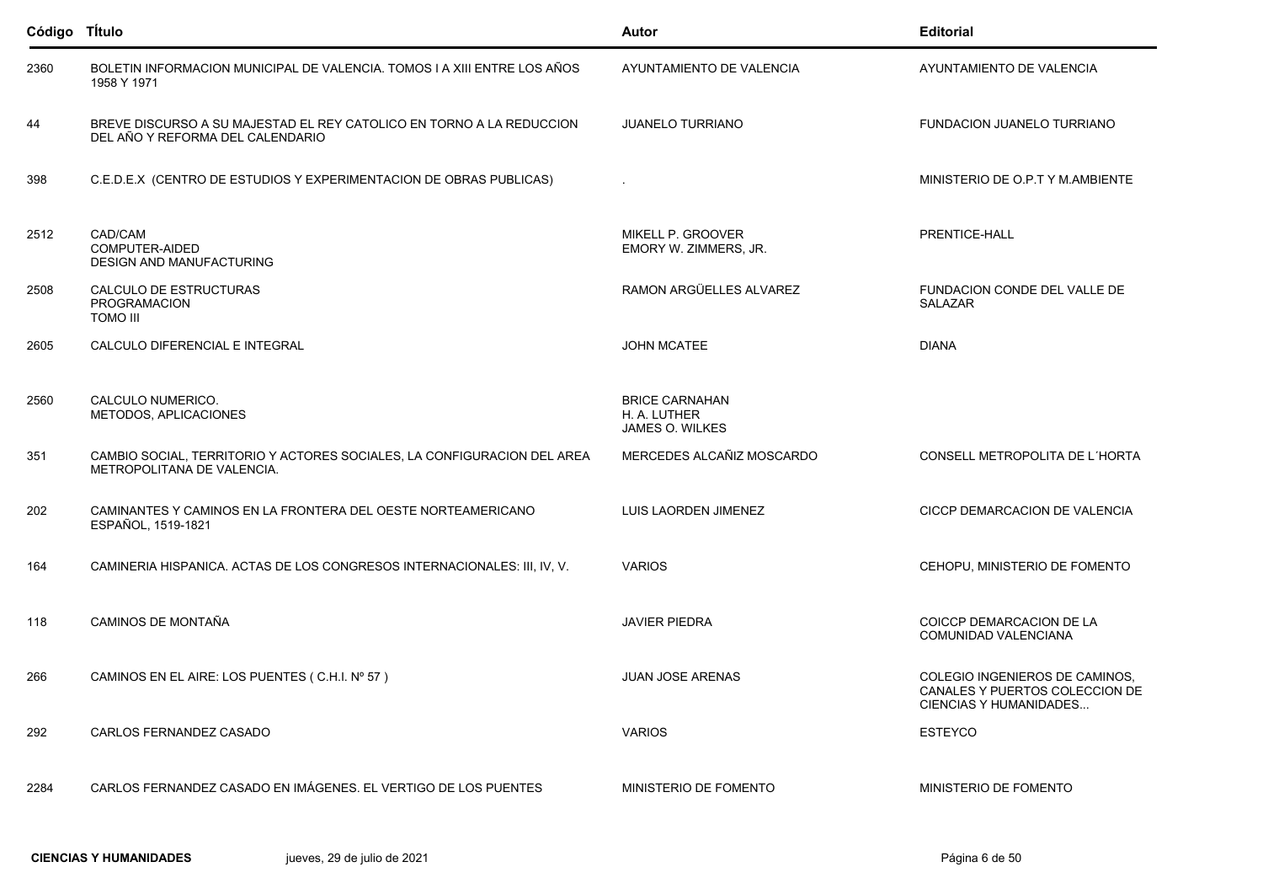| Código TÍtulo |                                                                                                          | Autor                                                    | <b>Editorial</b>                                                                           |
|---------------|----------------------------------------------------------------------------------------------------------|----------------------------------------------------------|--------------------------------------------------------------------------------------------|
| 2360          | BOLETIN INFORMACION MUNICIPAL DE VALENCIA. TOMOS I A XIII ENTRE LOS AÑOS<br>1958 Y 1971                  | AYUNTAMIENTO DE VALENCIA                                 | AYUNTAMIENTO DE VALENCIA                                                                   |
| 44            | BREVE DISCURSO A SU MAJESTAD EL REY CATOLICO EN TORNO A LA REDUCCION<br>DEL AÑO Y REFORMA DEL CALENDARIO | <b>JUANELO TURRIANO</b>                                  | <b>FUNDACION JUANELO TURRIANO</b>                                                          |
| 398           | C.E.D.E.X (CENTRO DE ESTUDIOS Y EXPERIMENTACION DE OBRAS PUBLICAS)                                       |                                                          | MINISTERIO DE O.P.T Y M.AMBIENTE                                                           |
| 2512          | CAD/CAM<br>COMPUTER-AIDED<br><b>DESIGN AND MANUFACTURING</b>                                             | MIKELL P. GROOVER<br>EMORY W. ZIMMERS, JR.               | PRENTICE-HALL                                                                              |
| 2508          | CALCULO DE ESTRUCTURAS<br>PROGRAMACION<br><b>TOMO III</b>                                                | RAMON ARGÜELLES ALVAREZ                                  | FUNDACION CONDE DEL VALLE DE<br><b>SALAZAR</b>                                             |
| 2605          | CALCULO DIFERENCIAL E INTEGRAL                                                                           | <b>JOHN MCATEE</b>                                       | <b>DIANA</b>                                                                               |
| 2560          | CALCULO NUMERICO.<br>METODOS, APLICACIONES                                                               | <b>BRICE CARNAHAN</b><br>H. A. LUTHER<br>JAMES O. WILKES |                                                                                            |
| 351           | CAMBIO SOCIAL, TERRITORIO Y ACTORES SOCIALES, LA CONFIGURACION DEL AREA<br>METROPOLITANA DE VALENCIA.    | MERCEDES ALCAÑIZ MOSCARDO                                | CONSELL METROPOLITA DE L'HORTA                                                             |
| 202           | CAMINANTES Y CAMINOS EN LA FRONTERA DEL OESTE NORTEAMERICANO<br>ESPAÑOL, 1519-1821                       | LUIS LAORDEN JIMENEZ                                     | CICCP DEMARCACION DE VALENCIA                                                              |
| 164           | CAMINERIA HISPANICA. ACTAS DE LOS CONGRESOS INTERNACIONALES: III, IV, V.                                 | <b>VARIOS</b>                                            | CEHOPU, MINISTERIO DE FOMENTO                                                              |
| 118           | CAMINOS DE MONTAÑA                                                                                       | <b>JAVIER PIEDRA</b>                                     | COICCP DEMARCACION DE LA<br>COMUNIDAD VALENCIANA                                           |
| 266           | CAMINOS EN EL AIRE: LOS PUENTES (C.H.I. Nº 57)                                                           | <b>JUAN JOSE ARENAS</b>                                  | COLEGIO INGENIEROS DE CAMINOS,<br>CANALES Y PUERTOS COLECCION DE<br>CIENCIAS Y HUMANIDADES |
| 292           | CARLOS FERNANDEZ CASADO                                                                                  | <b>VARIOS</b>                                            | ESTEYCO                                                                                    |
| 2284          | CARLOS FERNANDEZ CASADO EN IMÁGENES. EL VERTIGO DE LOS PUENTES                                           | MINISTERIO DE FOMENTO                                    | MINISTERIO DE FOMENTO                                                                      |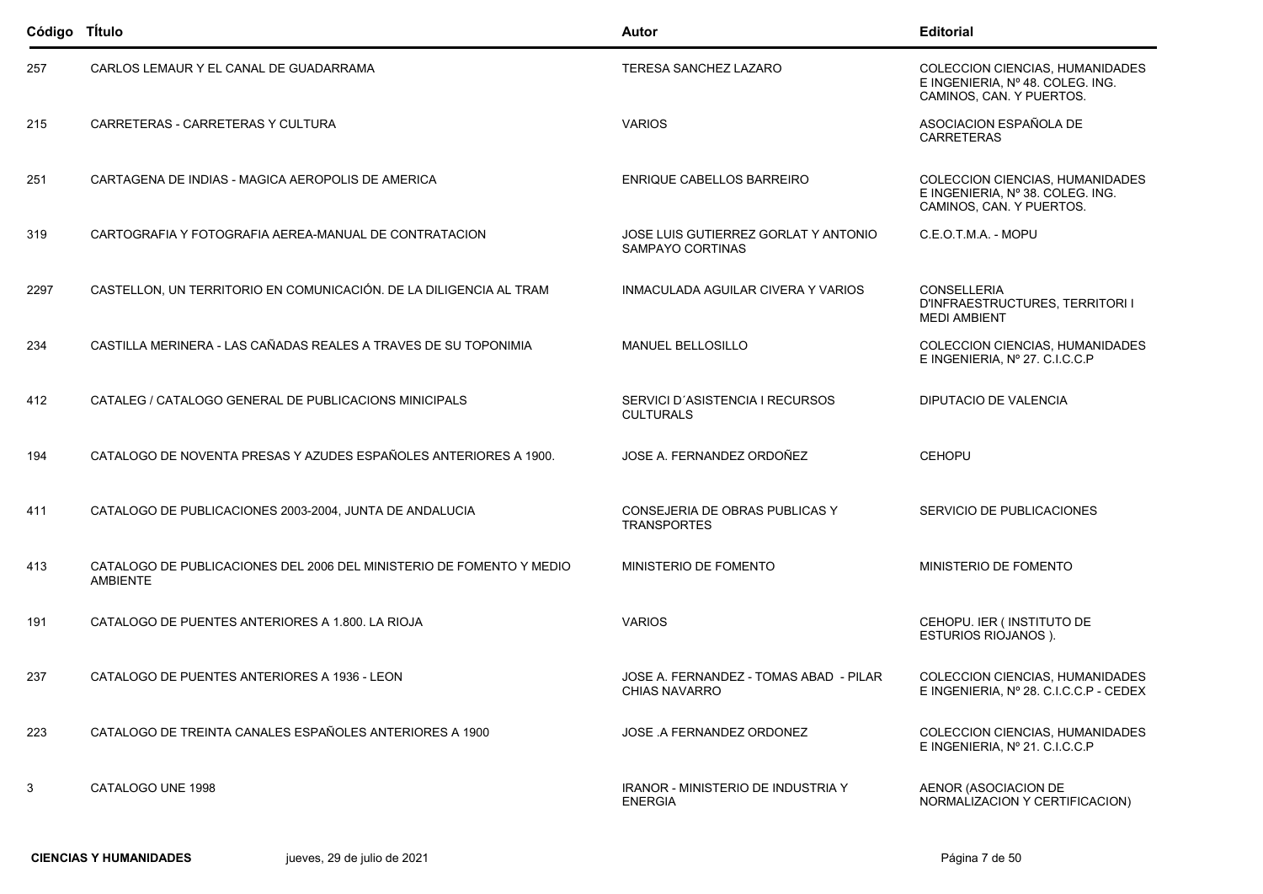| Código TÍtulo |                                                                                         | Autor                                                       | <b>Editorial</b>                                                                                       |
|---------------|-----------------------------------------------------------------------------------------|-------------------------------------------------------------|--------------------------------------------------------------------------------------------------------|
| 257           | CARLOS LEMAUR Y EL CANAL DE GUADARRAMA                                                  | TERESA SANCHEZ LAZARO                                       | COLECCION CIENCIAS, HUMANIDADES<br>E INGENIERIA, Nº 48. COLEG. ING.<br>CAMINOS, CAN. Y PUERTOS.        |
| 215           | CARRETERAS - CARRETERAS Y CULTURA                                                       | <b>VARIOS</b>                                               | ASOCIACION ESPAÑOLA DE<br><b>CARRETERAS</b>                                                            |
| 251           | CARTAGENA DE INDIAS - MAGICA AEROPOLIS DE AMERICA                                       | ENRIQUE CABELLOS BARREIRO                                   | <b>COLECCION CIENCIAS, HUMANIDADES</b><br>E INGENIERIA, Nº 38. COLEG. ING.<br>CAMINOS, CAN. Y PUERTOS. |
| 319           | CARTOGRAFIA Y FOTOGRAFIA AEREA-MANUAL DE CONTRATACION                                   | JOSE LUIS GUTIERREZ GORLAT Y ANTONIO<br>SAMPAYO CORTINAS    | C.E.O.T.M.A. - MOPU                                                                                    |
| 2297          | CASTELLON, UN TERRITORIO EN COMUNICACIÓN. DE LA DILIGENCIA AL TRAM                      | INMACULADA AGUILAR CIVERA Y VARIOS                          | <b>CONSELLERIA</b><br>D'INFRAESTRUCTURES, TERRITORI I<br><b>MEDI AMBIENT</b>                           |
| 234           | CASTILLA MERINERA - LAS CAÑADAS REALES A TRAVES DE SU TOPONIMIA                         | MANUEL BELLOSILLO                                           | COLECCION CIENCIAS, HUMANIDADES<br>E INGENIERIA, Nº 27. C.I.C.C.P                                      |
| 412           | CATALEG / CATALOGO GENERAL DE PUBLICACIONS MINICIPALS                                   | SERVICI D'ASISTENCIA I RECURSOS<br><b>CULTURALS</b>         | <b>DIPUTACIO DE VALENCIA</b>                                                                           |
| 194           | CATALOGO DE NOVENTA PRESAS Y AZUDES ESPAÑOLES ANTERIORES A 1900.                        | JOSE A. FERNANDEZ ORDOÑEZ                                   | <b>CEHOPU</b>                                                                                          |
| 411           | CATALOGO DE PUBLICACIONES 2003-2004, JUNTA DE ANDALUCIA                                 | CONSEJERIA DE OBRAS PUBLICAS Y<br><b>TRANSPORTES</b>        | SERVICIO DE PUBLICACIONES                                                                              |
| 413           | CATALOGO DE PUBLICACIONES DEL 2006 DEL MINISTERIO DE FOMENTO Y MEDIO<br><b>AMBIENTE</b> | MINISTERIO DE FOMENTO                                       | MINISTERIO DE FOMENTO                                                                                  |
| 191           | CATALOGO DE PUENTES ANTERIORES A 1.800. LA RIOJA                                        | <b>VARIOS</b>                                               | CEHOPU. IER ( INSTITUTO DE<br><b>ESTURIOS RIOJANOS ).</b>                                              |
| 237           | CATALOGO DE PUENTES ANTERIORES A 1936 - LEON                                            | JOSE A. FERNANDEZ - TOMAS ABAD - PILAR<br>CHIAS NAVARRO     | COLECCION CIENCIAS, HUMANIDADES<br>E INGENIERIA, Nº 28. C.I.C.C.P - CEDEX                              |
| 223           | CATALOGO DE TREINTA CANALES ESPAÑOLES ANTERIORES A 1900                                 | JOSE .A FERNANDEZ ORDONEZ                                   | COLECCION CIENCIAS, HUMANIDADES<br>E INGENIERIA, Nº 21. C.I.C.C.P                                      |
| 3             | CATALOGO UNE 1998                                                                       | <b>IRANOR - MINISTERIO DE INDUSTRIA Y</b><br><b>ENERGIA</b> | AENOR (ASOCIACION DE<br>NORMALIZACION Y CERTIFICACION)                                                 |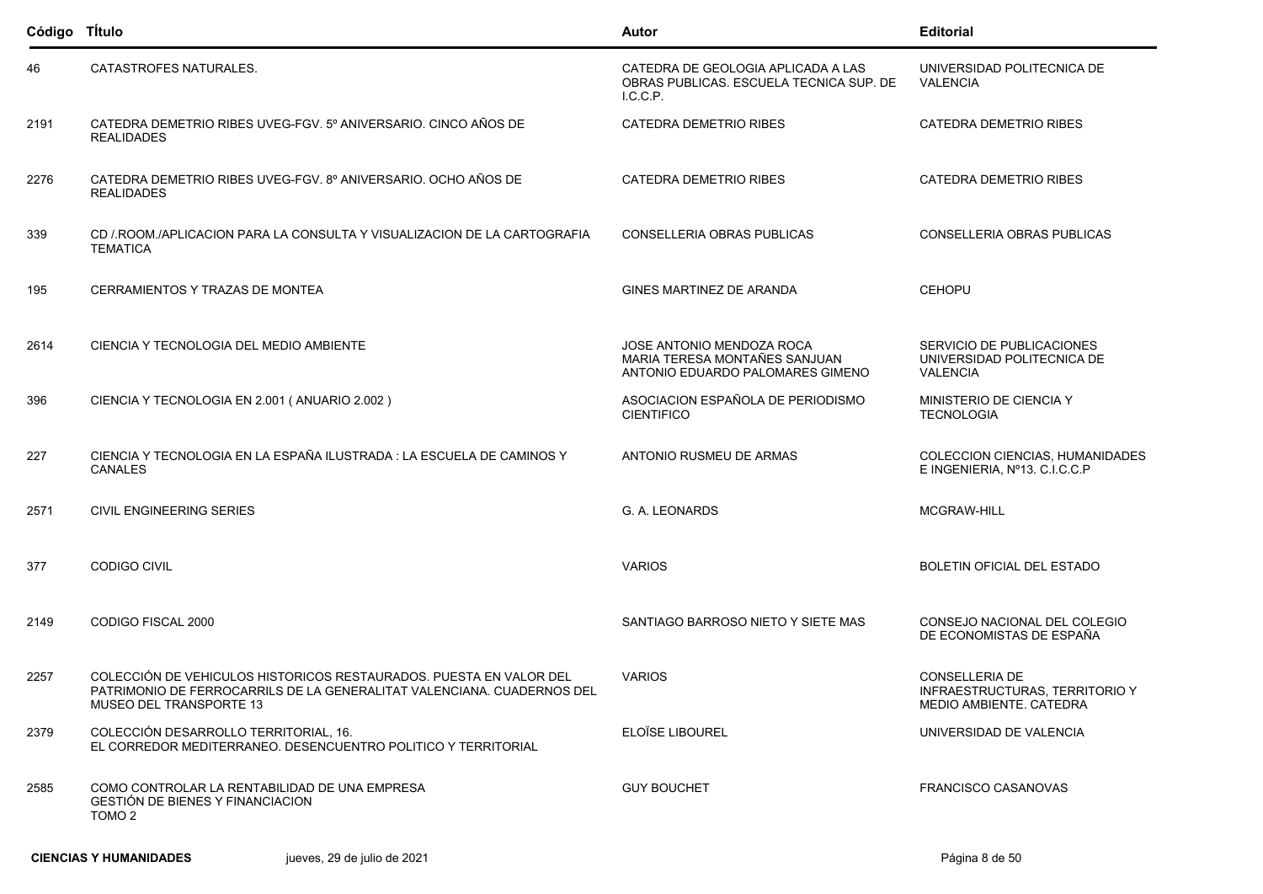| Código TÍtulo |                                                                                                                                                                         | Autor                                                                                          | <b>Editorial</b>                                                            |
|---------------|-------------------------------------------------------------------------------------------------------------------------------------------------------------------------|------------------------------------------------------------------------------------------------|-----------------------------------------------------------------------------|
| 46            | CATASTROFES NATURALES.                                                                                                                                                  | CATEDRA DE GEOLOGIA APLICADA A LAS<br>OBRAS PUBLICAS, ESCUELA TECNICA SUP, DE<br>L.C.C.P.      | UNIVERSIDAD POLITECNICA DE<br><b>VALENCIA</b>                               |
| 2191          | CATEDRA DEMETRIO RIBES UVEG-FGV. 5º ANIVERSARIO. CINCO AÑOS DE<br><b>REALIDADES</b>                                                                                     | <b>CATEDRA DEMETRIO RIBES</b>                                                                  | CATEDRA DEMETRIO RIBES                                                      |
| 2276          | CATEDRA DEMETRIO RIBES UVEG-FGV. 8º ANIVERSARIO. OCHO AÑOS DE<br><b>REALIDADES</b>                                                                                      | CATEDRA DEMETRIO RIBES                                                                         | CATEDRA DEMETRIO RIBES                                                      |
| 339           | CD / ROOM / APLICACION PARA LA CONSULTA Y VISUALIZACION DE LA CARTOGRAFIA<br><b>TEMATICA</b>                                                                            | CONSELLERIA OBRAS PUBLICAS                                                                     | CONSELLERIA OBRAS PUBLICAS                                                  |
| 195           | CERRAMIENTOS Y TRAZAS DE MONTEA                                                                                                                                         | GINES MARTINEZ DE ARANDA                                                                       | <b>CEHOPU</b>                                                               |
| 2614          | CIENCIA Y TECNOLOGIA DEL MEDIO AMBIENTE                                                                                                                                 | JOSE ANTONIO MENDOZA ROCA<br>MARIA TERESA MONTAÑES SANJUAN<br>ANTONIO EDUARDO PALOMARES GIMENO | SERVICIO DE PUBLICACIONES<br>UNIVERSIDAD POLITECNICA DE<br><b>VALENCIA</b>  |
| 396           | CIENCIA Y TECNOLOGIA EN 2.001 (ANUARIO 2.002)                                                                                                                           | ASOCIACION ESPAÑOLA DE PERIODISMO<br><b>CIENTIFICO</b>                                         | MINISTERIO DE CIENCIA Y<br><b>TECNOLOGIA</b>                                |
| 227           | CIENCIA Y TECNOLOGIA EN LA ESPAÑA ILUSTRADA : LA ESCUELA DE CAMINOS Y<br><b>CANALES</b>                                                                                 | ANTONIO RUSMEU DE ARMAS                                                                        | COLECCION CIENCIAS, HUMANIDADES<br>E INGENIERIA, Nº13. C.I.C.C.P            |
| 2571          | <b>CIVIL ENGINEERING SERIES</b>                                                                                                                                         | G. A. LEONARDS                                                                                 | <b>MCGRAW-HILL</b>                                                          |
| 377           | <b>CODIGO CIVIL</b>                                                                                                                                                     | <b>VARIOS</b>                                                                                  | BOLETIN OFICIAL DEL ESTADO                                                  |
| 2149          | CODIGO FISCAL 2000                                                                                                                                                      | SANTIAGO BARROSO NIETO Y SIETE MAS                                                             | CONSEJO NACIONAL DEL COLEGIO<br>DE ECONOMISTAS DE ESPAÑA                    |
| 2257          | COLECCIÓN DE VEHICULOS HISTORICOS RESTAURADOS. PUESTA EN VALOR DEL<br>PATRIMONIO DE FERROCARRILS DE LA GENERALITAT VALENCIANA. CUADERNOS DEL<br>MUSEO DEL TRANSPORTE 13 | <b>VARIOS</b>                                                                                  | CONSELLERIA DE<br>INFRAESTRUCTURAS, TERRITORIO Y<br>MEDIO AMBIENTE. CATEDRA |
| 2379          | COLECCIÓN DESARROLLO TERRITORIAL, 16.<br>EL CORREDOR MEDITERRANEO. DESENCUENTRO POLITICO Y TERRITORIAL                                                                  | ELOÏSE LIBOUREL                                                                                | UNIVERSIDAD DE VALENCIA                                                     |
| 2585          | COMO CONTROLAR LA RENTABILIDAD DE UNA EMPRESA<br>GESTIÓN DE BIENES Y FINANCIACION<br>TOMO <sub>2</sub>                                                                  | <b>GUY BOUCHET</b>                                                                             | <b>FRANCISCO CASANOVAS</b>                                                  |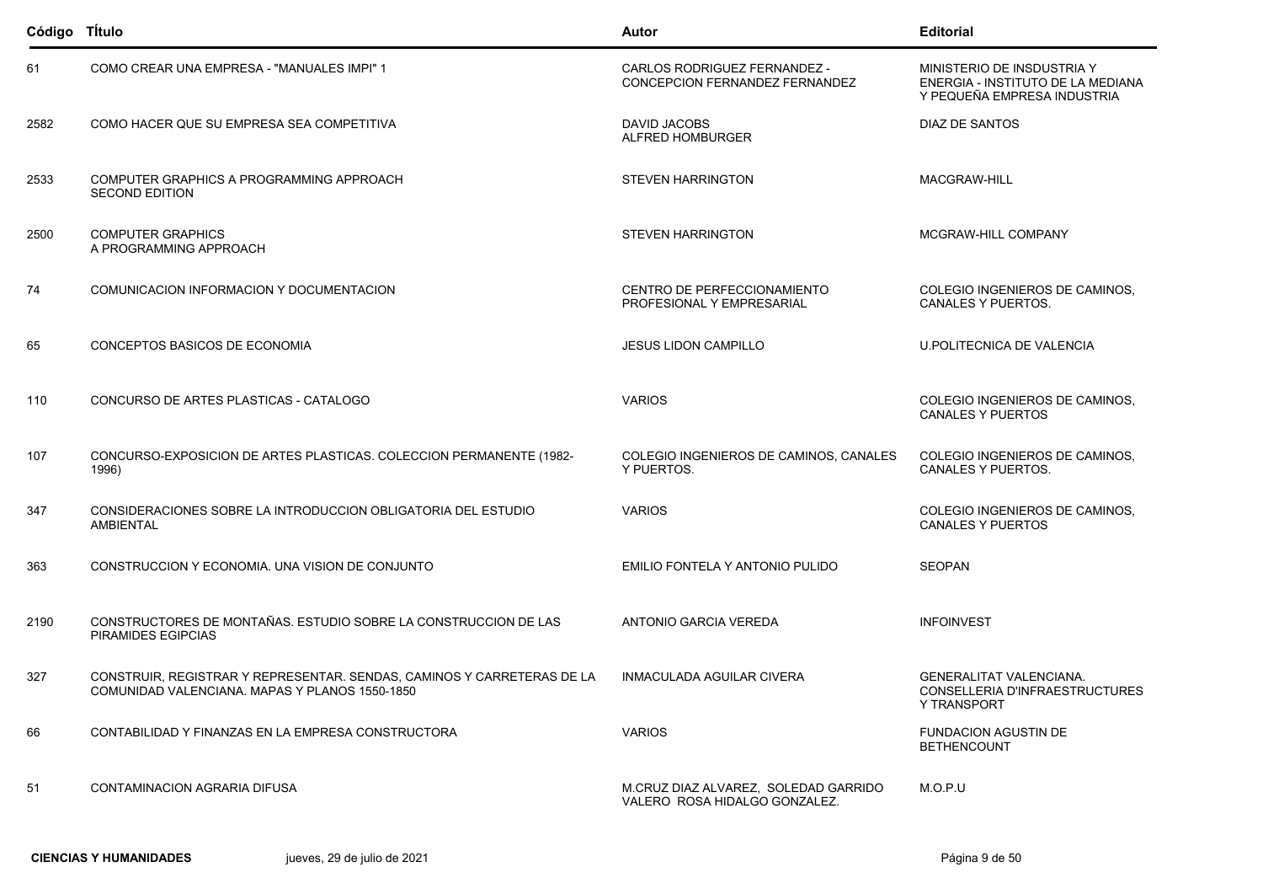| Código TÍtulo |                                                                                                                          | Autor                                                                 | <b>Editorial</b>                                                                               |
|---------------|--------------------------------------------------------------------------------------------------------------------------|-----------------------------------------------------------------------|------------------------------------------------------------------------------------------------|
| 61            | COMO CREAR UNA EMPRESA - "MANUALES IMPI" 1                                                                               | CARLOS RODRIGUEZ FERNANDEZ -<br>CONCEPCION FERNANDEZ FERNANDEZ        | MINISTERIO DE INSDUSTRIA Y<br>ENERGIA - INSTITUTO DE LA MEDIANA<br>Y PEQUEÑA EMPRESA INDUSTRIA |
| 2582          | COMO HACER QUE SU EMPRESA SEA COMPETITIVA                                                                                | DAVID JACOBS<br>ALFRED HOMBURGER                                      | DIAZ DE SANTOS                                                                                 |
| 2533          | COMPUTER GRAPHICS A PROGRAMMING APPROACH<br><b>SECOND EDITION</b>                                                        | <b>STEVEN HARRINGTON</b>                                              | MACGRAW-HILL                                                                                   |
| 2500          | <b>COMPUTER GRAPHICS</b><br>A PROGRAMMING APPROACH                                                                       | <b>STEVEN HARRINGTON</b>                                              | MCGRAW-HILL COMPANY                                                                            |
| 74            | COMUNICACION INFORMACION Y DOCUMENTACION                                                                                 | CENTRO DE PERFECCIONAMIENTO<br>PROFESIONAL Y EMPRESARIAL              | COLEGIO INGENIEROS DE CAMINOS,<br>CANALES Y PUERTOS.                                           |
| 65            | CONCEPTOS BASICOS DE ECONOMIA                                                                                            | <b>JESUS LIDON CAMPILLO</b>                                           | U POLITECNICA DE VALENCIA                                                                      |
| 110           | CONCURSO DE ARTES PLASTICAS - CATALOGO                                                                                   | <b>VARIOS</b>                                                         | COLEGIO INGENIEROS DE CAMINOS,<br><b>CANALES Y PUERTOS</b>                                     |
| 107           | CONCURSO-EXPOSICION DE ARTES PLASTICAS. COLECCION PERMANENTE (1982-<br>1996)                                             | COLEGIO INGENIEROS DE CAMINOS, CANALES<br>Y PUERTOS.                  | COLEGIO INGENIEROS DE CAMINOS.<br>CANALES Y PUERTOS.                                           |
| 347           | CONSIDERACIONES SOBRE LA INTRODUCCION OBLIGATORIA DEL ESTUDIO<br><b>AMBIENTAL</b>                                        | <b>VARIOS</b>                                                         | COLEGIO INGENIEROS DE CAMINOS,<br><b>CANALES Y PUERTOS</b>                                     |
| 363           | CONSTRUCCION Y ECONOMIA. UNA VISION DE CONJUNTO                                                                          | EMILIO FONTELA Y ANTONIO PULIDO                                       | <b>SEOPAN</b>                                                                                  |
| 2190          | CONSTRUCTORES DE MONTAÑAS. ESTUDIO SOBRE LA CONSTRUCCION DE LAS<br><b>PIRAMIDES EGIPCIAS</b>                             | ANTONIO GARCIA VEREDA                                                 | <b>INFOINVEST</b>                                                                              |
| 327           | CONSTRUIR, REGISTRAR Y REPRESENTAR. SENDAS, CAMINOS Y CARRETERAS DE LA<br>COMUNIDAD VALENCIANA. MAPAS Y PLANOS 1550-1850 | INMACULADA AGUILAR CIVERA                                             | <b>GENERALITAT VALENCIANA.</b><br>CONSELLERIA D'INFRAESTRUCTURES<br><b>Y TRANSPORT</b>         |
| 66            | CONTABILIDAD Y FINANZAS EN LA EMPRESA CONSTRUCTORA                                                                       | <b>VARIOS</b>                                                         | <b>FUNDACION AGUSTIN DE</b><br><b>BETHENCOUNT</b>                                              |
| 51            | CONTAMINACION AGRARIA DIFUSA                                                                                             | M.CRUZ DIAZ ALVAREZ. SOLEDAD GARRIDO<br>VALERO ROSA HIDALGO GONZALEZ. | M.O.P.U                                                                                        |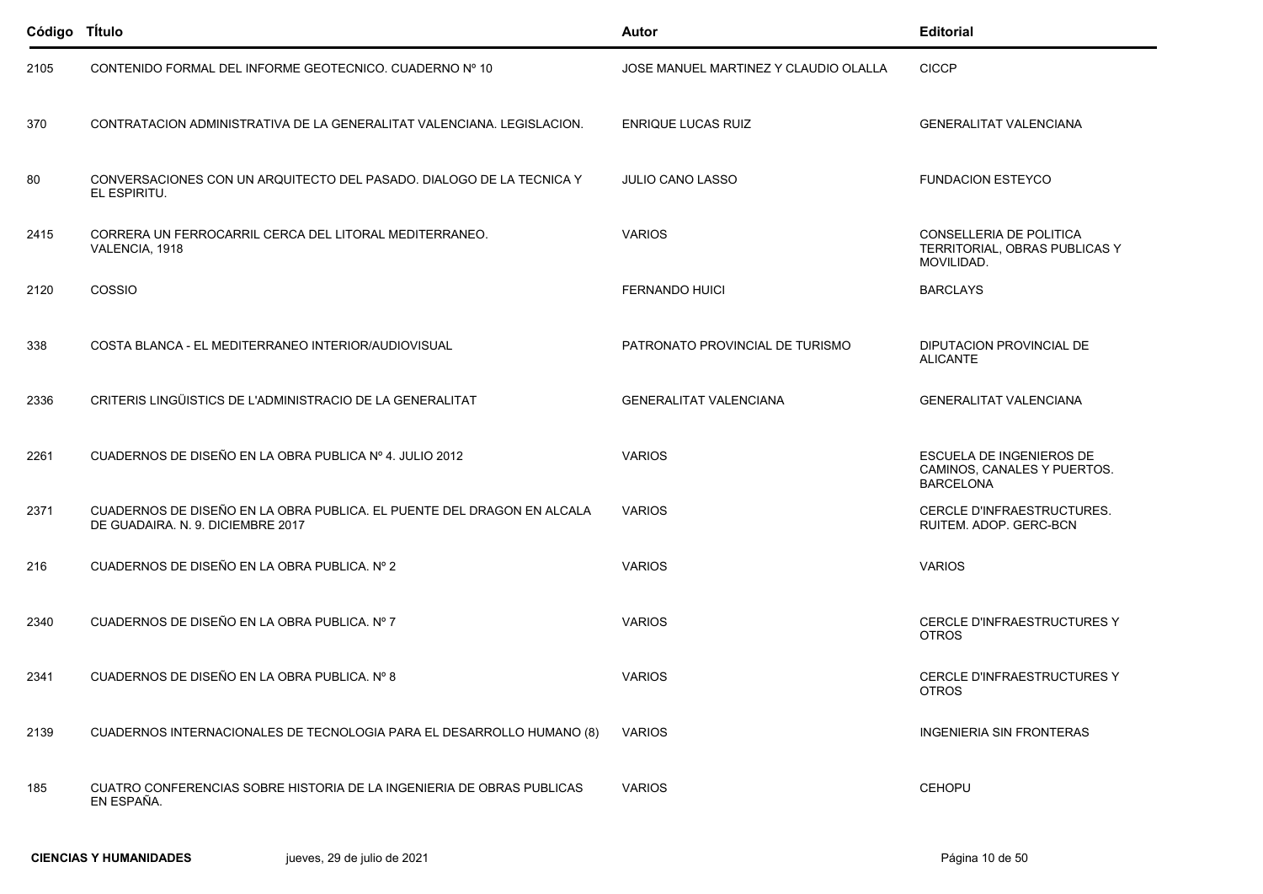| Código Título |                                                                                                             | Autor                                 | <b>Editorial</b>                                                            |
|---------------|-------------------------------------------------------------------------------------------------------------|---------------------------------------|-----------------------------------------------------------------------------|
| 2105          | CONTENIDO FORMAL DEL INFORME GEOTECNICO, CUADERNO Nº 10                                                     | JOSE MANUEL MARTINEZ Y CLAUDIO OLALLA | <b>CICCP</b>                                                                |
| 370           | CONTRATACION ADMINISTRATIVA DE LA GENERALITAT VALENCIANA. LEGISLACION.                                      | <b>ENRIQUE LUCAS RUIZ</b>             | <b>GENERALITAT VALENCIANA</b>                                               |
| 80            | CONVERSACIONES CON UN ARQUITECTO DEL PASADO. DIALOGO DE LA TECNICA Y<br>EL ESPIRITU.                        | <b>JULIO CANO LASSO</b>               | <b>FUNDACION ESTEYCO</b>                                                    |
| 2415          | CORRERA UN FERROCARRIL CERCA DEL LITORAL MEDITERRANEO.<br>VALENCIA, 1918                                    | <b>VARIOS</b>                         | CONSELLERIA DE POLITICA<br>TERRITORIAL, OBRAS PUBLICAS Y<br>MOVILIDAD.      |
| 2120          | COSSIO                                                                                                      | <b>FERNANDO HUICI</b>                 | <b>BARCLAYS</b>                                                             |
| 338           | COSTA BLANCA - EL MEDITERRANEO INTERIOR/AUDIOVISUAL                                                         | PATRONATO PROVINCIAL DE TURISMO       | DIPUTACION PROVINCIAL DE<br><b>ALICANTE</b>                                 |
| 2336          | CRITERIS LINGÜISTICS DE L'ADMINISTRACIO DE LA GENERALITAT                                                   | <b>GENERALITAT VALENCIANA</b>         | <b>GENERALITAT VALENCIANA</b>                                               |
| 2261          | CUADERNOS DE DISEÑO EN LA OBRA PUBLICA Nº 4. JULIO 2012                                                     | <b>VARIOS</b>                         | ESCUELA DE INGENIEROS DE<br>CAMINOS, CANALES Y PUERTOS.<br><b>BARCELONA</b> |
| 2371          | CUADERNOS DE DISEÑO EN LA OBRA PUBLICA. EL PUENTE DEL DRAGON EN ALCALA<br>DE GUADAIRA. N. 9. DICIEMBRE 2017 | <b>VARIOS</b>                         | CERCLE D'INFRAESTRUCTURES.<br>RUITEM. ADOP. GERC-BCN                        |
| 216           | CUADERNOS DE DISEÑO EN LA OBRA PUBLICA. Nº 2                                                                | <b>VARIOS</b>                         | <b>VARIOS</b>                                                               |
| 2340          | CUADERNOS DE DISEÑO EN LA OBRA PUBLICA. Nº 7                                                                | <b>VARIOS</b>                         | <b>CERCLE D'INFRAESTRUCTURES Y</b><br><b>OTROS</b>                          |
| 2341          | CUADERNOS DE DISEÑO EN LA OBRA PUBLICA. Nº 8                                                                | <b>VARIOS</b>                         | CERCLE D'INFRAESTRUCTURES Y<br><b>OTROS</b>                                 |
| 2139          | CUADERNOS INTERNACIONALES DE TECNOLOGIA PARA EL DESARROLLO HUMANO (8)                                       | <b>VARIOS</b>                         | <b>INGENIERIA SIN FRONTERAS</b>                                             |
| 185           | CUATRO CONFERENCIAS SOBRE HISTORIA DE LA INGENIERIA DE OBRAS PUBLICAS<br>EN ESPAÑA.                         | <b>VARIOS</b>                         | <b>CEHOPU</b>                                                               |
|               |                                                                                                             |                                       |                                                                             |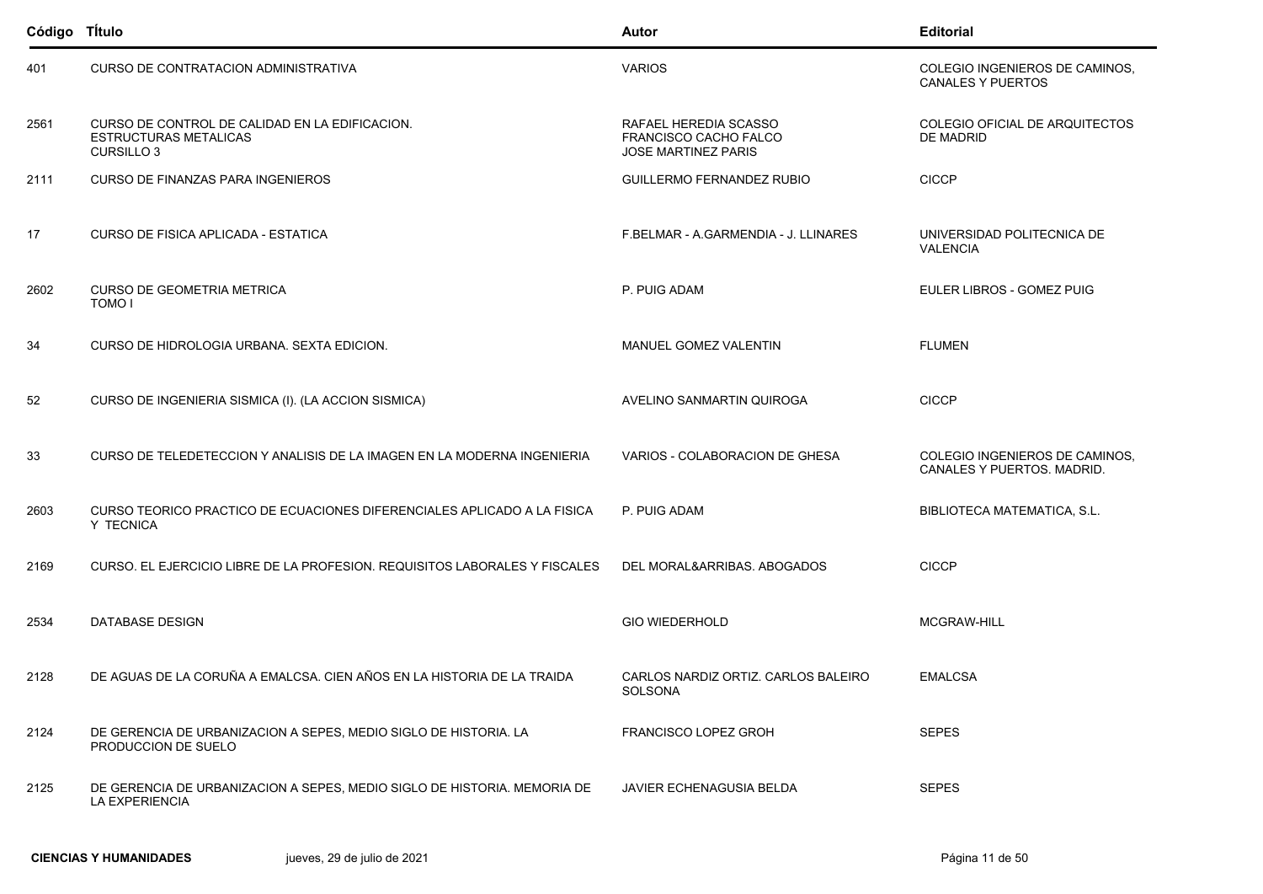| Código TÍtulo |                                                                                                     | Autor                                                                        | <b>Editorial</b>                                             |
|---------------|-----------------------------------------------------------------------------------------------------|------------------------------------------------------------------------------|--------------------------------------------------------------|
| 401           | <b>CURSO DE CONTRATACION ADMINISTRATIVA</b>                                                         | <b>VARIOS</b>                                                                | COLEGIO INGENIEROS DE CAMINOS,<br><b>CANALES Y PUERTOS</b>   |
| 2561          | CURSO DE CONTROL DE CALIDAD EN LA EDIFICACION.<br><b>ESTRUCTURAS METALICAS</b><br><b>CURSILLO 3</b> | RAFAEL HEREDIA SCASSO<br>FRANCISCO CACHO FALCO<br><b>JOSE MARTINEZ PARIS</b> | COLEGIO OFICIAL DE ARQUITECTOS<br><b>DE MADRID</b>           |
| 2111          | <b>CURSO DE FINANZAS PARA INGENIEROS</b>                                                            | <b>GUILLERMO FERNANDEZ RUBIO</b>                                             | <b>CICCP</b>                                                 |
| 17            | CURSO DE FISICA APLICADA - ESTATICA                                                                 | F.BELMAR - A.GARMENDIA - J. LLINARES                                         | UNIVERSIDAD POLITECNICA DE<br><b>VALENCIA</b>                |
| 2602          | <b>CURSO DE GEOMETRIA METRICA</b><br>TOMO I                                                         | P. PUIG ADAM                                                                 | EULER LIBROS - GOMEZ PUIG                                    |
| 34            | CURSO DE HIDROLOGIA URBANA. SEXTA EDICION.                                                          | MANUEL GOMEZ VALENTIN                                                        | <b>FLUMEN</b>                                                |
| 52            | CURSO DE INGENIERIA SISMICA (I). (LA ACCION SISMICA)                                                | AVELINO SANMARTIN QUIROGA                                                    | <b>CICCP</b>                                                 |
| 33            | CURSO DE TELEDETECCION Y ANALISIS DE LA IMAGEN EN LA MODERNA INGENIERIA                             | VARIOS - COLABORACION DE GHESA                                               | COLEGIO INGENIEROS DE CAMINOS,<br>CANALES Y PUERTOS. MADRID. |
| 2603          | CURSO TEORICO PRACTICO DE ECUACIONES DIFERENCIALES APLICADO A LA FISICA<br>Y TECNICA                | P. PUIG ADAM                                                                 | BIBLIOTECA MATEMATICA, S.L.                                  |
| 2169          | CURSO. EL EJERCICIO LIBRE DE LA PROFESION. REQUISITOS LABORALES Y FISCALES                          | DEL MORAL&ARRIBAS. ABOGADOS                                                  | <b>CICCP</b>                                                 |
| 2534          | <b>DATABASE DESIGN</b>                                                                              | <b>GIO WIEDERHOLD</b>                                                        | MCGRAW-HILL                                                  |
| 2128          | DE AGUAS DE LA CORUÑA A EMALCSA. CIEN AÑOS EN LA HISTORIA DE LA TRAIDA                              | CARLOS NARDIZ ORTIZ. CARLOS BALEIRO<br>SOLSONA                               | <b>EMALCSA</b>                                               |
| 2124          | DE GERENCIA DE URBANIZACION A SEPES, MEDIO SIGLO DE HISTORIA. LA<br>PRODUCCION DE SUELO             | <b>FRANCISCO LOPEZ GROH</b>                                                  | <b>SEPES</b>                                                 |
| 2125          | DE GERENCIA DE URBANIZACION A SEPES, MEDIO SIGLO DE HISTORIA. MEMORIA DE<br>LA EXPERIENCIA          | JAVIER ECHENAGUSIA BELDA                                                     | <b>SEPES</b>                                                 |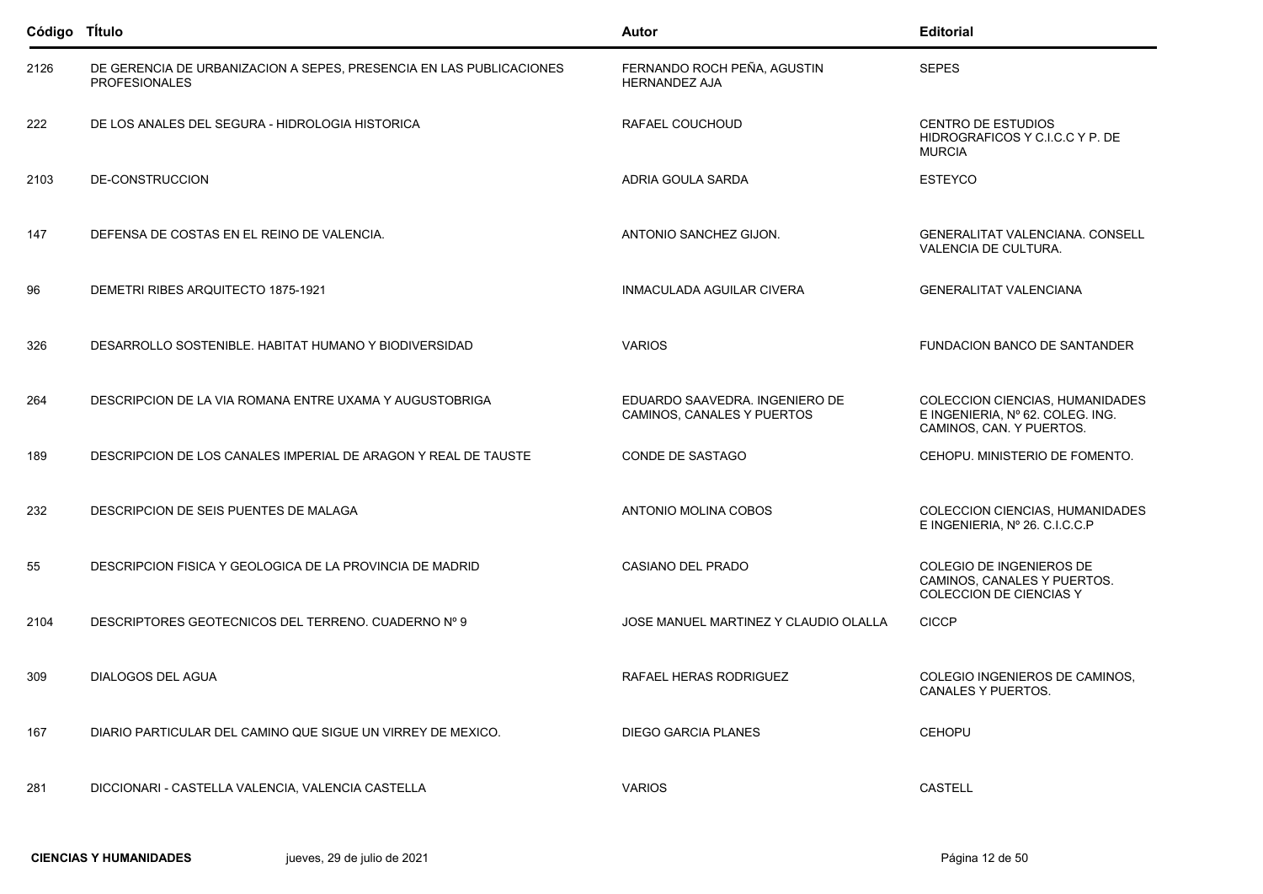| Código TÍtulo |                                                                                             | Autor                                                        | <b>Editorial</b>                                                                                |
|---------------|---------------------------------------------------------------------------------------------|--------------------------------------------------------------|-------------------------------------------------------------------------------------------------|
| 2126          | DE GERENCIA DE URBANIZACION A SEPES, PRESENCIA EN LAS PUBLICACIONES<br><b>PROFESIONALES</b> | FERNANDO ROCH PEÑA, AGUSTIN<br><b>HERNANDEZ AJA</b>          | <b>SEPES</b>                                                                                    |
| 222           | DE LOS ANALES DEL SEGURA - HIDROLOGIA HISTORICA                                             | RAFAEL COUCHOUD                                              | <b>CENTRO DE ESTUDIOS</b><br>HIDROGRAFICOS Y C.I.C.C Y P. DE<br><b>MURCIA</b>                   |
| 2103          | DE-CONSTRUCCION                                                                             | ADRIA GOULA SARDA                                            | <b>ESTEYCO</b>                                                                                  |
| 147           | DEFENSA DE COSTAS EN EL REINO DE VALENCIA.                                                  | ANTONIO SANCHEZ GIJON.                                       | GENERALITAT VALENCIANA. CONSELL<br>VALENCIA DE CULTURA.                                         |
| 96            | DEMETRI RIBES ARQUITECTO 1875-1921                                                          | INMACULADA AGUILAR CIVERA                                    | <b>GENERALITAT VALENCIANA</b>                                                                   |
| 326           | DESARROLLO SOSTENIBLE, HABITAT HUMANO Y BIODIVERSIDAD                                       | <b>VARIOS</b>                                                | <b>FUNDACION BANCO DE SANTANDER</b>                                                             |
| 264           | DESCRIPCION DE LA VIA ROMANA ENTRE UXAMA Y AUGUSTOBRIGA                                     | EDUARDO SAAVEDRA. INGENIERO DE<br>CAMINOS, CANALES Y PUERTOS | COLECCION CIENCIAS, HUMANIDADES<br>E INGENIERIA, Nº 62. COLEG. ING.<br>CAMINOS, CAN. Y PUERTOS. |
| 189           | DESCRIPCION DE LOS CANALES IMPERIAL DE ARAGON Y REAL DE TAUSTE                              | CONDE DE SASTAGO                                             | CEHOPU. MINISTERIO DE FOMENTO.                                                                  |
| 232           | DESCRIPCION DE SEIS PUENTES DE MALAGA                                                       | ANTONIO MOLINA COBOS                                         | COLECCION CIENCIAS, HUMANIDADES<br>E INGENIERIA, Nº 26. C.I.C.C.P                               |
| 55            | DESCRIPCION FISICA Y GEOLOGICA DE LA PROVINCIA DE MADRID                                    | CASIANO DEL PRADO                                            | COLEGIO DE INGENIEROS DE<br>CAMINOS, CANALES Y PUERTOS.<br>COLECCION DE CIENCIAS Y              |
| 2104          | DESCRIPTORES GEOTECNICOS DEL TERRENO. CUADERNO Nº 9                                         | JOSE MANUEL MARTINEZ Y CLAUDIO OLALLA                        | <b>CICCP</b>                                                                                    |
| 309           | DIALOGOS DEL AGUA                                                                           | RAFAEL HERAS RODRIGUEZ                                       | COLEGIO INGENIEROS DE CAMINOS,<br>CANALES Y PUERTOS.                                            |
| 167           | DIARIO PARTICULAR DEL CAMINO QUE SIGUE UN VIRREY DE MEXICO.                                 | <b>DIEGO GARCIA PLANES</b>                                   | <b>CEHOPU</b>                                                                                   |
| 281           | DICCIONARI - CASTELLA VALENCIA, VALENCIA CASTELLA                                           | <b>VARIOS</b>                                                | <b>CASTELL</b>                                                                                  |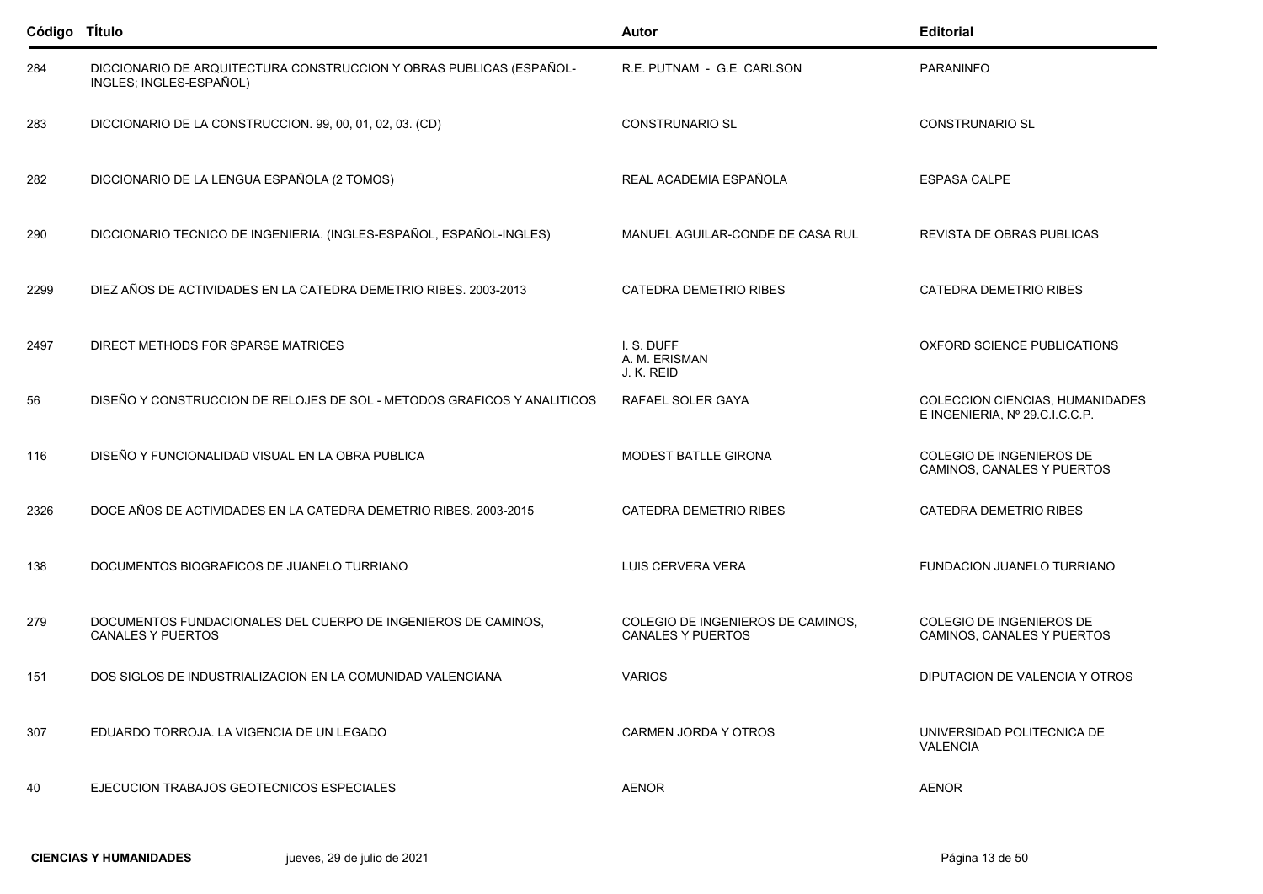| Código Título |                                                                                                | Autor                                                         | <b>Editorial</b>                                                  |
|---------------|------------------------------------------------------------------------------------------------|---------------------------------------------------------------|-------------------------------------------------------------------|
| 284           | DICCIONARIO DE ARQUITECTURA CONSTRUCCION Y OBRAS PUBLICAS (ESPAÑOL-<br>INGLES; INGLES-ESPAÑOL) | R.E. PUTNAM - G.E CARLSON                                     | PARANINFO                                                         |
| 283           | DICCIONARIO DE LA CONSTRUCCION. 99, 00, 01, 02, 03. (CD)                                       | <b>CONSTRUNARIO SL</b>                                        | <b>CONSTRUNARIO SL</b>                                            |
| 282           | DICCIONARIO DE LA LENGUA ESPAÑOLA (2 TOMOS)                                                    | REAL ACADEMIA ESPAÑOLA                                        | <b>ESPASA CALPE</b>                                               |
| 290           | DICCIONARIO TECNICO DE INGENIERIA. (INGLES-ESPAÑOL, ESPAÑOL-INGLES)                            | MANUEL AGUILAR-CONDE DE CASA RUL                              | REVISTA DE OBRAS PUBLICAS                                         |
| 2299          | DIEZ AÑOS DE ACTIVIDADES EN LA CATEDRA DEMETRIO RIBES. 2003-2013                               | <b>CATEDRA DEMETRIO RIBES</b>                                 | <b>CATEDRA DEMETRIO RIBES</b>                                     |
| 2497          | DIRECT METHODS FOR SPARSE MATRICES                                                             | I.S. DUFF<br>A. M. ERISMAN<br>J. K. REID                      | OXFORD SCIENCE PUBLICATIONS                                       |
| 56            | DISEÑO Y CONSTRUCCION DE RELOJES DE SOL - METODOS GRAFICOS Y ANALITICOS                        | RAFAEL SOLER GAYA                                             | COLECCION CIENCIAS, HUMANIDADES<br>E INGENIERIA, Nº 29.C.I.C.C.P. |
| 116           | DISEÑO Y FUNCIONALIDAD VISUAL EN LA OBRA PUBLICA                                               | <b>MODEST BATLLE GIRONA</b>                                   | COLEGIO DE INGENIEROS DE<br>CAMINOS, CANALES Y PUERTOS            |
| 2326          | DOCE AÑOS DE ACTIVIDADES EN LA CATEDRA DEMETRIO RIBES. 2003-2015                               | <b>CATEDRA DEMETRIO RIBES</b>                                 | <b>CATEDRA DEMETRIO RIBES</b>                                     |
| 138           | DOCUMENTOS BIOGRAFICOS DE JUANELO TURRIANO                                                     | LUIS CERVERA VERA                                             | FUNDACION JUANELO TURRIANO                                        |
| 279           | DOCUMENTOS FUNDACIONALES DEL CUERPO DE INGENIEROS DE CAMINOS,<br><b>CANALES Y PUERTOS</b>      | COLEGIO DE INGENIEROS DE CAMINOS,<br><b>CANALES Y PUERTOS</b> | COLEGIO DE INGENIEROS DE<br>CAMINOS, CANALES Y PUERTOS            |
| 151           | DOS SIGLOS DE INDUSTRIALIZACION EN LA COMUNIDAD VALENCIANA                                     | <b>VARIOS</b>                                                 | DIPUTACION DE VALENCIA Y OTROS                                    |
| 307           | EDUARDO TORROJA. LA VIGENCIA DE UN LEGADO                                                      | CARMEN JORDA Y OTROS                                          | UNIVERSIDAD POLITECNICA DE<br><b>VALENCIA</b>                     |
| 40            | EJECUCION TRABAJOS GEOTECNICOS ESPECIALES                                                      | <b>AENOR</b>                                                  | <b>AENOR</b>                                                      |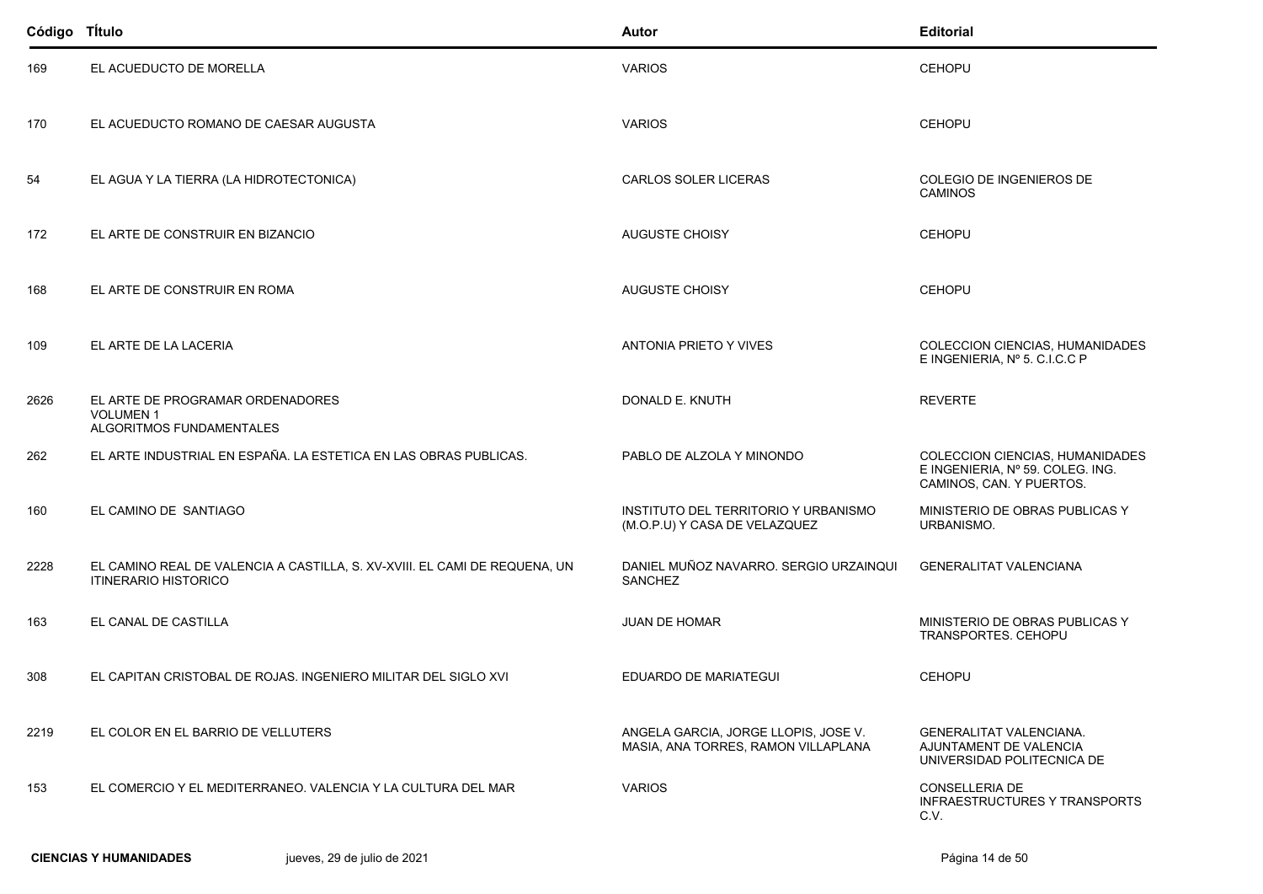| Código TÍtulo |                                                                                                           | Autor                                                                       | <b>Editorial</b>                                                                                |
|---------------|-----------------------------------------------------------------------------------------------------------|-----------------------------------------------------------------------------|-------------------------------------------------------------------------------------------------|
| 169           | EL ACUEDUCTO DE MORELLA                                                                                   | <b>VARIOS</b>                                                               | <b>CEHOPU</b>                                                                                   |
| 170           | EL ACUEDUCTO ROMANO DE CAESAR AUGUSTA                                                                     | <b>VARIOS</b>                                                               | <b>CEHOPU</b>                                                                                   |
| 54            | EL AGUA Y LA TIERRA (LA HIDROTECTONICA)                                                                   | <b>CARLOS SOLER LICERAS</b>                                                 | COLEGIO DE INGENIEROS DE<br><b>CAMINOS</b>                                                      |
| 172           | EL ARTE DE CONSTRUIR EN BIZANCIO                                                                          | <b>AUGUSTE CHOISY</b>                                                       | <b>CEHOPU</b>                                                                                   |
| 168           | EL ARTE DE CONSTRUIR EN ROMA                                                                              | <b>AUGUSTE CHOISY</b>                                                       | <b>CEHOPU</b>                                                                                   |
| 109           | EL ARTE DE LA LACERIA                                                                                     | ANTONIA PRIETO Y VIVES                                                      | COLECCION CIENCIAS, HUMANIDADES<br>E INGENIERIA, Nº 5. C.I.C.C P                                |
| 2626          | EL ARTE DE PROGRAMAR ORDENADORES<br><b>VOLUMEN1</b><br>ALGORITMOS FUNDAMENTALES                           | DONALD E. KNUTH                                                             | <b>REVERTE</b>                                                                                  |
| 262           | EL ARTE INDUSTRIAL EN ESPAÑA. LA ESTETICA EN LAS OBRAS PUBLICAS.                                          | PABLO DE ALZOLA Y MINONDO                                                   | COLECCION CIENCIAS, HUMANIDADES<br>E INGENIERIA, Nº 59. COLEG. ING.<br>CAMINOS, CAN. Y PUERTOS. |
| 160           | EL CAMINO DE SANTIAGO                                                                                     | INSTITUTO DEL TERRITORIO Y URBANISMO<br>(M.O.P.U) Y CASA DE VELAZQUEZ       | MINISTERIO DE OBRAS PUBLICAS Y<br>URBANISMO.                                                    |
| 2228          | EL CAMINO REAL DE VALENCIA A CASTILLA, S. XV-XVIII. EL CAMI DE REQUENA, UN<br><b>ITINERARIO HISTORICO</b> | DANIEL MUÑOZ NAVARRO. SERGIO URZAINQUI<br>SANCHEZ                           | <b>GENERALITAT VALENCIANA</b>                                                                   |
| 163           | EL CANAL DE CASTILLA                                                                                      | <b>JUAN DE HOMAR</b>                                                        | MINISTERIO DE OBRAS PUBLICAS Y<br>TRANSPORTES. CEHOPU                                           |
| 308           | EL CAPITAN CRISTOBAL DE ROJAS. INGENIERO MILITAR DEL SIGLO XVI                                            | EDUARDO DE MARIATEGUI                                                       | <b>CEHOPU</b>                                                                                   |
| 2219          | EL COLOR EN EL BARRIO DE VELLUTERS                                                                        | ANGELA GARCIA, JORGE LLOPIS, JOSE V.<br>MASIA, ANA TORRES, RAMON VILLAPLANA | <b>GENERALITAT VALENCIANA.</b><br>AJUNTAMENT DE VALENCIA<br>UNIVERSIDAD POLITECNICA DE          |
| 153           | EL COMERCIO Y EL MEDITERRANEO. VALENCIA Y LA CULTURA DEL MAR                                              | <b>VARIOS</b>                                                               | CONSELLERIA DE<br><b>INFRAESTRUCTURES Y TRANSPORTS</b><br>C.V.                                  |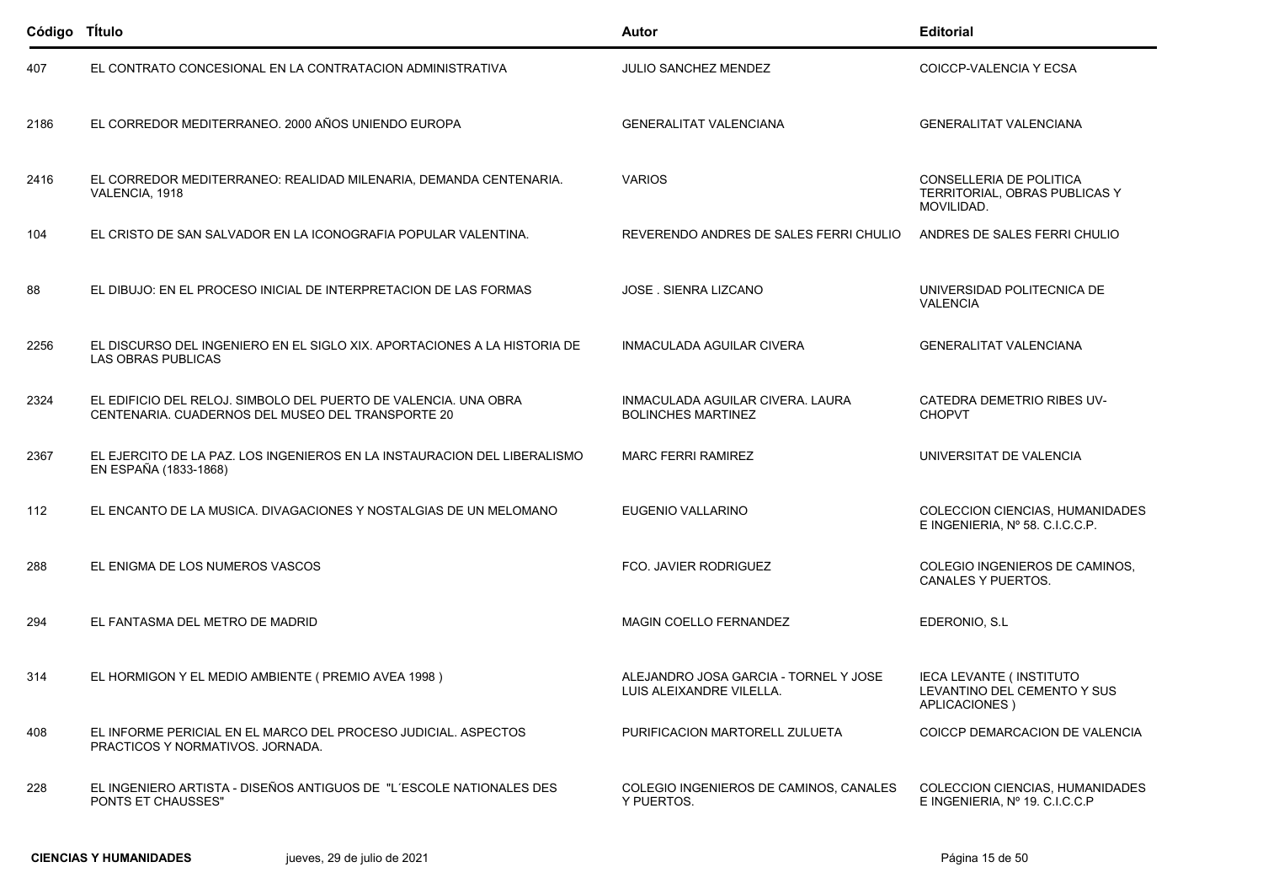| Código TÍtulo |                                                                                                                      | Autor                                                             | <b>Editorial</b>                                                               |
|---------------|----------------------------------------------------------------------------------------------------------------------|-------------------------------------------------------------------|--------------------------------------------------------------------------------|
| 407           | EL CONTRATO CONCESIONAL EN LA CONTRATACION ADMINISTRATIVA                                                            | JULIO SANCHEZ MENDEZ                                              | COICCP-VALENCIA Y ECSA                                                         |
| 2186          | EL CORREDOR MEDITERRANEO. 2000 AÑOS UNIENDO EUROPA                                                                   | <b>GENERALITAT VALENCIANA</b>                                     | <b>GENERALITAT VALENCIANA</b>                                                  |
| 2416          | EL CORREDOR MEDITERRANEO: REALIDAD MILENARIA, DEMANDA CENTENARIA.<br>VALENCIA, 1918                                  | <b>VARIOS</b>                                                     | CONSELLERIA DE POLITICA<br>TERRITORIAL, OBRAS PUBLICAS Y<br>MOVILIDAD.         |
| 104           | EL CRISTO DE SAN SALVADOR EN LA ICONOGRAFIA POPULAR VALENTINA.                                                       | REVERENDO ANDRES DE SALES FERRI CHULIO                            | ANDRES DE SALES FERRI CHULIO                                                   |
| 88            | EL DIBUJO: EN EL PROCESO INICIAL DE INTERPRETACION DE LAS FORMAS                                                     | <b>JOSE . SIENRA LIZCANO</b>                                      | UNIVERSIDAD POLITECNICA DE<br><b>VALENCIA</b>                                  |
| 2256          | EL DISCURSO DEL INGENIERO EN EL SIGLO XIX. APORTACIONES A LA HISTORIA DE<br>LAS OBRAS PUBLICAS                       | <b>INMACULADA AGUILAR CIVERA</b>                                  | <b>GENERALITAT VALENCIANA</b>                                                  |
| 2324          | EL EDIFICIO DEL RELOJ. SIMBOLO DEL PUERTO DE VALENCIA. UNA OBRA<br>CENTENARIA. CUADERNOS DEL MUSEO DEL TRANSPORTE 20 | INMACULADA AGUILAR CIVERA. LAURA<br><b>BOLINCHES MARTINEZ</b>     | CATEDRA DEMETRIO RIBES UV-<br><b>CHOPVT</b>                                    |
| 2367          | EL EJERCITO DE LA PAZ. LOS INGENIEROS EN LA INSTAURACION DEL LIBERALISMO<br>EN ESPAÑA (1833-1868)                    | <b>MARC FERRI RAMIREZ</b>                                         | UNIVERSITAT DE VALENCIA                                                        |
| 112           | EL ENCANTO DE LA MUSICA. DIVAGACIONES Y NOSTALGIAS DE UN MELOMANO                                                    | EUGENIO VALLARINO                                                 | COLECCION CIENCIAS, HUMANIDADES<br>E INGENIERIA, Nº 58. C.I.C.C.P.             |
| 288           | EL ENIGMA DE LOS NUMEROS VASCOS                                                                                      | FCO. JAVIER RODRIGUEZ                                             | COLEGIO INGENIEROS DE CAMINOS,<br>CANALES Y PUERTOS.                           |
| 294           | EL FANTASMA DEL METRO DE MADRID                                                                                      | MAGIN COELLO FERNANDEZ                                            | EDERONIO, S.L                                                                  |
| 314           | EL HORMIGON Y EL MEDIO AMBIENTE ( PREMIO AVEA 1998 )                                                                 | ALEJANDRO JOSA GARCIA - TORNEL Y JOSE<br>LUIS ALEIXANDRE VILELLA. | <b>IECA LEVANTE (INSTITUTO</b><br>LEVANTINO DEL CEMENTO Y SUS<br>APLICACIONES) |
| 408           | EL INFORME PERICIAL EN EL MARCO DEL PROCESO JUDICIAL. ASPECTOS<br>PRACTICOS Y NORMATIVOS. JORNADA.                   | PURIFICACION MARTORELL ZULUETA                                    | COICCP DEMARCACION DE VALENCIA                                                 |
| 228           | EL INGENIERO ARTISTA - DISEÑOS ANTIGUOS DE "L'ESCOLE NATIONALES DES<br><b>PONTS ET CHAUSSES"</b>                     | COLEGIO INGENIEROS DE CAMINOS, CANALES<br>Y PUERTOS.              | COLECCION CIENCIAS, HUMANIDADES<br>E INGENIERIA, Nº 19. C.I.C.C.P              |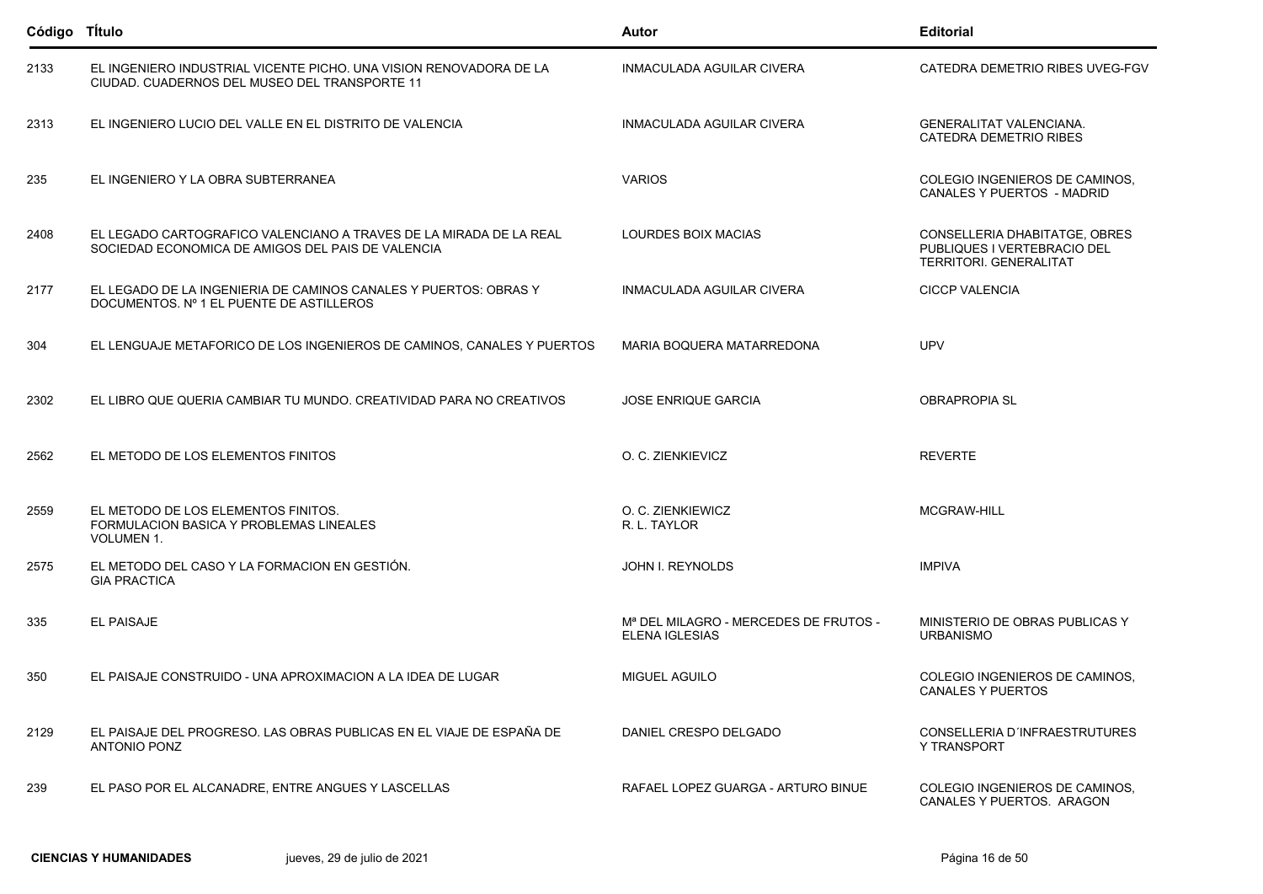| Código TÍtulo |                                                                                                                         | Autor                                                                      | <b>Editorial</b>                                                                       |
|---------------|-------------------------------------------------------------------------------------------------------------------------|----------------------------------------------------------------------------|----------------------------------------------------------------------------------------|
| 2133          | EL INGENIERO INDUSTRIAL VICENTE PICHO. UNA VISION RENOVADORA DE LA<br>CIUDAD. CUADERNOS DEL MUSEO DEL TRANSPORTE 11     | <b>INMACULADA AGUILAR CIVERA</b>                                           | CATEDRA DEMETRIO RIBES UVEG-FGV                                                        |
| 2313          | EL INGENIERO LUCIO DEL VALLE EN EL DISTRITO DE VALENCIA                                                                 | INMACULADA AGUILAR CIVERA                                                  | <b>GENERALITAT VALENCIANA.</b><br><b>CATEDRA DEMETRIO RIBES</b>                        |
| 235           | EL INGENIERO Y LA OBRA SUBTERRANEA                                                                                      | <b>VARIOS</b>                                                              | COLEGIO INGENIEROS DE CAMINOS,<br><b>CANALES Y PUERTOS - MADRID</b>                    |
| 2408          | EL LEGADO CARTOGRAFICO VALENCIANO A TRAVES DE LA MIRADA DE LA REAL<br>SOCIEDAD ECONOMICA DE AMIGOS DEL PAIS DE VALENCIA | LOURDES BOIX MACIAS                                                        | CONSELLERIA DHABITATGE, OBRES<br>PUBLIQUES I VERTEBRACIO DEL<br>TERRITORI. GENERALITAT |
| 2177          | EL LEGADO DE LA INGENIERIA DE CAMINOS CANALES Y PUERTOS: OBRAS Y<br>DOCUMENTOS. Nº 1 EL PUENTE DE ASTILLEROS            | INMACULADA AGUILAR CIVERA                                                  | <b>CICCP VALENCIA</b>                                                                  |
| 304           | EL LENGUAJE METAFORICO DE LOS INGENIEROS DE CAMINOS, CANALES Y PUERTOS                                                  | MARIA BOQUERA MATARREDONA                                                  | <b>UPV</b>                                                                             |
| 2302          | EL LIBRO QUE QUERIA CAMBIAR TU MUNDO. CREATIVIDAD PARA NO CREATIVOS                                                     | <b>JOSE ENRIQUE GARCIA</b>                                                 | <b>OBRAPROPIA SL</b>                                                                   |
| 2562          | EL METODO DE LOS ELEMENTOS FINITOS                                                                                      | O. C. ZIENKIEVICZ                                                          | <b>REVERTE</b>                                                                         |
| 2559          | EL METODO DE LOS ELEMENTOS FINITOS.<br>FORMULACION BASICA Y PROBLEMAS LINEALES<br><b>VOLUMEN 1.</b>                     | O. C. ZIENKIEWICZ<br>R. L. TAYLOR                                          | MCGRAW-HILL                                                                            |
| 2575          | EL METODO DEL CASO Y LA FORMACION EN GESTIÓN.<br><b>GIA PRACTICA</b>                                                    | <b>JOHN I. REYNOLDS</b>                                                    | <b>IMPIVA</b>                                                                          |
| 335           | <b>EL PAISAJE</b>                                                                                                       | M <sup>ª</sup> DEL MILAGRO - MERCEDES DE FRUTOS -<br><b>ELENA IGLESIAS</b> | MINISTERIO DE OBRAS PUBLICAS Y<br><b>URBANISMO</b>                                     |
| 350           | EL PAISAJE CONSTRUIDO - UNA APROXIMACION A LA IDEA DE LUGAR                                                             | <b>MIGUEL AGUILO</b>                                                       | COLEGIO INGENIEROS DE CAMINOS.<br>CANALES Y PUERTOS                                    |
| 2129          | EL PAISAJE DEL PROGRESO. LAS OBRAS PUBLICAS EN EL VIAJE DE ESPAÑA DE<br><b>ANTONIO PONZ</b>                             | DANIEL CRESPO DELGADO                                                      | CONSELLERIA D'INFRAESTRUTURES<br>Y TRANSPORT                                           |
| 239           | EL PASO POR EL ALCANADRE, ENTRE ANGUES Y LASCELLAS                                                                      | RAFAEL LOPEZ GUARGA - ARTURO BINUE                                         | COLEGIO INGENIEROS DE CAMINOS.<br>CANALES Y PUERTOS. ARAGON                            |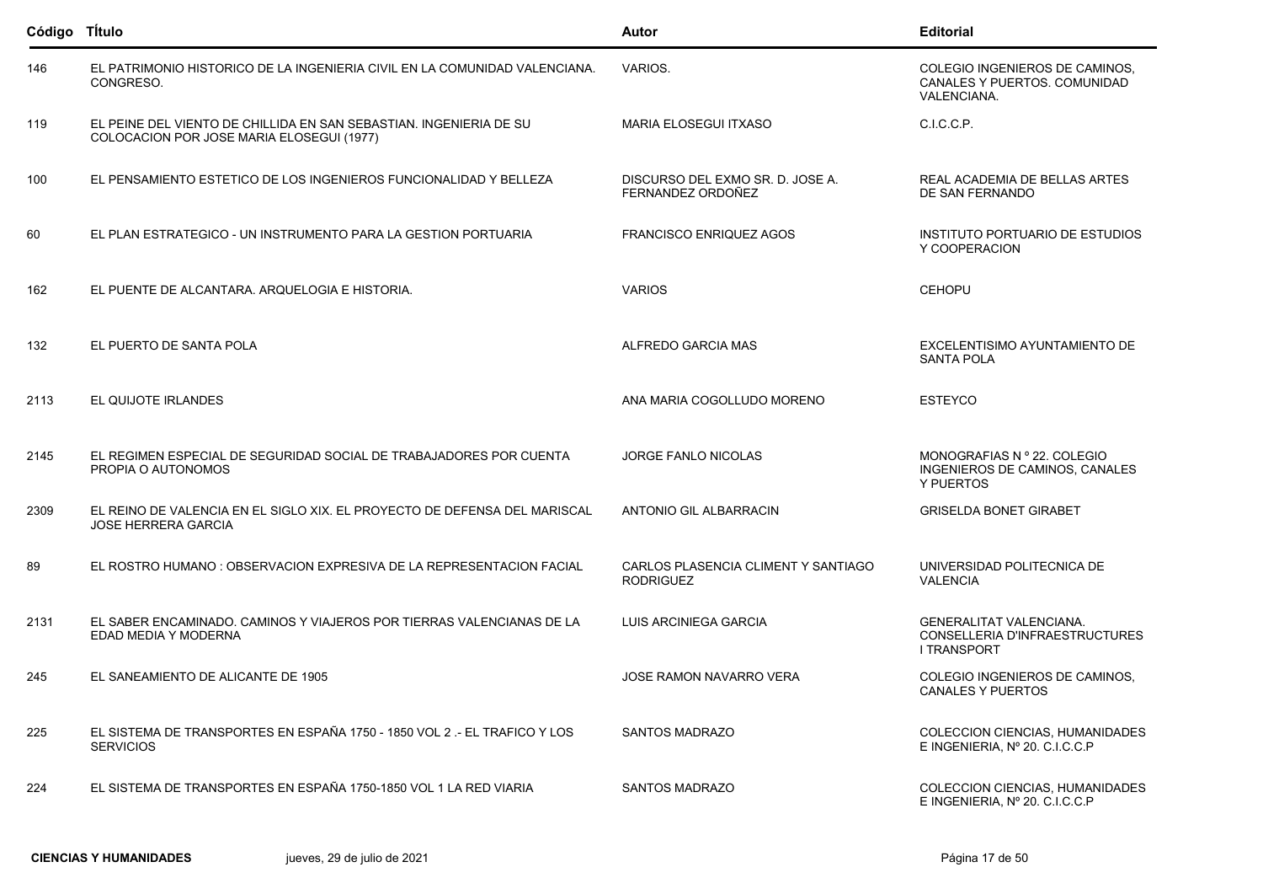| Código Título |                                                                                                                 | Autor                                                   | <b>Editorial</b>                                                                       |
|---------------|-----------------------------------------------------------------------------------------------------------------|---------------------------------------------------------|----------------------------------------------------------------------------------------|
| 146           | EL PATRIMONIO HISTORICO DE LA INGENIERIA CIVIL EN LA COMUNIDAD VALENCIANA.<br>CONGRESO.                         | VARIOS.                                                 | COLEGIO INGENIEROS DE CAMINOS,<br>CANALES Y PUERTOS. COMUNIDAD<br><b>VALENCIANA.</b>   |
| 119           | EL PEINE DEL VIENTO DE CHILLIDA EN SAN SEBASTIAN. INGENIERIA DE SU<br>COLOCACION POR JOSE MARIA ELOSEGUI (1977) | <b>MARIA ELOSEGUI ITXASO</b>                            | C.I.C.C.P.                                                                             |
| 100           | EL PENSAMIENTO ESTETICO DE LOS INGENIEROS FUNCIONALIDAD Y BELLEZA                                               | DISCURSO DEL EXMO SR. D. JOSE A.<br>FERNANDEZ ORDOÑEZ   | REAL ACADEMIA DE BELLAS ARTES<br>DE SAN FERNANDO                                       |
| 60            | EL PLAN ESTRATEGICO - UN INSTRUMENTO PARA LA GESTION PORTUARIA                                                  | <b>FRANCISCO ENRIQUEZ AGOS</b>                          | INSTITUTO PORTUARIO DE ESTUDIOS<br>Y COOPERACION                                       |
| 162           | EL PUENTE DE ALCANTARA. ARQUELOGIA E HISTORIA.                                                                  | <b>VARIOS</b>                                           | <b>CEHOPU</b>                                                                          |
| 132           | EL PUERTO DE SANTA POLA                                                                                         | ALFREDO GARCIA MAS                                      | EXCELENTISIMO AYUNTAMIENTO DE<br><b>SANTA POLA</b>                                     |
| 2113          | EL QUIJOTE IRLANDES                                                                                             | ANA MARIA COGOLLUDO MORENO                              | ESTEYCO                                                                                |
| 2145          | EL REGIMEN ESPECIAL DE SEGURIDAD SOCIAL DE TRABAJADORES POR CUENTA<br>PROPIA O AUTONOMOS                        | <b>JORGE FANLO NICOLAS</b>                              | MONOGRAFIAS N º 22. COLEGIO<br>INGENIEROS DE CAMINOS, CANALES<br>Y PUERTOS             |
| 2309          | EL REINO DE VALENCIA EN EL SIGLO XIX. EL PROYECTO DE DEFENSA DEL MARISCAL<br><b>JOSE HERRERA GARCIA</b>         | ANTONIO GIL ALBARRACIN                                  | <b>GRISELDA BONET GIRABET</b>                                                          |
| 89            | EL ROSTRO HUMANO : OBSERVACION EXPRESIVA DE LA REPRESENTACION FACIAL                                            | CARLOS PLASENCIA CLIMENT Y SANTIAGO<br><b>RODRIGUEZ</b> | UNIVERSIDAD POLITECNICA DE<br><b>VALENCIA</b>                                          |
| 2131          | EL SABER ENCAMINADO. CAMINOS Y VIAJEROS POR TIERRAS VALENCIANAS DE LA<br>EDAD MEDIA Y MODERNA                   | LUIS ARCINIEGA GARCIA                                   | <b>GENERALITAT VALENCIANA.</b><br>CONSELLERIA D'INFRAESTRUCTURES<br><b>I TRANSPORT</b> |
| 245           | EL SANEAMIENTO DE ALICANTE DE 1905                                                                              | JOSE RAMON NAVARRO VERA                                 | COLEGIO INGENIEROS DE CAMINOS,<br><b>CANALES Y PUERTOS</b>                             |
| 225           | EL SISTEMA DE TRANSPORTES EN ESPAÑA 1750 - 1850 VOL 2 - EL TRAFICO Y LOS<br><b>SERVICIOS</b>                    | <b>SANTOS MADRAZO</b>                                   | COLECCION CIENCIAS, HUMANIDADES<br>E INGENIERIA. Nº 20. C.I.C.C.P                      |
| 224           | EL SISTEMA DE TRANSPORTES EN ESPAÑA 1750-1850 VOL 1 LA RED VIARIA                                               | SANTOS MADRAZO                                          | COLECCION CIENCIAS, HUMANIDADES<br>E INGENIERIA, Nº 20. C.I.C.C.P                      |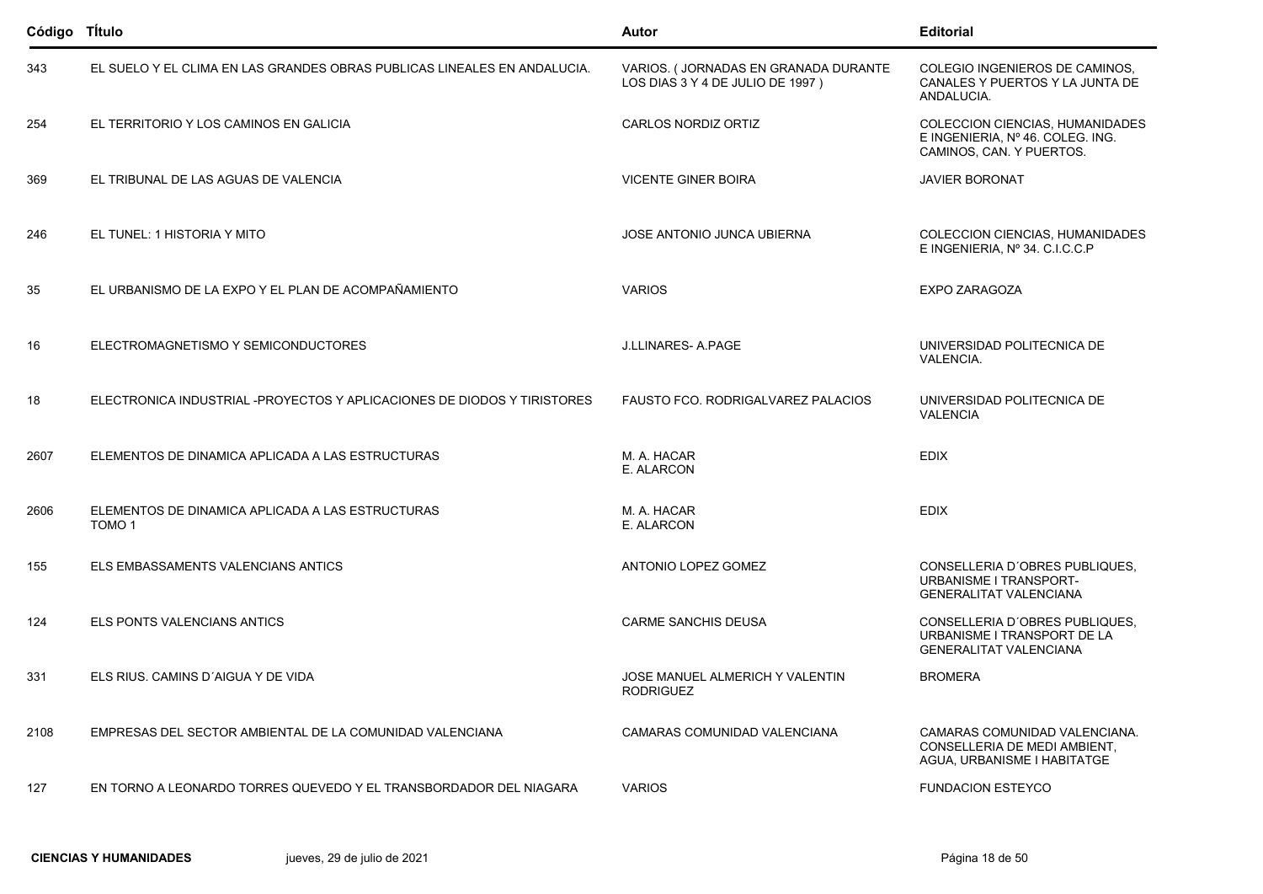| Código Título |                                                                          | Autor                                                                    | <b>Editorial</b>                                                                                |
|---------------|--------------------------------------------------------------------------|--------------------------------------------------------------------------|-------------------------------------------------------------------------------------------------|
| 343           | EL SUELO Y EL CLIMA EN LAS GRANDES OBRAS PUBLICAS LINEALES EN ANDALUCIA. | VARIOS. (JORNADAS EN GRANADA DURANTE<br>LOS DIAS 3 Y 4 DE JULIO DE 1997) | COLEGIO INGENIEROS DE CAMINOS,<br>CANALES Y PUERTOS Y LA JUNTA DE<br>ANDALUCIA.                 |
| 254           | EL TERRITORIO Y LOS CAMINOS EN GALICIA                                   | CARLOS NORDIZ ORTIZ                                                      | COLECCION CIENCIAS, HUMANIDADES<br>E INGENIERIA, Nº 46. COLEG. ING.<br>CAMINOS, CAN. Y PUERTOS. |
| 369           | EL TRIBUNAL DE LAS AGUAS DE VALENCIA                                     | <b>VICENTE GINER BOIRA</b>                                               | <b>JAVIER BORONAT</b>                                                                           |
| 246           | EL TUNEL: 1 HISTORIA Y MITO                                              | JOSE ANTONIO JUNCA UBIERNA                                               | COLECCION CIENCIAS, HUMANIDADES<br>E INGENIERIA, Nº 34. C.I.C.C.P                               |
| 35            | EL URBANISMO DE LA EXPO Y EL PLAN DE ACOMPAÑAMIENTO                      | <b>VARIOS</b>                                                            | <b>EXPO ZARAGOZA</b>                                                                            |
| 16            | ELECTROMAGNETISMO Y SEMICONDUCTORES                                      | <b>J.LLINARES- A.PAGE</b>                                                | UNIVERSIDAD POLITECNICA DE<br>VALENCIA.                                                         |
| 18            | ELECTRONICA INDUSTRIAL -PROYECTOS Y APLICACIONES DE DIODOS Y TIRISTORES  | FAUSTO FCO. RODRIGALVAREZ PALACIOS                                       | UNIVERSIDAD POLITECNICA DE<br><b>VALENCIA</b>                                                   |
| 2607          | ELEMENTOS DE DINAMICA APLICADA A LAS ESTRUCTURAS                         | M. A. HACAR<br>E. ALARCON                                                | <b>EDIX</b>                                                                                     |
| 2606          | ELEMENTOS DE DINAMICA APLICADA A LAS ESTRUCTURAS<br>TOMO <sub>1</sub>    | M. A. HACAR<br>E. ALARCON                                                | <b>EDIX</b>                                                                                     |
| 155           | ELS EMBASSAMENTS VALENCIANS ANTICS                                       | ANTONIO LOPEZ GOMEZ                                                      | CONSELLERIA D'OBRES PUBLIQUES.<br>URBANISME I TRANSPORT-<br><b>GENERALITAT VALENCIANA</b>       |
| 124           | ELS PONTS VALENCIANS ANTICS                                              | <b>CARME SANCHIS DEUSA</b>                                               | CONSELLERIA D'OBRES PUBLIQUES.<br>URBANISME I TRANSPORT DE LA<br><b>GENERALITAT VALENCIANA</b>  |
| 331           | ELS RIUS. CAMINS D'AIGUA Y DE VIDA                                       | JOSE MANUEL ALMERICH Y VALENTIN<br>RODRIGUEZ                             | <b>BROMERA</b>                                                                                  |
| 2108          | EMPRESAS DEL SECTOR AMBIENTAL DE LA COMUNIDAD VALENCIANA                 | CAMARAS COMUNIDAD VALENCIANA                                             | CAMARAS COMUNIDAD VALENCIANA.<br>CONSELLERIA DE MEDI AMBIENT,<br>AGUA, URBANISME I HABITATGE    |
| 127           | EN TORNO A LEONARDO TORRES QUEVEDO Y EL TRANSBORDADOR DEL NIAGARA        | <b>VARIOS</b>                                                            | <b>FUNDACION ESTEYCO</b>                                                                        |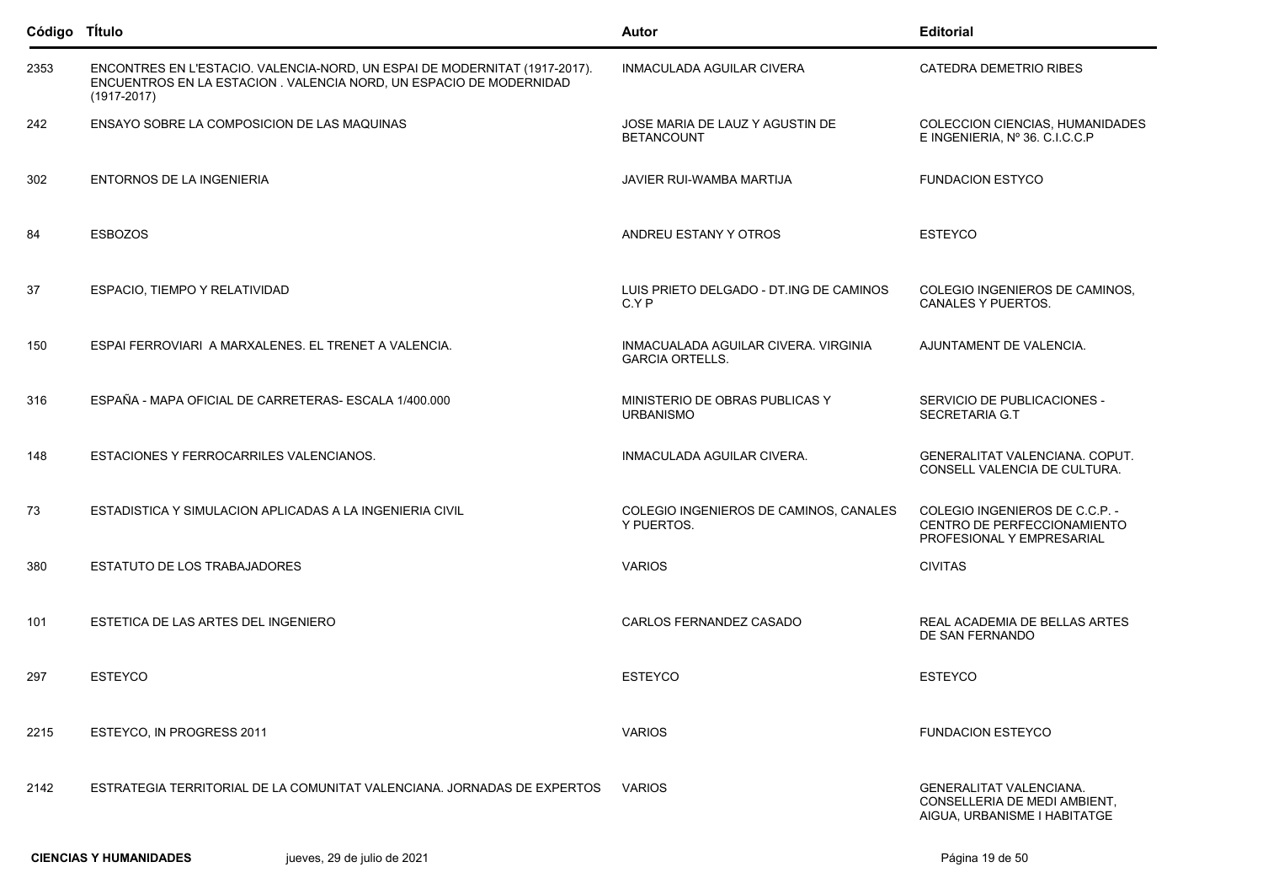| Código Título |                                                                                                                                                                     | Autor                                                          | <b>Editorial</b>                                                                               |
|---------------|---------------------------------------------------------------------------------------------------------------------------------------------------------------------|----------------------------------------------------------------|------------------------------------------------------------------------------------------------|
| 2353          | ENCONTRES EN L'ESTACIO. VALENCIA-NORD, UN ESPAI DE MODERNITAT (1917-2017).<br>ENCUENTROS EN LA ESTACION. VALENCIA NORD, UN ESPACIO DE MODERNIDAD<br>$(1917 - 2017)$ | <b>INMACULADA AGUILAR CIVERA</b>                               | <b>CATEDRA DEMETRIO RIBES</b>                                                                  |
| 242           | ENSAYO SOBRE LA COMPOSICION DE LAS MAQUINAS                                                                                                                         | JOSE MARIA DE LAUZ Y AGUSTIN DE<br><b>BETANCOUNT</b>           | COLECCION CIENCIAS, HUMANIDADES<br>E INGENIERIA, Nº 36. C.I.C.C.P                              |
| 302           | ENTORNOS DE LA INGENIERIA                                                                                                                                           | JAVIER RUI-WAMBA MARTIJA                                       | <b>FUNDACION ESTYCO</b>                                                                        |
| 84            | <b>ESBOZOS</b>                                                                                                                                                      | ANDREU ESTANY Y OTROS                                          | <b>ESTEYCO</b>                                                                                 |
| 37            | ESPACIO, TIEMPO Y RELATIVIDAD                                                                                                                                       | LUIS PRIETO DELGADO - DT ING DE CAMINOS<br>C.Y P               | COLEGIO INGENIEROS DE CAMINOS,<br>CANALES Y PUERTOS.                                           |
| 150           | ESPAI FERROVIARI A MARXALENES. EL TRENET A VALENCIA.                                                                                                                | INMACUALADA AGUILAR CIVERA. VIRGINIA<br><b>GARCIA ORTELLS.</b> | AJUNTAMENT DE VALENCIA.                                                                        |
| 316           | ESPAÑA - MAPA OFICIAL DE CARRETERAS- ESCALA 1/400.000                                                                                                               | MINISTERIO DE OBRAS PUBLICAS Y<br><b>URBANISMO</b>             | SERVICIO DE PUBLICACIONES -<br>SECRETARIA G.T                                                  |
| 148           | ESTACIONES Y FERROCARRILES VALENCIANOS.                                                                                                                             | INMACULADA AGUILAR CIVERA.                                     | GENERALITAT VALENCIANA. COPUT.<br>CONSELL VALENCIA DE CULTURA.                                 |
| 73            | ESTADISTICA Y SIMULACION APLICADAS A LA INGENIERIA CIVIL                                                                                                            | COLEGIO INGENIEROS DE CAMINOS, CANALES<br>Y PUERTOS.           | COLEGIO INGENIEROS DE C.C.P. -<br>CENTRO DE PERFECCIONAMIENTO<br>PROFESIONAL Y EMPRESARIAL     |
| 380           | ESTATUTO DE LOS TRABAJADORES                                                                                                                                        | <b>VARIOS</b>                                                  | <b>CIVITAS</b>                                                                                 |
| 101           | ESTETICA DE LAS ARTES DEL INGENIERO                                                                                                                                 | CARLOS FERNANDEZ CASADO                                        | REAL ACADEMIA DE BELLAS ARTES<br>DE SAN FERNANDO                                               |
| 297           | <b>ESTEYCO</b>                                                                                                                                                      | <b>ESTEYCO</b>                                                 | <b>ESTEYCO</b>                                                                                 |
| 2215          | ESTEYCO, IN PROGRESS 2011                                                                                                                                           | <b>VARIOS</b>                                                  | <b>FUNDACION ESTEYCO</b>                                                                       |
| 2142          | ESTRATEGIA TERRITORIAL DE LA COMUNITAT VALENCIANA. JORNADAS DE EXPERTOS                                                                                             | <b>VARIOS</b>                                                  | <b>GENERALITAT VALENCIANA.</b><br>CONSELLERIA DE MEDI AMBIENT.<br>AIGUA, URBANISME I HABITATGE |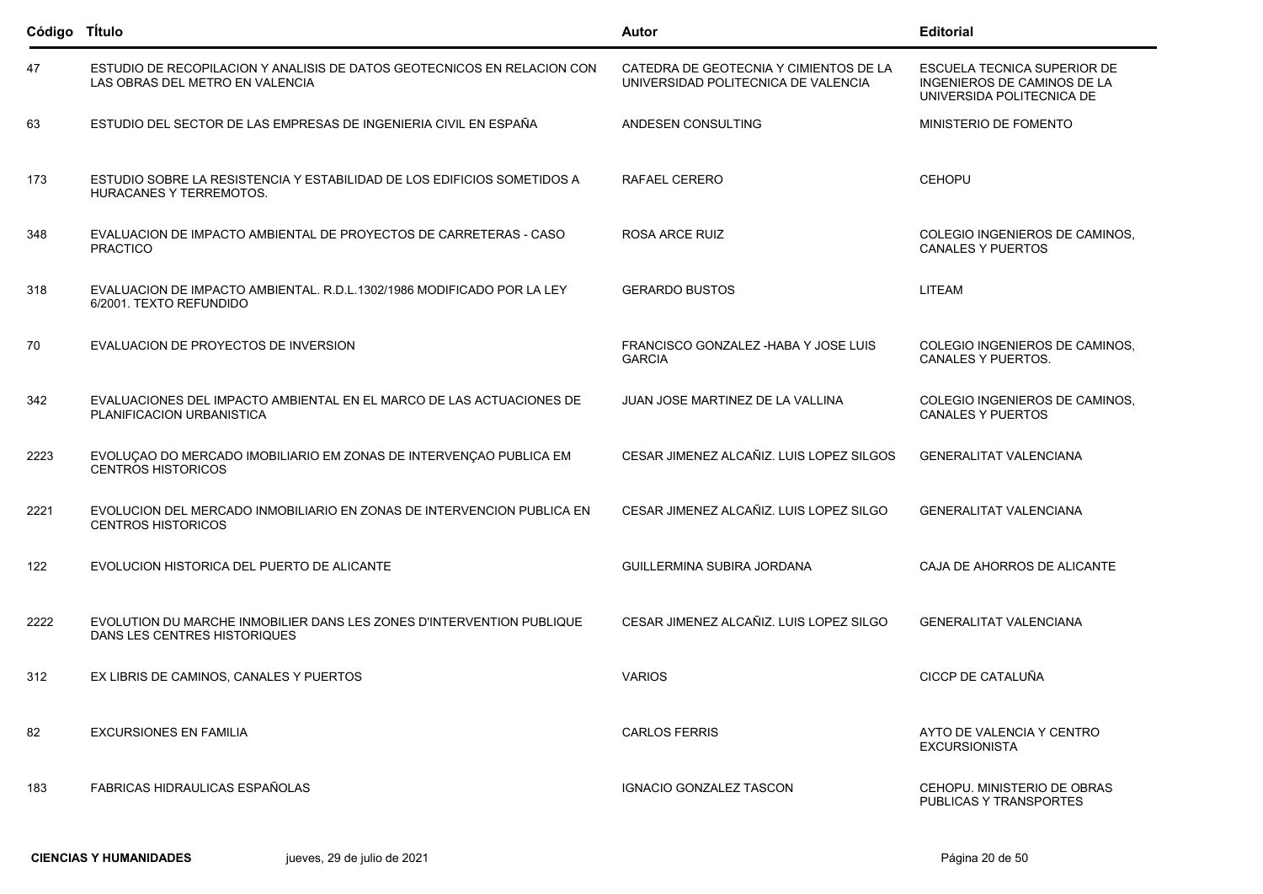| Código Título |                                                                                                            | <b>Autor</b>                                                                  | <b>Editorial</b>                                                                        |
|---------------|------------------------------------------------------------------------------------------------------------|-------------------------------------------------------------------------------|-----------------------------------------------------------------------------------------|
| 47            | ESTUDIO DE RECOPILACION Y ANALISIS DE DATOS GEOTECNICOS EN RELACION CON<br>LAS OBRAS DEL METRO EN VALENCIA | CATEDRA DE GEOTECNIA Y CIMIENTOS DE LA<br>UNIVERSIDAD POLITECNICA DE VALENCIA | ESCUELA TECNICA SUPERIOR DE<br>INGENIEROS DE CAMINOS DE LA<br>UNIVERSIDA POLITECNICA DE |
| 63            | ESTUDIO DEL SECTOR DE LAS EMPRESAS DE INGENIERIA CIVIL EN ESPAÑA                                           | ANDESEN CONSULTING                                                            | MINISTERIO DE FOMENTO                                                                   |
| 173           | ESTUDIO SOBRE LA RESISTENCIA Y ESTABILIDAD DE LOS EDIFICIOS SOMETIDOS A<br><b>HURACANES Y TERREMOTOS.</b>  | RAFAEL CERERO                                                                 | <b>CEHOPU</b>                                                                           |
| 348           | EVALUACION DE IMPACTO AMBIENTAL DE PROYECTOS DE CARRETERAS - CASO<br><b>PRACTICO</b>                       | ROSA ARCE RUIZ                                                                | COLEGIO INGENIEROS DE CAMINOS,<br><b>CANALES Y PUERTOS</b>                              |
| 318           | EVALUACION DE IMPACTO AMBIENTAL, R.D.L.1302/1986 MODIFICADO POR LA LEY<br>6/2001. TEXTO REFUNDIDO          | <b>GERARDO BUSTOS</b>                                                         | <b>LITEAM</b>                                                                           |
| 70            | EVALUACION DE PROYECTOS DE INVERSION                                                                       | FRANCISCO GONZALEZ - HABA Y JOSE LUIS<br><b>GARCIA</b>                        | COLEGIO INGENIEROS DE CAMINOS,<br>CANALES Y PUERTOS.                                    |
| 342           | EVALUACIONES DEL IMPACTO AMBIENTAL EN EL MARCO DE LAS ACTUACIONES DE<br>PLANIFICACION URBANISTICA          | JUAN JOSE MARTINEZ DE LA VALLINA                                              | COLEGIO INGENIEROS DE CAMINOS,<br><b>CANALES Y PUERTOS</b>                              |
| 2223          | EVOLUÇÃO DO MERCADO IMOBILIARIO EM ZONAS DE INTERVENÇÃO PUBLICA EM<br><b>CENTROS HISTORICOS</b>            | CESAR JIMENEZ ALCAÑIZ, LUIS LOPEZ SILGOS                                      | <b>GENERALITAT VALENCIANA</b>                                                           |
| 2221          | EVOLUCION DEL MERCADO INMOBILIARIO EN ZONAS DE INTERVENCION PUBLICA EN<br><b>CENTROS HISTORICOS</b>        | CESAR JIMENEZ ALCAÑIZ. LUIS LOPEZ SILGO                                       | <b>GENERALITAT VALENCIANA</b>                                                           |
| 122           | EVOLUCION HISTORICA DEL PUERTO DE ALICANTE                                                                 | GUILLERMINA SUBIRA JORDANA                                                    | CAJA DE AHORROS DE ALICANTE                                                             |
| 2222          | EVOLUTION DU MARCHE INMOBILIER DANS LES ZONES D'INTERVENTION PUBLIQUE<br>DANS LES CENTRES HISTORIQUES      | CESAR JIMENEZ ALCAÑIZ. LUIS LOPEZ SILGO                                       | <b>GENERALITAT VALENCIANA</b>                                                           |
| 312           | EX LIBRIS DE CAMINOS, CANALES Y PUERTOS                                                                    | <b>VARIOS</b>                                                                 | CICCP DE CATALUÑA                                                                       |
| 82            | <b>EXCURSIONES EN FAMILIA</b>                                                                              | <b>CARLOS FERRIS</b>                                                          | AYTO DE VALENCIA Y CENTRO<br><b>EXCURSIONISTA</b>                                       |
| 183           | FABRICAS HIDRAULICAS ESPAÑOLAS                                                                             | <b>IGNACIO GONZALEZ TASCON</b>                                                | CEHOPU. MINISTERIO DE OBRAS<br>PUBLICAS Y TRANSPORTES                                   |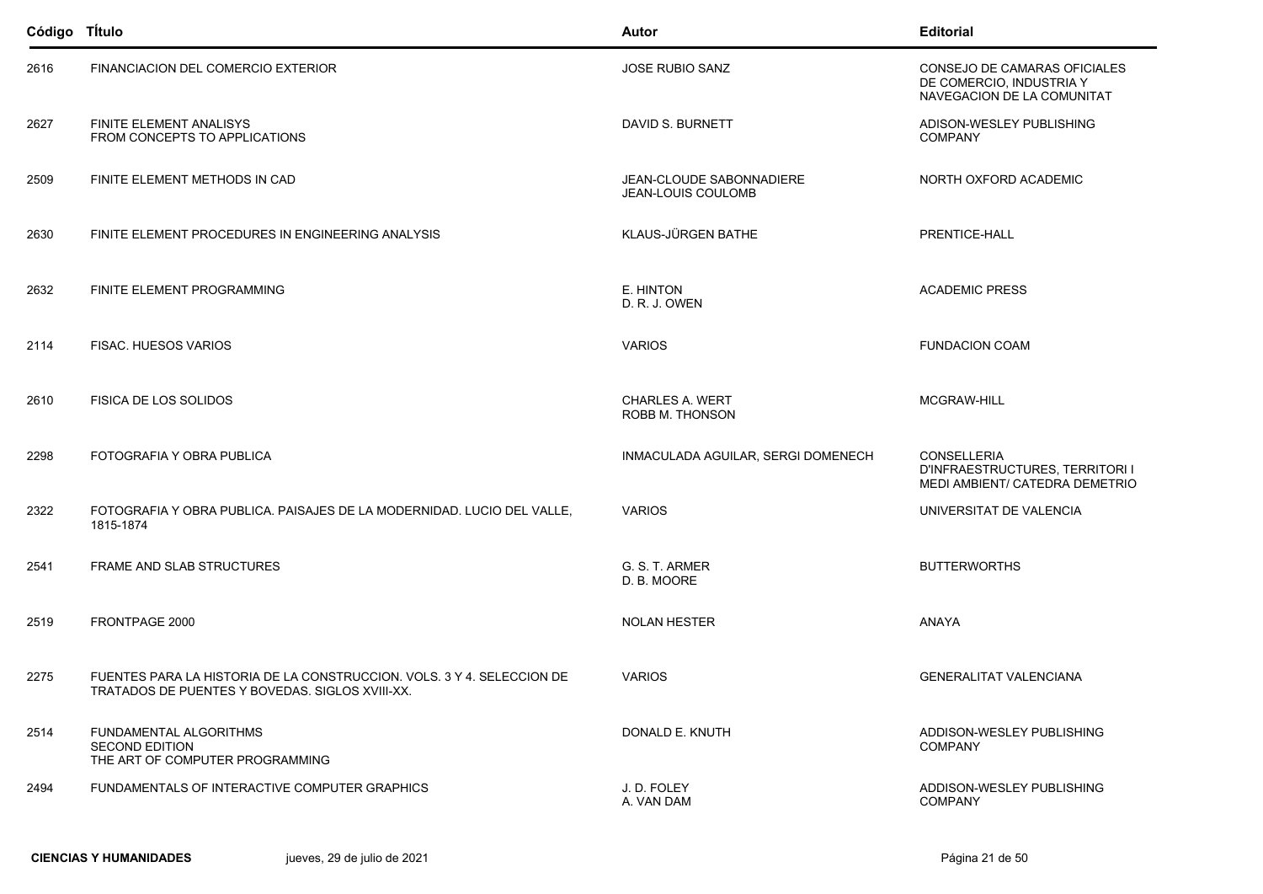| Código Titulo |                                                                                                                           | Autor                                          | <b>Editorial</b>                                                                        |
|---------------|---------------------------------------------------------------------------------------------------------------------------|------------------------------------------------|-----------------------------------------------------------------------------------------|
| 2616          | FINANCIACION DEL COMERCIO EXTERIOR                                                                                        | <b>JOSE RUBIO SANZ</b>                         | CONSEJO DE CAMARAS OFICIALES<br>DE COMERCIO, INDUSTRIA Y<br>NAVEGACION DE LA COMUNITAT  |
| 2627          | <b>FINITE ELEMENT ANALISYS</b><br>FROM CONCEPTS TO APPLICATIONS                                                           | DAVID S. BURNETT                               | ADISON-WESLEY PUBLISHING<br><b>COMPANY</b>                                              |
| 2509          | FINITE ELEMENT METHODS IN CAD                                                                                             | JEAN-CLOUDE SABONNADIERE<br>JEAN-LOUIS COULOMB | NORTH OXFORD ACADEMIC                                                                   |
| 2630          | FINITE ELEMENT PROCEDURES IN ENGINEERING ANALYSIS                                                                         | KLAUS-JÜRGEN BATHE                             | PRENTICE-HALL                                                                           |
| 2632          | FINITE ELEMENT PROGRAMMING                                                                                                | E. HINTON<br>D. R. J. OWEN                     | <b>ACADEMIC PRESS</b>                                                                   |
| 2114          | FISAC. HUESOS VARIOS                                                                                                      | <b>VARIOS</b>                                  | <b>FUNDACION COAM</b>                                                                   |
| 2610          | <b>FISICA DE LOS SOLIDOS</b>                                                                                              | CHARLES A. WERT<br>ROBB M. THONSON             | MCGRAW-HILL                                                                             |
| 2298          | FOTOGRAFIA Y OBRA PUBLICA                                                                                                 | INMACULADA AGUILAR, SERGI DOMENECH             | <b>CONSELLERIA</b><br>D'INFRAESTRUCTURES, TERRITORI I<br>MEDI AMBIENT/ CATEDRA DEMETRIO |
| 2322          | FOTOGRAFIA Y OBRA PUBLICA. PAISAJES DE LA MODERNIDAD. LUCIO DEL VALLE,<br>1815-1874                                       | <b>VARIOS</b>                                  | UNIVERSITAT DE VALENCIA                                                                 |
| 2541          | FRAME AND SLAB STRUCTURES                                                                                                 | G. S. T. ARMER<br>D. B. MOORE                  | <b>BUTTERWORTHS</b>                                                                     |
| 2519          | FRONTPAGE 2000                                                                                                            | <b>NOLAN HESTER</b>                            | <b>ANAYA</b>                                                                            |
| 2275          | FUENTES PARA LA HISTORIA DE LA CONSTRUCCION. VOLS. 3 Y 4. SELECCION DE<br>TRATADOS DE PUENTES Y BOVEDAS. SIGLOS XVIII-XX. | <b>VARIOS</b>                                  | <b>GENERALITAT VALENCIANA</b>                                                           |
| 2514          | FUNDAMENTAL ALGORITHMS<br><b>SECOND EDITION</b><br>THE ART OF COMPUTER PROGRAMMING                                        | DONALD E. KNUTH                                | ADDISON-WESLEY PUBLISHING<br><b>COMPANY</b>                                             |
| 2494          | FUNDAMENTALS OF INTERACTIVE COMPUTER GRAPHICS                                                                             | J.D. FOLEY<br>A. VAN DAM                       | ADDISON-WESLEY PUBLISHING<br><b>COMPANY</b>                                             |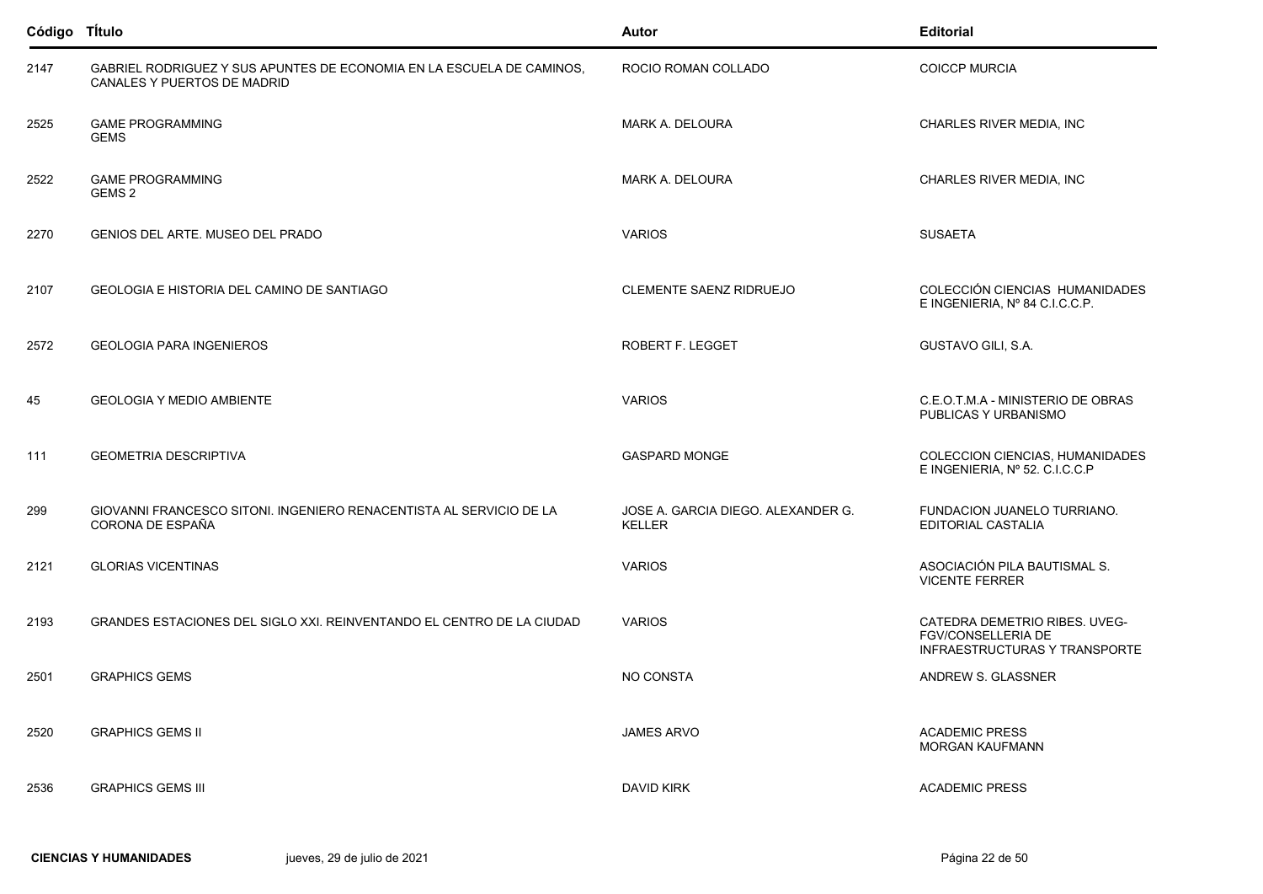| Código TÍtulo |                                                                                                      | Autor                                               | <b>Editorial</b>                                                                            |
|---------------|------------------------------------------------------------------------------------------------------|-----------------------------------------------------|---------------------------------------------------------------------------------------------|
| 2147          | GABRIEL RODRIGUEZ Y SUS APUNTES DE ECONOMIA EN LA ESCUELA DE CAMINOS,<br>CANALES Y PUERTOS DE MADRID | ROCIO ROMAN COLLADO                                 | <b>COICCP MURCIA</b>                                                                        |
| 2525          | <b>GAME PROGRAMMING</b><br><b>GEMS</b>                                                               | MARK A. DELOURA                                     | CHARLES RIVER MEDIA, INC                                                                    |
| 2522          | <b>GAME PROGRAMMING</b><br>GEMS 2                                                                    | MARK A. DELOURA                                     | CHARLES RIVER MEDIA, INC                                                                    |
| 2270          | GENIOS DEL ARTE. MUSEO DEL PRADO                                                                     | <b>VARIOS</b>                                       | <b>SUSAETA</b>                                                                              |
| 2107          | GEOLOGIA E HISTORIA DEL CAMINO DE SANTIAGO                                                           | CLEMENTE SAENZ RIDRUEJO                             | COLECCIÓN CIENCIAS HUMANIDADES<br>E INGENIERIA, Nº 84 C.I.C.C.P.                            |
| 2572          | <b>GEOLOGIA PARA INGENIEROS</b>                                                                      | ROBERT F. LEGGET                                    | GUSTAVO GILI, S.A.                                                                          |
| 45            | <b>GEOLOGIA Y MEDIO AMBIENTE</b>                                                                     | <b>VARIOS</b>                                       | C.E.O.T.M.A - MINISTERIO DE OBRAS<br>PUBLICAS Y URBANISMO                                   |
| 111           | <b>GEOMETRIA DESCRIPTIVA</b>                                                                         | <b>GASPARD MONGE</b>                                | COLECCION CIENCIAS, HUMANIDADES<br>E INGENIERIA, Nº 52. C.I.C.C.P                           |
| 299           | GIOVANNI FRANCESCO SITONI. INGENIERO RENACENTISTA AL SERVICIO DE LA<br>CORONA DE ESPAÑA              | JOSE A. GARCIA DIEGO. ALEXANDER G.<br><b>KELLER</b> | FUNDACION JUANELO TURRIANO.<br>EDITORIAL CASTALIA                                           |
| 2121          | <b>GLORIAS VICENTINAS</b>                                                                            | <b>VARIOS</b>                                       | ASOCIACIÓN PILA BAUTISMAL S.<br><b>VICENTE FERRER</b>                                       |
| 2193          | GRANDES ESTACIONES DEL SIGLO XXI. REINVENTANDO EL CENTRO DE LA CIUDAD                                | <b>VARIOS</b>                                       | CATEDRA DEMETRIO RIBES. UVEG-<br><b>FGV/CONSELLERIA DE</b><br>INFRAESTRUCTURAS Y TRANSPORTE |
| 2501          | <b>GRAPHICS GEMS</b>                                                                                 | NO CONSTA                                           | ANDREW S. GLASSNER                                                                          |
| 2520          | <b>GRAPHICS GEMS II</b>                                                                              | <b>JAMES ARVO</b>                                   | <b>ACADEMIC PRESS</b><br><b>MORGAN KAUFMANN</b>                                             |
| 2536          | <b>GRAPHICS GEMS III</b>                                                                             | DAVID KIRK                                          | <b>ACADEMIC PRESS</b>                                                                       |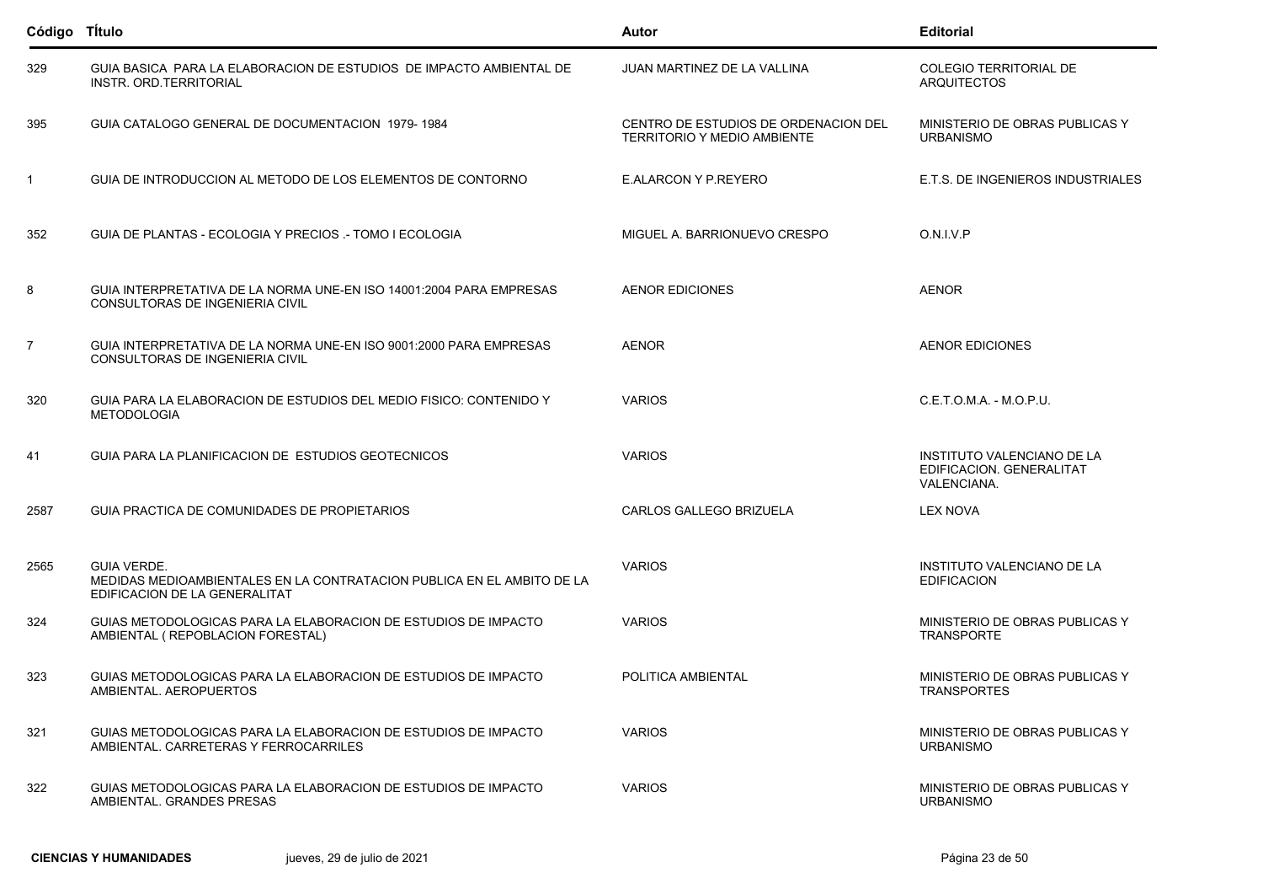| Código TÍtulo  |                                                                                                                               | Autor                                                                      | <b>Editorial</b>                                                             |
|----------------|-------------------------------------------------------------------------------------------------------------------------------|----------------------------------------------------------------------------|------------------------------------------------------------------------------|
| 329            | GUIA BASICA PARA LA ELABORACION DE ESTUDIOS DE IMPACTO AMBIENTAL DE<br>INSTR. ORD. TERRITORIAL                                | JUAN MARTINEZ DE LA VALLINA                                                | COLEGIO TERRITORIAL DE<br><b>ARQUITECTOS</b>                                 |
| 395            | GUIA CATALOGO GENERAL DE DOCUMENTACION 1979-1984                                                                              | CENTRO DE ESTUDIOS DE ORDENACION DEL<br><b>TERRITORIO Y MEDIO AMBIENTE</b> | MINISTERIO DE OBRAS PUBLICAS Y<br><b>URBANISMO</b>                           |
| $\mathbf{1}$   | GUIA DE INTRODUCCION AL METODO DE LOS ELEMENTOS DE CONTORNO                                                                   | E.ALARCON Y P.REYERO                                                       | E.T.S. DE INGENIEROS INDUSTRIALES                                            |
| 352            | GUIA DE PLANTAS - ECOLOGIA Y PRECIOS - TOMO I ECOLOGIA                                                                        | MIGUEL A. BARRIONUEVO CRESPO                                               | O.N.I.V.P                                                                    |
| 8              | GUIA INTERPRETATIVA DE LA NORMA UNE-EN ISO 14001:2004 PARA EMPRESAS<br>CONSULTORAS DE INGENIERIA CIVIL                        | <b>AENOR EDICIONES</b>                                                     | <b>AENOR</b>                                                                 |
| $\overline{7}$ | GUIA INTERPRETATIVA DE LA NORMA UNE-EN ISO 9001:2000 PARA EMPRESAS<br>CONSULTORAS DE INGENIERIA CIVIL                         | <b>AENOR</b>                                                               | <b>AENOR EDICIONES</b>                                                       |
| 320            | GUIA PARA LA ELABORACION DE ESTUDIOS DEL MEDIO FISICO: CONTENIDO Y<br><b>METODOLOGIA</b>                                      | <b>VARIOS</b>                                                              | C.E.T.O.M.A. - M.O.P.U.                                                      |
| 41             | GUIA PARA LA PLANIFICACION DE ESTUDIOS GEOTECNICOS                                                                            | <b>VARIOS</b>                                                              | INSTITUTO VALENCIANO DE LA<br>EDIFICACION. GENERALITAT<br><b>VALENCIANA.</b> |
| 2587           | GUIA PRACTICA DE COMUNIDADES DE PROPIETARIOS                                                                                  | CARLOS GALLEGO BRIZUELA                                                    | <b>LEX NOVA</b>                                                              |
| 2565           | <b>GUIA VERDE.</b><br>MEDIDAS MEDIOAMBIENTALES EN LA CONTRATACION PUBLICA EN EL AMBITO DE LA<br>EDIFICACION DE LA GENERALITAT | <b>VARIOS</b>                                                              | INSTITUTO VALENCIANO DE LA<br><b>EDIFICACION</b>                             |
| 324            | GUIAS METODOLOGICAS PARA LA ELABORACION DE ESTUDIOS DE IMPACTO<br>AMBIENTAL ( REPOBLACION FORESTAL)                           | <b>VARIOS</b>                                                              | MINISTERIO DE OBRAS PUBLICAS Y<br><b>TRANSPORTE</b>                          |
| 323            | GUIAS METODOLOGICAS PARA LA ELABORACION DE ESTUDIOS DE IMPACTO<br>AMBIENTAL. AEROPUERTOS                                      | POLITICA AMBIENTAL                                                         | MINISTERIO DE OBRAS PUBLICAS Y<br><b>TRANSPORTES</b>                         |
| 321            | GUIAS METODOLOGICAS PARA LA ELABORACION DE ESTUDIOS DE IMPACTO<br>AMBIENTAL. CARRETERAS Y FERROCARRILES                       | <b>VARIOS</b>                                                              | MINISTERIO DE OBRAS PUBLICAS Y<br><b>URBANISMO</b>                           |
| 322            | GUIAS METODOLOGICAS PARA LA ELABORACION DE ESTUDIOS DE IMPACTO<br>AMBIENTAL, GRANDES PRESAS                                   | <b>VARIOS</b>                                                              | MINISTERIO DE OBRAS PUBLICAS Y<br><b>URBANISMO</b>                           |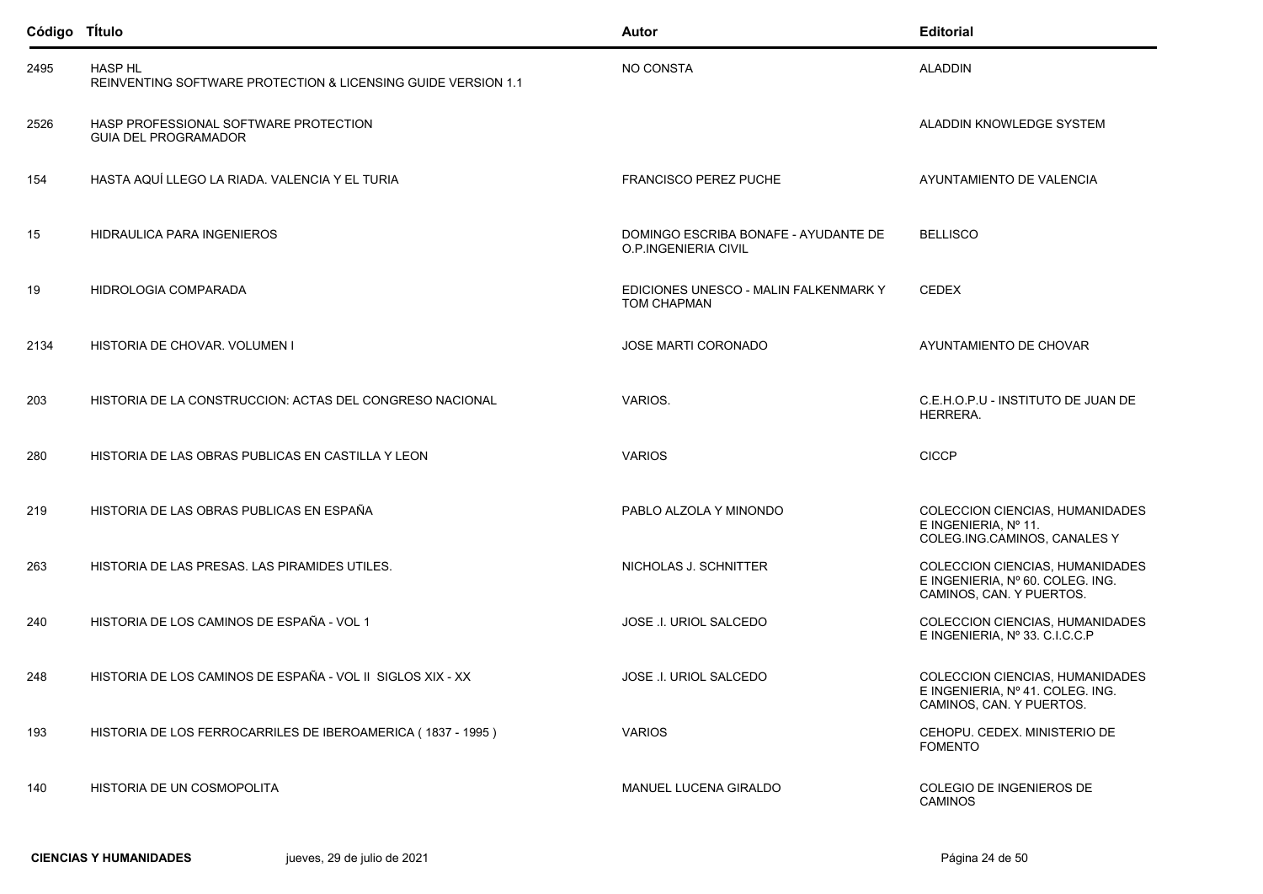| Código Título |                                                                                 | Autor                                                        | <b>Editorial</b>                                                                                |
|---------------|---------------------------------------------------------------------------------|--------------------------------------------------------------|-------------------------------------------------------------------------------------------------|
| 2495          | <b>HASP HL</b><br>REINVENTING SOFTWARE PROTECTION & LICENSING GUIDE VERSION 1.1 | NO CONSTA                                                    | <b>ALADDIN</b>                                                                                  |
| 2526          | HASP PROFESSIONAL SOFTWARE PROTECTION<br><b>GUIA DEL PROGRAMADOR</b>            |                                                              | ALADDIN KNOWLEDGE SYSTEM                                                                        |
| 154           | HASTA AQUÍ LLEGO LA RIADA. VALENCIA Y EL TURIA                                  | <b>FRANCISCO PEREZ PUCHE</b>                                 | AYUNTAMIENTO DE VALENCIA                                                                        |
| 15            | HIDRAULICA PARA INGENIEROS                                                      | DOMINGO ESCRIBA BONAFE - AYUDANTE DE<br>O.P.INGENIERIA CIVIL | <b>BELLISCO</b>                                                                                 |
| 19            | HIDROLOGIA COMPARADA                                                            | EDICIONES UNESCO - MALIN FALKENMARK Y<br><b>TOM CHAPMAN</b>  | <b>CEDEX</b>                                                                                    |
| 2134          | HISTORIA DE CHOVAR. VOLUMEN I                                                   | JOSE MARTI CORONADO                                          | AYUNTAMIENTO DE CHOVAR                                                                          |
| 203           | HISTORIA DE LA CONSTRUCCION: ACTAS DEL CONGRESO NACIONAL                        | VARIOS.                                                      | C.E.H.O.P.U - INSTITUTO DE JUAN DE<br>HERRERA.                                                  |
| 280           | HISTORIA DE LAS OBRAS PUBLICAS EN CASTILLA Y LEON                               | <b>VARIOS</b>                                                | <b>CICCP</b>                                                                                    |
| 219           | HISTORIA DE LAS OBRAS PUBLICAS EN ESPAÑA                                        | PABLO ALZOLA Y MINONDO                                       | COLECCION CIENCIAS, HUMANIDADES<br>E INGENIERIA, Nº 11.<br>COLEG.ING.CAMINOS, CANALES Y         |
| 263           | HISTORIA DE LAS PRESAS. LAS PIRAMIDES UTILES.                                   | NICHOLAS J. SCHNITTER                                        | COLECCION CIENCIAS, HUMANIDADES<br>E INGENIERIA, Nº 60. COLEG. ING.<br>CAMINOS, CAN. Y PUERTOS. |
| 240           | HISTORIA DE LOS CAMINOS DE ESPAÑA - VOL 1                                       | JOSE I. URIOL SALCEDO                                        | COLECCION CIENCIAS, HUMANIDADES<br>E INGENIERIA, Nº 33. C.I.C.C.P                               |
| 248           | HISTORIA DE LOS CAMINOS DE ESPAÑA - VOL II SIGLOS XIX - XX                      | JOSE .I. URIOL SALCEDO                                       | COLECCION CIENCIAS, HUMANIDADES<br>E INGENIERIA, Nº 41. COLEG. ING.<br>CAMINOS, CAN. Y PUERTOS. |
| 193           | HISTORIA DE LOS FERROCARRILES DE IBEROAMERICA (1837 - 1995)                     | <b>VARIOS</b>                                                | CEHOPU. CEDEX. MINISTERIO DE<br><b>FOMENTO</b>                                                  |
| 140           | HISTORIA DE UN COSMOPOLITA                                                      | <b>MANUEL LUCENA GIRALDO</b>                                 | COLEGIO DE INGENIEROS DE<br><b>CAMINOS</b>                                                      |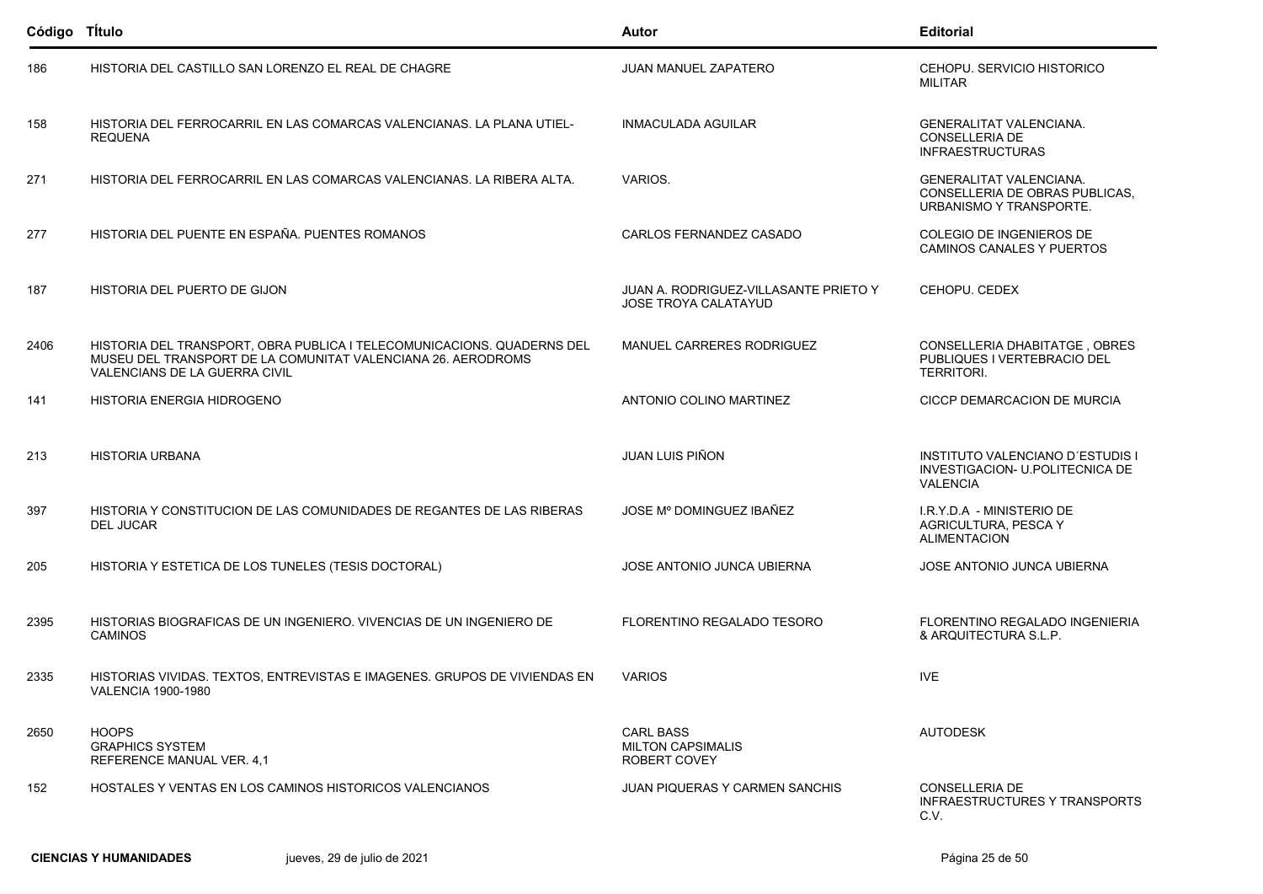| Código Título |                                                                                                                                                                                | Autor                                                                | <b>Editorial</b>                                                                              |
|---------------|--------------------------------------------------------------------------------------------------------------------------------------------------------------------------------|----------------------------------------------------------------------|-----------------------------------------------------------------------------------------------|
| 186           | HISTORIA DEL CASTILLO SAN LORENZO EL REAL DE CHAGRE                                                                                                                            | JUAN MANUEL ZAPATERO                                                 | CEHOPU, SERVICIO HISTORICO<br><b>MILITAR</b>                                                  |
| 158           | HISTORIA DEL FERROCARRIL EN LAS COMARCAS VALENCIANAS. LA PLANA UTIEL-<br><b>REQUENA</b>                                                                                        | <b>INMACULADA AGUILAR</b>                                            | <b>GENERALITAT VALENCIANA.</b><br><b>CONSELLERIA DE</b><br><b>INFRAESTRUCTURAS</b>            |
| 271           | HISTORIA DEL FERROCARRIL EN LAS COMARCAS VALENCIANAS. LA RIBERA ALTA.                                                                                                          | VARIOS.                                                              | <b>GENERALITAT VALENCIANA.</b><br>CONSELLERIA DE OBRAS PUBLICAS,<br>URBANISMO Y TRANSPORTE.   |
| 277           | HISTORIA DEL PUENTE EN ESPAÑA. PUENTES ROMANOS                                                                                                                                 | CARLOS FERNANDEZ CASADO                                              | COLEGIO DE INGENIEROS DE<br>CAMINOS CANALES Y PUERTOS                                         |
| 187           | HISTORIA DEL PUERTO DE GIJON                                                                                                                                                   | JUAN A. RODRIGUEZ-VILLASANTE PRIETO Y<br><b>JOSE TROYA CALATAYUD</b> | CEHOPU, CEDEX                                                                                 |
| 2406          | HISTORIA DEL TRANSPORT, OBRA PUBLICA I TELECOMUNICACIONS. QUADERNS DEL<br>MUSEU DEL TRANSPORT DE LA COMUNITAT VALENCIANA 26. AERODROMS<br><b>VALENCIANS DE LA GUERRA CIVIL</b> | MANUEL CARRERES RODRIGUEZ                                            | <b>CONSELLERIA DHABITATGE, OBRES</b><br>PUBLIQUES I VERTEBRACIO DEL<br><b>TERRITORI.</b>      |
| 141           | HISTORIA ENERGIA HIDROGENO                                                                                                                                                     | ANTONIO COLINO MARTINEZ                                              | CICCP DEMARCACION DE MURCIA                                                                   |
| 213           | <b>HISTORIA URBANA</b>                                                                                                                                                         | JUAN LUIS PIÑON                                                      | <b>INSTITUTO VALENCIANO D'ESTUDIS I</b><br>INVESTIGACION- U.POLITECNICA DE<br><b>VALENCIA</b> |
| 397           | HISTORIA Y CONSTITUCION DE LAS COMUNIDADES DE REGANTES DE LAS RIBERAS<br><b>DEL JUCAR</b>                                                                                      | JOSE Mº DOMINGUEZ IBAÑEZ                                             | I.R.Y.D.A - MINISTERIO DE<br>AGRICULTURA, PESCA Y<br><b>ALIMENTACION</b>                      |
| 205           | HISTORIA Y ESTETICA DE LOS TUNELES (TESIS DOCTORAL)                                                                                                                            | <b>JOSE ANTONIO JUNCA UBIERNA</b>                                    | JOSE ANTONIO JUNCA UBIERNA                                                                    |
| 2395          | HISTORIAS BIOGRAFICAS DE UN INGENIERO. VIVENCIAS DE UN INGENIERO DE<br><b>CAMINOS</b>                                                                                          | FLORENTINO REGALADO TESORO                                           | FLORENTINO REGALADO INGENIERIA<br>& ARQUITECTURA S.L.P.                                       |
| 2335          | HISTORIAS VIVIDAS. TEXTOS, ENTREVISTAS E IMAGENES. GRUPOS DE VIVIENDAS EN<br><b>VALENCIA 1900-1980</b>                                                                         | <b>VARIOS</b>                                                        | <b>IVE</b>                                                                                    |
| 2650          | <b>HOOPS</b><br><b>GRAPHICS SYSTEM</b><br>REFERENCE MANUAL VER. 4,1                                                                                                            | <b>CARL BASS</b><br><b>MILTON CAPSIMALIS</b><br>ROBERT COVEY         | <b>AUTODESK</b>                                                                               |
| 152           | HOSTALES Y VENTAS EN LOS CAMINOS HISTORICOS VALENCIANOS                                                                                                                        | <b>JUAN PIQUERAS Y CARMEN SANCHIS</b>                                | CONSELLERIA DE<br><b>INFRAESTRUCTURES Y TRANSPORTS</b><br>C.V.                                |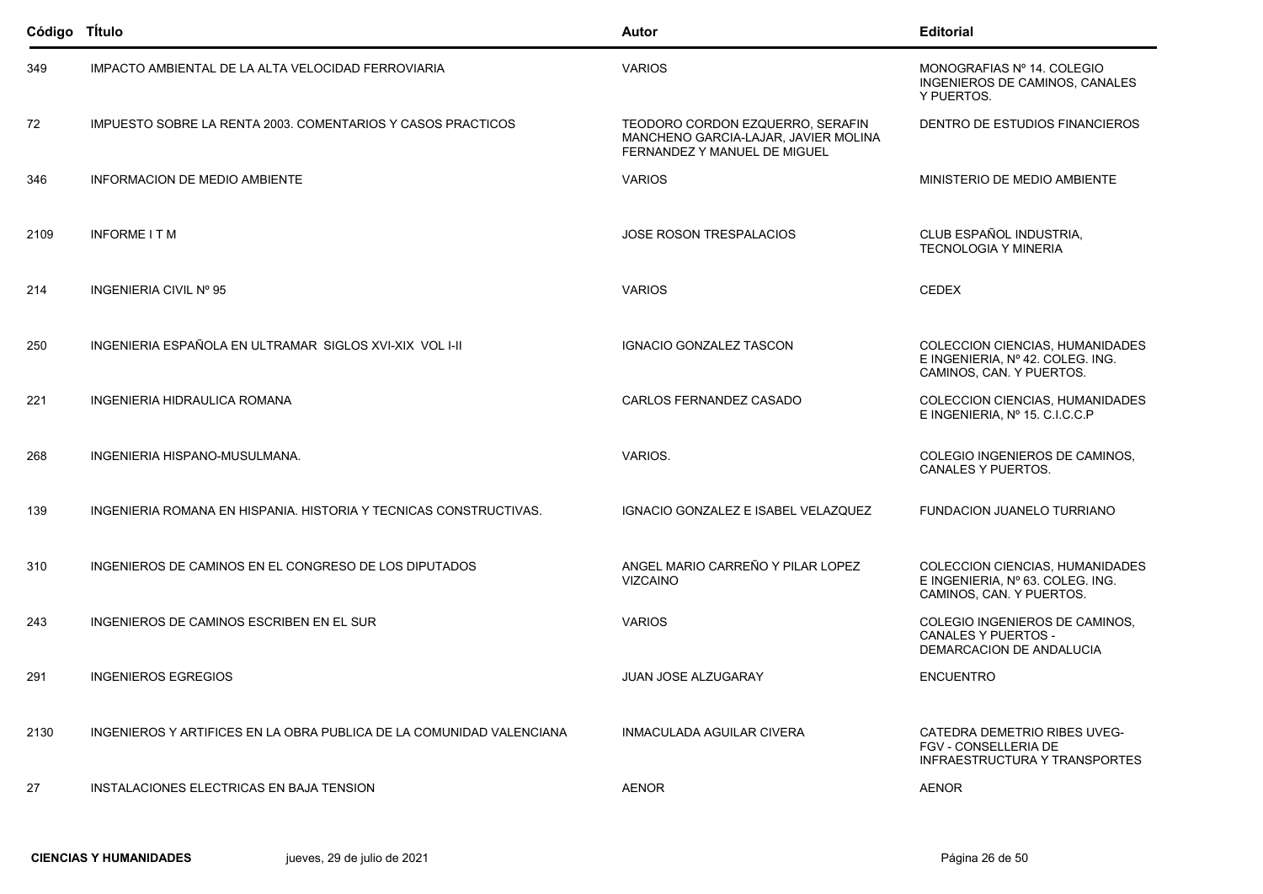| Código Título |                                                                      | <b>Autor</b>                                                                                             | <b>Editorial</b>                                                                                       |
|---------------|----------------------------------------------------------------------|----------------------------------------------------------------------------------------------------------|--------------------------------------------------------------------------------------------------------|
| 349           | IMPACTO AMBIENTAL DE LA ALTA VELOCIDAD FERROVIARIA                   | <b>VARIOS</b>                                                                                            | MONOGRAFIAS Nº 14. COLEGIO<br>INGENIEROS DE CAMINOS, CANALES<br>Y PUERTOS.                             |
| 72            | IMPUESTO SOBRE LA RENTA 2003. COMENTARIOS Y CASOS PRACTICOS          | TEODORO CORDON EZQUERRO, SERAFIN<br>MANCHENO GARCIA-LAJAR, JAVIER MOLINA<br>FERNANDEZ Y MANUEL DE MIGUEL | DENTRO DE ESTUDIOS FINANCIEROS                                                                         |
| 346           | <b>INFORMACION DE MEDIO AMBIENTE</b>                                 | <b>VARIOS</b>                                                                                            | MINISTERIO DE MEDIO AMBIENTE                                                                           |
| 2109          | <b>INFORME ITM</b>                                                   | <b>JOSE ROSON TRESPALACIOS</b>                                                                           | CLUB ESPAÑOL INDUSTRIA,<br><b>TECNOLOGIA Y MINERIA</b>                                                 |
| 214           | INGENIERIA CIVIL Nº 95                                               | <b>VARIOS</b>                                                                                            | <b>CEDEX</b>                                                                                           |
| 250           | INGENIERIA ESPAÑOLA EN ULTRAMAR SIGLOS XVI-XIX VOL I-II              | <b>IGNACIO GONZALEZ TASCON</b>                                                                           | <b>COLECCION CIENCIAS, HUMANIDADES</b><br>E INGENIERIA. Nº 42. COLEG. ING.<br>CAMINOS, CAN. Y PUERTOS. |
| 221           | <b>INGENIERIA HIDRAULICA ROMANA</b>                                  | CARLOS FERNANDEZ CASADO                                                                                  | COLECCION CIENCIAS, HUMANIDADES<br>E INGENIERIA, Nº 15. C.I.C.C.P                                      |
| 268           | INGENIERIA HISPANO-MUSULMANA.                                        | VARIOS.                                                                                                  | COLEGIO INGENIEROS DE CAMINOS,<br>CANALES Y PUERTOS.                                                   |
| 139           | INGENIERIA ROMANA EN HISPANIA. HISTORIA Y TECNICAS CONSTRUCTIVAS.    | IGNACIO GONZALEZ E ISABEL VELAZQUEZ                                                                      | FUNDACION JUANELO TURRIANO                                                                             |
| 310           | INGENIEROS DE CAMINOS EN EL CONGRESO DE LOS DIPUTADOS                | ANGEL MARIO CARREÑO Y PILAR LOPEZ<br><b>VIZCAINO</b>                                                     | COLECCION CIENCIAS, HUMANIDADES<br>E INGENIERIA, Nº 63. COLEG. ING.<br>CAMINOS, CAN. Y PUERTOS.        |
| 243           | INGENIEROS DE CAMINOS ESCRIBEN EN EL SUR                             | <b>VARIOS</b>                                                                                            | COLEGIO INGENIEROS DE CAMINOS,<br><b>CANALES Y PUERTOS -</b><br>DEMARCACION DE ANDALUCIA               |
| 291           | <b>INGENIEROS EGREGIOS</b>                                           | <b>JUAN JOSE ALZUGARAY</b>                                                                               | <b>ENCUENTRO</b>                                                                                       |
| 2130          | INGENIEROS Y ARTIFICES EN LA OBRA PUBLICA DE LA COMUNIDAD VALENCIANA | INMACULADA AGUILAR CIVERA                                                                                | CATEDRA DEMETRIO RIBES UVEG-<br>FGV - CONSELLERIA DE<br>INFRAESTRUCTURA Y TRANSPORTES                  |
| 27            | INSTALACIONES ELECTRICAS EN BAJA TENSION                             | <b>AENOR</b>                                                                                             | <b>AENOR</b>                                                                                           |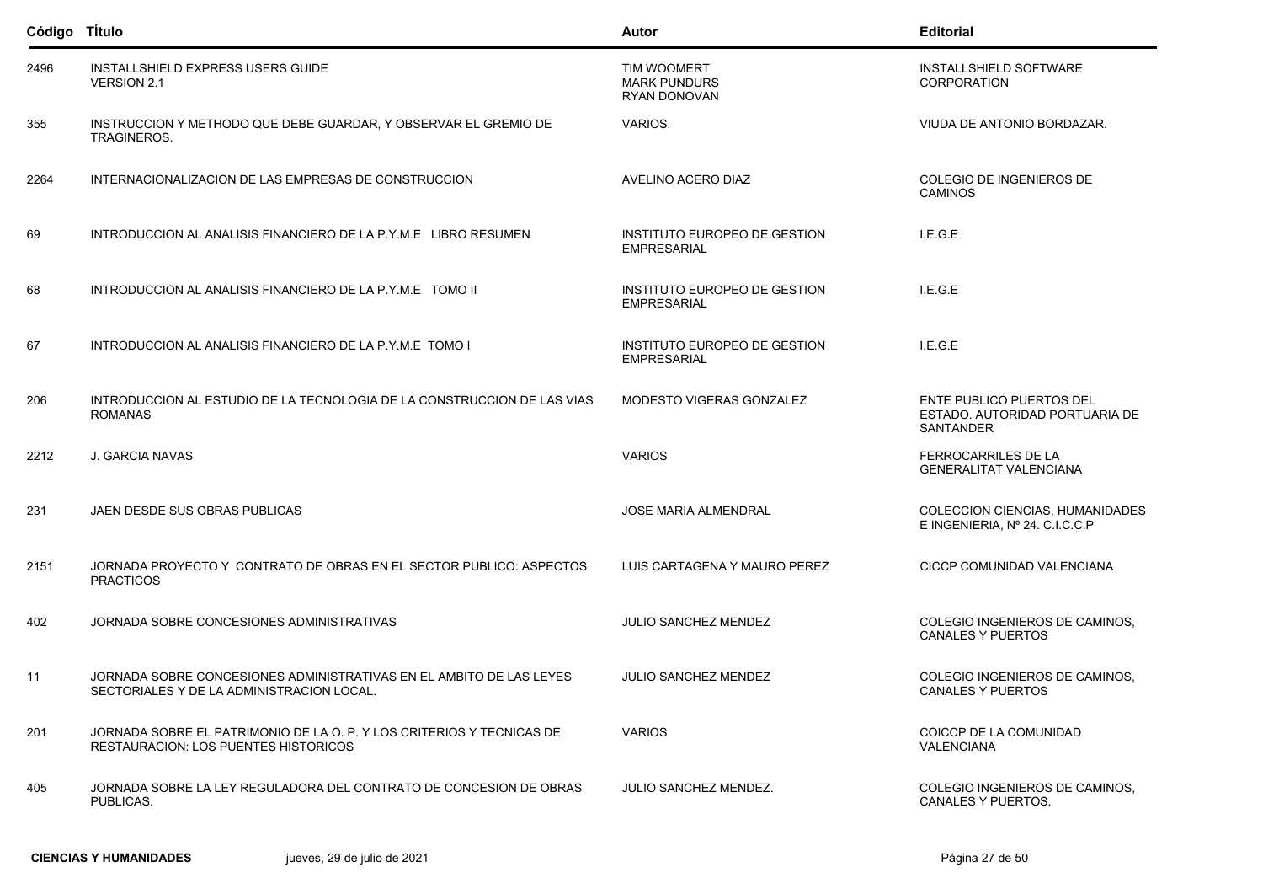| Código Título |                                                                                                                      | Autor                                                     | <b>Editorial</b>                                                        |
|---------------|----------------------------------------------------------------------------------------------------------------------|-----------------------------------------------------------|-------------------------------------------------------------------------|
| 2496          | INSTALLSHIELD EXPRESS USERS GUIDE<br><b>VERSION 2.1</b>                                                              | <b>TIM WOOMERT</b><br><b>MARK PUNDURS</b><br>RYAN DONOVAN | INSTALLSHIELD SOFTWARE<br>CORPORATION                                   |
| 355           | INSTRUCCION Y METHODO QUE DEBE GUARDAR. Y OBSERVAR EL GREMIO DE<br><b>TRAGINEROS.</b>                                | VARIOS.                                                   | VIUDA DE ANTONIO BORDAZAR.                                              |
| 2264          | INTERNACIONALIZACION DE LAS EMPRESAS DE CONSTRUCCION                                                                 | AVELINO ACERO DIAZ                                        | COLEGIO DE INGENIEROS DE<br><b>CAMINOS</b>                              |
| 69            | INTRODUCCION AL ANALISIS FINANCIERO DE LA P.Y.M.E LIBRO RESUMEN                                                      | INSTITUTO EUROPEO DE GESTION<br><b>EMPRESARIAL</b>        | I.E.G.E                                                                 |
| 68            | INTRODUCCION AL ANALISIS FINANCIERO DE LA P.Y.M.E TOMO II                                                            | INSTITUTO EUROPEO DE GESTION<br><b>EMPRESARIAL</b>        | I.E.G.E                                                                 |
| 67            | INTRODUCCION AL ANALISIS FINANCIERO DE LA P.Y.M.E TOMO I                                                             | INSTITUTO EUROPEO DE GESTION<br><b>EMPRESARIAL</b>        | I.E.G.E                                                                 |
| 206           | INTRODUCCION AL ESTUDIO DE LA TECNOLOGIA DE LA CONSTRUCCION DE LAS VIAS<br><b>ROMANAS</b>                            | MODESTO VIGERAS GONZALEZ                                  | ENTE PUBLICO PUERTOS DEL<br>ESTADO. AUTORIDAD PORTUARIA DE<br>SANTANDER |
| 2212          | J. GARCIA NAVAS                                                                                                      | <b>VARIOS</b>                                             | FERROCARRILES DE LA<br><b>GENERALITAT VALENCIANA</b>                    |
| 231           | JAEN DESDE SUS OBRAS PUBLICAS                                                                                        | <b>JOSE MARIA ALMENDRAL</b>                               | COLECCION CIENCIAS, HUMANIDADES<br>E INGENIERIA, Nº 24. C.I.C.C.P       |
| 2151          | JORNADA PROYECTO Y CONTRATO DE OBRAS EN EL SECTOR PUBLICO: ASPECTOS<br><b>PRACTICOS</b>                              | LUIS CARTAGENA Y MAURO PEREZ                              | CICCP COMUNIDAD VALENCIANA                                              |
| 402           | JORNADA SOBRE CONCESIONES ADMINISTRATIVAS                                                                            | <b>JULIO SANCHEZ MENDEZ</b>                               | COLEGIO INGENIEROS DE CAMINOS,<br><b>CANALES Y PUERTOS</b>              |
| 11            | JORNADA SOBRE CONCESIONES ADMINISTRATIVAS EN EL AMBITO DE LAS LEYES<br>SECTORIALES Y DE LA ADMINISTRACION LOCAL      | <b>JULIO SANCHEZ MENDEZ</b>                               | COLEGIO INGENIEROS DE CAMINOS,<br>CANALES Y PUERTOS                     |
| 201           | JORNADA SOBRE EL PATRIMONIO DE LA O. P. Y LOS CRITERIOS Y TECNICAS DE<br><b>RESTAURACION: LOS PUENTES HISTORICOS</b> | <b>VARIOS</b>                                             | COICCP DE LA COMUNIDAD<br>VALENCIANA                                    |
| 405           | JORNADA SOBRE LA LEY REGULADORA DEL CONTRATO DE CONCESION DE OBRAS<br>PUBLICAS.                                      | <b>JULIO SANCHEZ MENDEZ.</b>                              | COLEGIO INGENIEROS DE CAMINOS,<br>CANALES Y PUERTOS.                    |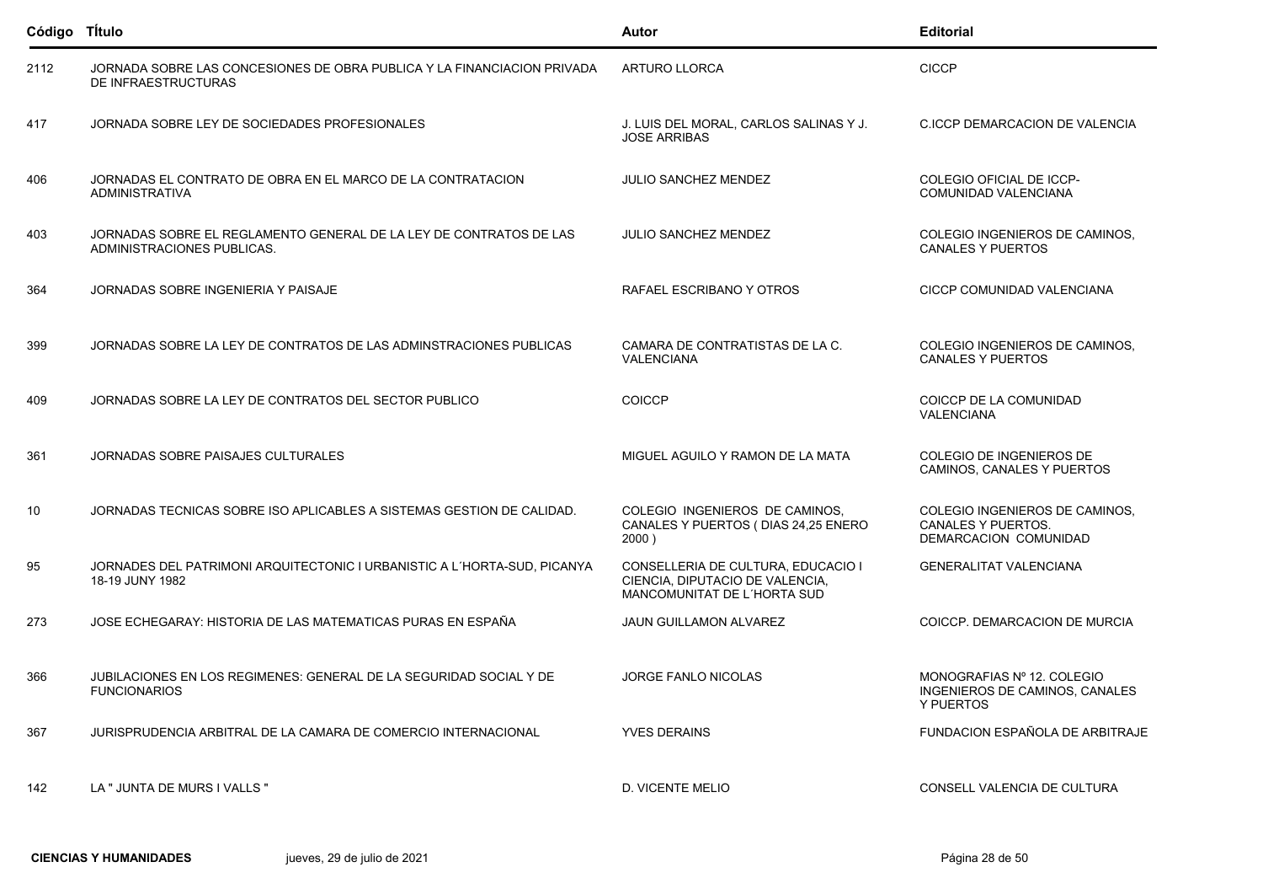| Código Título |                                                                                                  | Autor                                                                                                | <b>Editorial</b>                                                                     |
|---------------|--------------------------------------------------------------------------------------------------|------------------------------------------------------------------------------------------------------|--------------------------------------------------------------------------------------|
| 2112          | JORNADA SOBRE LAS CONCESIONES DE OBRA PUBLICA Y LA FINANCIACION PRIVADA<br>DE INFRAESTRUCTURAS   | <b>ARTURO LLORCA</b>                                                                                 | <b>CICCP</b>                                                                         |
| 417           | JORNADA SOBRE LEY DE SOCIEDADES PROFESIONALES                                                    | J. LUIS DEL MORAL, CARLOS SALINAS Y J.<br><b>JOSE ARRIBAS</b>                                        | C.ICCP DEMARCACION DE VALENCIA                                                       |
| 406           | JORNADAS EL CONTRATO DE OBRA EN EL MARCO DE LA CONTRATACION<br><b>ADMINISTRATIVA</b>             | <b>JULIO SANCHEZ MENDEZ</b>                                                                          | COLEGIO OFICIAL DE ICCP-<br>COMUNIDAD VALENCIANA                                     |
| 403           | JORNADAS SOBRE EL REGLAMENTO GENERAL DE LA LEY DE CONTRATOS DE LAS<br>ADMINISTRACIONES PUBLICAS. | <b>JULIO SANCHEZ MENDEZ</b>                                                                          | COLEGIO INGENIEROS DE CAMINOS,<br><b>CANALES Y PUERTOS</b>                           |
| 364           | JORNADAS SOBRE INGENIERIA Y PAISAJE                                                              | RAFAEL ESCRIBANO Y OTROS                                                                             | CICCP COMUNIDAD VALENCIANA                                                           |
| 399           | JORNADAS SOBRE LA LEY DE CONTRATOS DE LAS ADMINSTRACIONES PUBLICAS                               | CAMARA DE CONTRATISTAS DE LA C.<br>VALENCIANA                                                        | COLEGIO INGENIEROS DE CAMINOS.<br><b>CANALES Y PUERTOS</b>                           |
| 409           | JORNADAS SOBRE LA LEY DE CONTRATOS DEL SECTOR PUBLICO                                            | <b>COICCP</b>                                                                                        | COICCP DE LA COMUNIDAD<br><b>VALENCIANA</b>                                          |
| 361           | JORNADAS SOBRE PAISAJES CULTURALES                                                               | MIGUEL AGUILO Y RAMON DE LA MATA                                                                     | COLEGIO DE INGENIEROS DE<br>CAMINOS, CANALES Y PUERTOS                               |
| 10            | JORNADAS TECNICAS SOBRE ISO APLICABLES A SISTEMAS GESTION DE CALIDAD.                            | COLEGIO INGENIEROS DE CAMINOS.<br>CANALES Y PUERTOS (DIAS 24,25 ENERO<br>2000)                       | COLEGIO INGENIEROS DE CAMINOS,<br><b>CANALES Y PUERTOS.</b><br>DEMARCACION COMUNIDAD |
| 95            | JORNADES DEL PATRIMONI ARQUITECTONIC I URBANISTIC A L'HORTA-SUD, PICANYA<br>18-19 JUNY 1982      | CONSELLERIA DE CULTURA, EDUCACIO I<br>CIENCIA, DIPUTACIO DE VALENCIA,<br>MANCOMUNITAT DE L'HORTA SUD | <b>GENERALITAT VALENCIANA</b>                                                        |
| 273           | JOSE ECHEGARAY: HISTORIA DE LAS MATEMATICAS PURAS EN ESPAÑA                                      | <b>JAUN GUILLAMON ALVAREZ</b>                                                                        | COICCP. DEMARCACION DE MURCIA                                                        |
| 366           | JUBILACIONES EN LOS REGIMENES: GENERAL DE LA SEGURIDAD SOCIAL Y DE<br><b>FUNCIONARIOS</b>        | <b>JORGE FANLO NICOLAS</b>                                                                           | MONOGRAFIAS Nº 12, COLEGIO<br>INGENIEROS DE CAMINOS, CANALES<br>Y PUERTOS            |
| 367           | JURISPRUDENCIA ARBITRAL DE LA CAMARA DE COMERCIO INTERNACIONAL                                   | <b>YVES DERAINS</b>                                                                                  | FUNDACION ESPAÑOLA DE ARBITRAJE                                                      |
| 142           | LA " JUNTA DE MURS I VALLS "                                                                     | D. VICENTE MELIO                                                                                     | CONSELL VALENCIA DE CULTURA                                                          |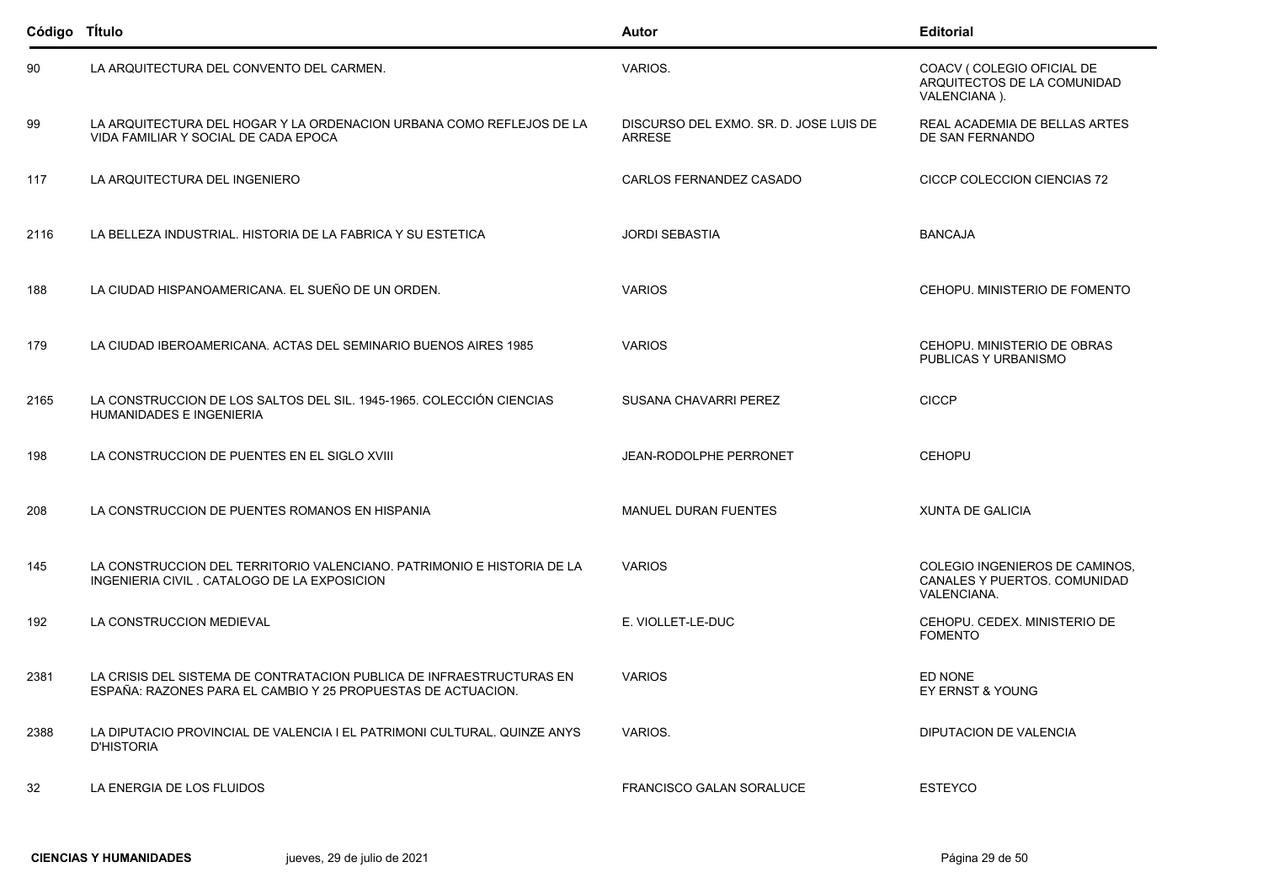| Código Título |                                                                                                                                      | Autor                                                   | <b>Editorial</b>                                                              |
|---------------|--------------------------------------------------------------------------------------------------------------------------------------|---------------------------------------------------------|-------------------------------------------------------------------------------|
| 90            | LA ARQUITECTURA DEL CONVENTO DEL CARMEN.                                                                                             | VARIOS.                                                 | COACV (COLEGIO OFICIAL DE<br>ARQUITECTOS DE LA COMUNIDAD<br>VALENCIANA).      |
| 99            | LA ARQUITECTURA DEL HOGAR Y LA ORDENACION URBANA COMO REFLEJOS DE LA<br>VIDA FAMILIAR Y SOCIAL DE CADA EPOCA                         | DISCURSO DEL EXMO. SR. D. JOSE LUIS DE<br><b>ARRESE</b> | REAL ACADEMIA DE BELLAS ARTES<br>DE SAN FERNANDO                              |
| 117           | LA ARQUITECTURA DEL INGENIERO                                                                                                        | CARLOS FERNANDEZ CASADO                                 | CICCP COLECCION CIENCIAS 72                                                   |
| 2116          | LA BELLEZA INDUSTRIAL. HISTORIA DE LA FABRICA Y SU ESTETICA                                                                          | <b>JORDI SEBASTIA</b>                                   | <b>BANCAJA</b>                                                                |
| 188           | LA CIUDAD HISPANOAMERICANA. EL SUEÑO DE UN ORDEN.                                                                                    | <b>VARIOS</b>                                           | CEHOPU. MINISTERIO DE FOMENTO                                                 |
| 179           | LA CIUDAD IBEROAMERICANA. ACTAS DEL SEMINARIO BUENOS AIRES 1985                                                                      | <b>VARIOS</b>                                           | CEHOPU. MINISTERIO DE OBRAS<br>PUBLICAS Y URBANISMO                           |
| 2165          | LA CONSTRUCCION DE LOS SALTOS DEL SIL. 1945-1965. COLECCIÓN CIENCIAS<br>HUMANIDADES E INGENIERIA                                     | <b>SUSANA CHAVARRI PEREZ</b>                            | <b>CICCP</b>                                                                  |
| 198           | LA CONSTRUCCION DE PUENTES EN EL SIGLO XVIII                                                                                         | JEAN-RODOLPHE PERRONET                                  | <b>CEHOPU</b>                                                                 |
| 208           | LA CONSTRUCCION DE PUENTES ROMANOS EN HISPANIA                                                                                       | <b>MANUEL DURAN FUENTES</b>                             | <b>XUNTA DE GALICIA</b>                                                       |
| 145           | LA CONSTRUCCION DEL TERRITORIO VALENCIANO. PATRIMONIO E HISTORIA DE LA<br>INGENIERIA CIVIL. CATALOGO DE LA EXPOSICION                | <b>VARIOS</b>                                           | COLEGIO INGENIEROS DE CAMINOS,<br>CANALES Y PUERTOS. COMUNIDAD<br>VALENCIANA. |
| 192           | LA CONSTRUCCION MEDIEVAL                                                                                                             | E. VIOLLET-LE-DUC                                       | CEHOPU, CEDEX, MINISTERIO DE<br><b>FOMENTO</b>                                |
| 2381          | LA CRISIS DEL SISTEMA DE CONTRATACION PUBLICA DE INFRAESTRUCTURAS EN<br>ESPAÑA: RAZONES PARA EL CAMBIO Y 25 PROPUESTAS DE ACTUACION. | <b>VARIOS</b>                                           | ED NONE<br>EY ERNST & YOUNG                                                   |
| 2388          | LA DIPUTACIO PROVINCIAL DE VALENCIA I EL PATRIMONI CULTURAL. QUINZE ANYS<br><b>D'HISTORIA</b>                                        | VARIOS.                                                 | DIPUTACION DE VALENCIA                                                        |
| 32            | LA ENERGIA DE LOS FLUIDOS                                                                                                            | <b>FRANCISCO GALAN SORALUCE</b>                         | <b>ESTEYCO</b>                                                                |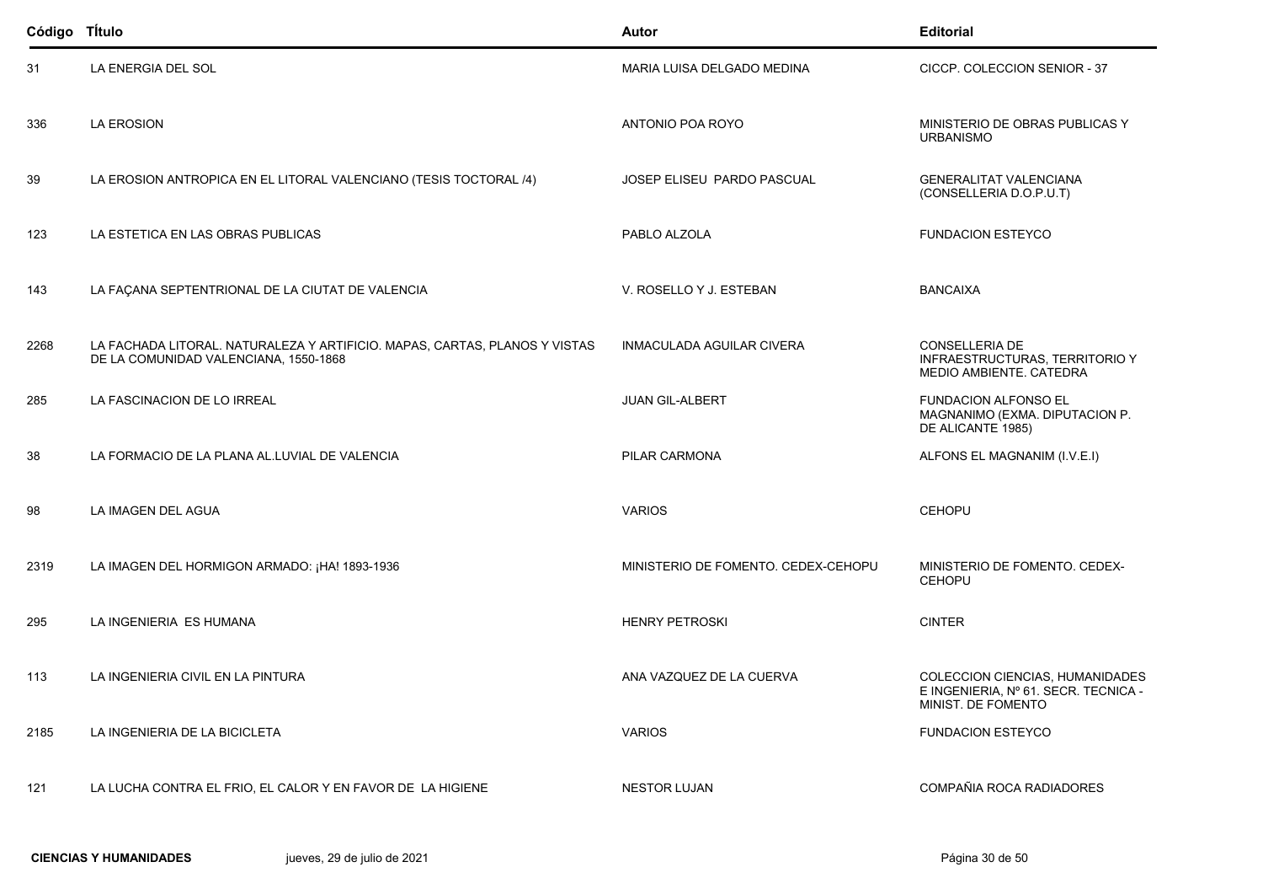| Código TÍtulo |                                                                                                                     | Autor                               | <b>Editorial</b>                                                                              |
|---------------|---------------------------------------------------------------------------------------------------------------------|-------------------------------------|-----------------------------------------------------------------------------------------------|
| 31            | LA ENERGIA DEL SOL                                                                                                  | MARIA LUISA DELGADO MEDINA          | CICCP. COLECCION SENIOR - 37                                                                  |
| 336           | <b>LA EROSION</b>                                                                                                   | ANTONIO POA ROYO                    | MINISTERIO DE OBRAS PUBLICAS Y<br><b>URBANISMO</b>                                            |
| 39            | LA EROSION ANTROPICA EN EL LITORAL VALENCIANO (TESIS TOCTORAL /4)                                                   | JOSEP ELISEU PARDO PASCUAL          | <b>GENERALITAT VALENCIANA</b><br>(CONSELLERIA D.O.P.U.T)                                      |
| 123           | LA ESTETICA EN LAS OBRAS PUBLICAS                                                                                   | PABLO ALZOLA                        | <b>FUNDACION ESTEYCO</b>                                                                      |
| 143           | LA FAÇANA SEPTENTRIONAL DE LA CIUTAT DE VALENCIA                                                                    | V. ROSELLO Y J. ESTEBAN             | <b>BANCAIXA</b>                                                                               |
| 2268          | LA FACHADA LITORAL. NATURALEZA Y ARTIFICIO. MAPAS, CARTAS, PLANOS Y VISTAS<br>DE LA COMUNIDAD VALENCIANA, 1550-1868 | <b>INMACULADA AGUILAR CIVERA</b>    | <b>CONSELLERIA DE</b><br>INFRAESTRUCTURAS, TERRITORIO Y<br>MEDIO AMBIENTE. CATEDRA            |
| 285           | LA FASCINACION DE LO IRREAL                                                                                         | <b>JUAN GIL-ALBERT</b>              | <b>FUNDACION ALFONSO EL</b><br>MAGNANIMO (EXMA. DIPUTACION P.<br>DE ALICANTE 1985)            |
| 38            | LA FORMACIO DE LA PLANA AL.LUVIAL DE VALENCIA                                                                       | PILAR CARMONA                       | ALFONS EL MAGNANIM (I.V.E.I)                                                                  |
| 98            | LA IMAGEN DEL AGUA                                                                                                  | <b>VARIOS</b>                       | <b>CEHOPU</b>                                                                                 |
| 2319          | LA IMAGEN DEL HORMIGON ARMADO: ¡HA! 1893-1936                                                                       | MINISTERIO DE FOMENTO. CEDEX-CEHOPU | MINISTERIO DE FOMENTO. CEDEX-<br><b>CEHOPU</b>                                                |
| 295           | LA INGENIERIA ES HUMANA                                                                                             | <b>HENRY PETROSKI</b>               | <b>CINTER</b>                                                                                 |
| 113           | LA INGENIERIA CIVIL EN LA PINTURA                                                                                   | ANA VAZQUEZ DE LA CUERVA            | COLECCION CIENCIAS, HUMANIDADES<br>E INGENIERIA, Nº 61. SECR. TECNICA -<br>MINIST. DE FOMENTO |
| 2185          | LA INGENIERIA DE LA BICICLETA                                                                                       | <b>VARIOS</b>                       | <b>FUNDACION ESTEYCO</b>                                                                      |
| 121           | LA LUCHA CONTRA EL FRIO, EL CALOR Y EN FAVOR DE LA HIGIENE                                                          | <b>NESTOR LUJAN</b>                 | COMPAÑIA ROCA RADIADORES                                                                      |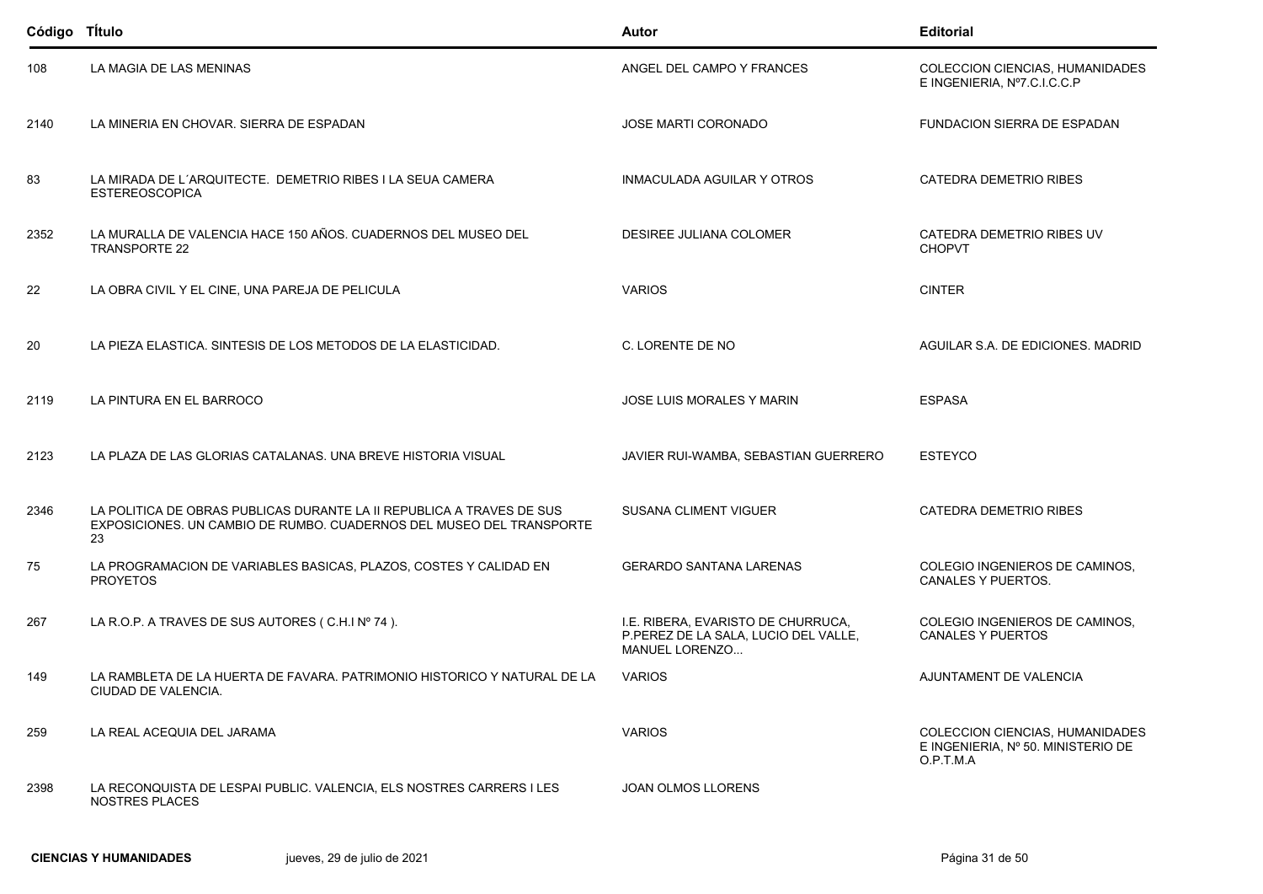| Código Título |                                                                                                                                                     | Autor                                                                                        | <b>Editorial</b>                                                                   |
|---------------|-----------------------------------------------------------------------------------------------------------------------------------------------------|----------------------------------------------------------------------------------------------|------------------------------------------------------------------------------------|
| 108           | LA MAGIA DE LAS MENINAS                                                                                                                             | ANGEL DEL CAMPO Y FRANCES                                                                    | COLECCION CIENCIAS, HUMANIDADES<br>E INGENIERIA, Nº7.C.I.C.C.P                     |
| 2140          | LA MINERIA EN CHOVAR. SIERRA DE ESPADAN                                                                                                             | <b>JOSE MARTI CORONADO</b>                                                                   | <b>FUNDACION SIERRA DE ESPADAN</b>                                                 |
| 83            | LA MIRADA DE L'ARQUITECTE. DEMETRIO RIBES I LA SEUA CAMERA<br><b>ESTEREOSCOPICA</b>                                                                 | INMACULADA AGUILAR Y OTROS                                                                   | CATEDRA DEMETRIO RIBES                                                             |
| 2352          | LA MURALLA DE VALENCIA HACE 150 AÑOS. CUADERNOS DEL MUSEO DEL<br><b>TRANSPORTE 22</b>                                                               | DESIREE JULIANA COLOMER                                                                      | CATEDRA DEMETRIO RIBES UV<br><b>CHOPVT</b>                                         |
| 22            | LA OBRA CIVIL Y EL CINE, UNA PAREJA DE PELICULA                                                                                                     | <b>VARIOS</b>                                                                                | <b>CINTER</b>                                                                      |
| 20            | LA PIEZA ELASTICA. SINTESIS DE LOS METODOS DE LA ELASTICIDAD.                                                                                       | C. LORENTE DE NO                                                                             | AGUILAR S.A. DE EDICIONES. MADRID                                                  |
| 2119          | LA PINTURA EN EL BARROCO                                                                                                                            | <b>JOSE LUIS MORALES Y MARIN</b>                                                             | <b>ESPASA</b>                                                                      |
| 2123          | LA PLAZA DE LAS GLORIAS CATALANAS. UNA BREVE HISTORIA VISUAL                                                                                        | JAVIER RUI-WAMBA, SEBASTIAN GUERRERO                                                         | <b>ESTEYCO</b>                                                                     |
| 2346          | LA POLITICA DE OBRAS PUBLICAS DURANTE LA II REPUBLICA A TRAVES DE SUS<br>EXPOSICIONES. UN CAMBIO DE RUMBO. CUADERNOS DEL MUSEO DEL TRANSPORTE<br>23 | <b>SUSANA CLIMENT VIGUER</b>                                                                 | <b>CATEDRA DEMETRIO RIBES</b>                                                      |
| 75            | LA PROGRAMACION DE VARIABLES BASICAS, PLAZOS, COSTES Y CALIDAD EN<br><b>PROYETOS</b>                                                                | <b>GERARDO SANTANA LARENAS</b>                                                               | COLEGIO INGENIEROS DE CAMINOS,<br>CANALES Y PUERTOS.                               |
| 267           | LA R.O.P. A TRAVES DE SUS AUTORES (C.H.I Nº 74).                                                                                                    | I.E. RIBERA, EVARISTO DE CHURRUCA,<br>P.PEREZ DE LA SALA, LUCIO DEL VALLE,<br>MANUEL LORENZO | COLEGIO INGENIEROS DE CAMINOS,<br><b>CANALES Y PUERTOS</b>                         |
| 149           | LA RAMBLETA DE LA HUERTA DE FAVARA. PATRIMONIO HISTORICO Y NATURAL DE LA<br>CIUDAD DE VALENCIA.                                                     | <b>VARIOS</b>                                                                                | AJUNTAMENT DE VALENCIA                                                             |
| 259           | LA REAL ACEQUIA DEL JARAMA                                                                                                                          | <b>VARIOS</b>                                                                                | COLECCION CIENCIAS, HUMANIDADES<br>E INGENIERIA, Nº 50. MINISTERIO DE<br>O.P.T.M.A |
| 2398          | LA RECONQUISTA DE LESPAI PUBLIC. VALENCIA, ELS NOSTRES CARRERS I LES<br>NOSTRES PLACES                                                              | <b>JOAN OLMOS LLORENS</b>                                                                    |                                                                                    |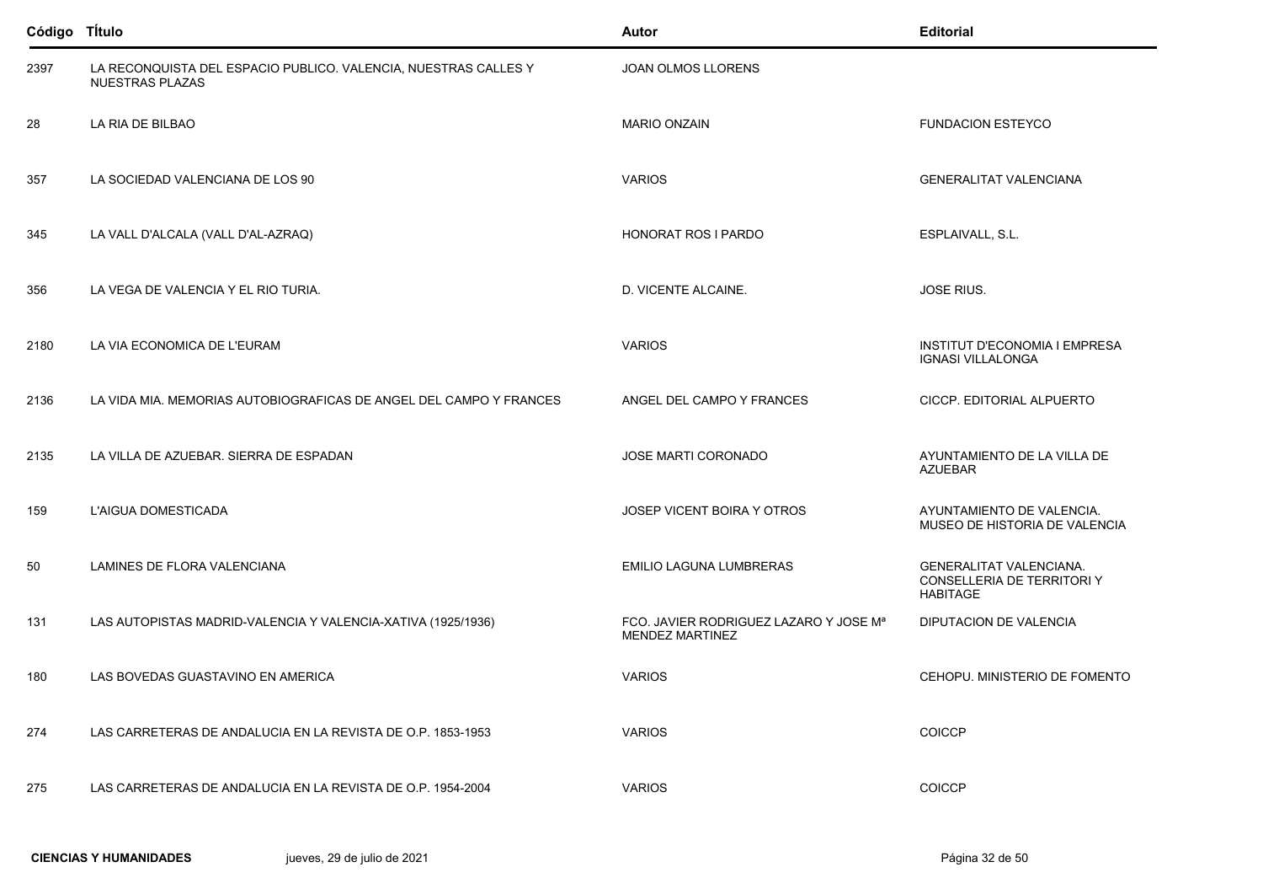| Código Título |                                                                                    | Autor                                                            | <b>Editorial</b>                                                                |
|---------------|------------------------------------------------------------------------------------|------------------------------------------------------------------|---------------------------------------------------------------------------------|
| 2397          | LA RECONQUISTA DEL ESPACIO PUBLICO. VALENCIA, NUESTRAS CALLES Y<br>NUESTRAS PLAZAS | JOAN OLMOS LLORENS                                               |                                                                                 |
| 28            | LA RIA DE BILBAO                                                                   | <b>MARIO ONZAIN</b>                                              | <b>FUNDACION ESTEYCO</b>                                                        |
| 357           | LA SOCIEDAD VALENCIANA DE LOS 90                                                   | <b>VARIOS</b>                                                    | <b>GENERALITAT VALENCIANA</b>                                                   |
| 345           | LA VALL D'ALCALA (VALL D'AL-AZRAQ)                                                 | <b>HONORAT ROS I PARDO</b>                                       | ESPLAIVALL, S.L.                                                                |
| 356           | LA VEGA DE VALENCIA Y EL RIO TURIA.                                                | D. VICENTE ALCAINE.                                              | <b>JOSE RIUS.</b>                                                               |
| 2180          | LA VIA ECONOMICA DE L'EURAM                                                        | <b>VARIOS</b>                                                    | INSTITUT D'ECONOMIA I EMPRESA<br><b>IGNASI VILLALONGA</b>                       |
| 2136          | LA VIDA MIA. MEMORIAS AUTOBIOGRAFICAS DE ANGEL DEL CAMPO Y FRANCES                 | ANGEL DEL CAMPO Y FRANCES                                        | CICCP. EDITORIAL ALPUERTO                                                       |
| 2135          | LA VILLA DE AZUEBAR. SIERRA DE ESPADAN                                             | JOSE MARTI CORONADO                                              | AYUNTAMIENTO DE LA VILLA DE<br><b>AZUEBAR</b>                                   |
| 159           | L'AIGUA DOMESTICADA                                                                | JOSEP VICENT BOIRA Y OTROS                                       | AYUNTAMIENTO DE VALENCIA.<br>MUSEO DE HISTORIA DE VALENCIA                      |
| 50            | LAMINES DE FLORA VALENCIANA                                                        | EMILIO LAGUNA LUMBRERAS                                          | <b>GENERALITAT VALENCIANA.</b><br>CONSELLERIA DE TERRITORI Y<br><b>HABITAGE</b> |
| 131           | LAS AUTOPISTAS MADRID-VALENCIA Y VALENCIA-XATIVA (1925/1936)                       | FCO. JAVIER RODRIGUEZ LAZARO Y JOSE Mª<br><b>MENDEZ MARTINEZ</b> | DIPUTACION DE VALENCIA                                                          |
| 180           | LAS BOVEDAS GUASTAVINO EN AMERICA                                                  | <b>VARIOS</b>                                                    | CEHOPU. MINISTERIO DE FOMENTO                                                   |
| 274           | LAS CARRETERAS DE ANDALUCIA EN LA REVISTA DE O.P. 1853-1953                        | <b>VARIOS</b>                                                    | <b>COICCP</b>                                                                   |
| 275           | LAS CARRETERAS DE ANDALUCIA EN LA REVISTA DE O.P. 1954-2004                        | <b>VARIOS</b>                                                    | <b>COICCP</b>                                                                   |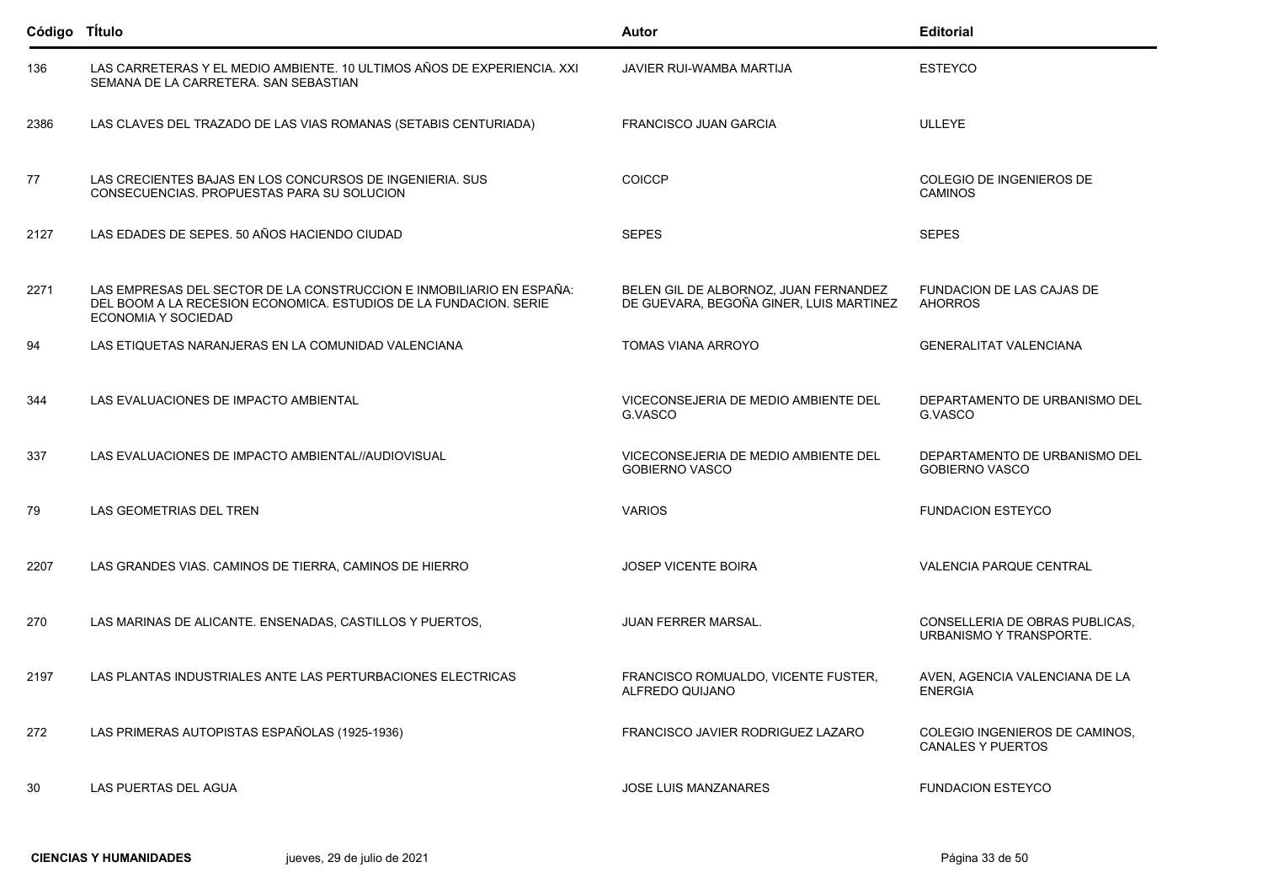| Código Título |                                                                                                                                                                         | Autor                                                                            | <b>Editorial</b>                                           |
|---------------|-------------------------------------------------------------------------------------------------------------------------------------------------------------------------|----------------------------------------------------------------------------------|------------------------------------------------------------|
| 136           | LAS CARRETERAS Y EL MEDIO AMBIENTE. 10 ULTIMOS AÑOS DE EXPERIENCIA. XXI<br>SEMANA DE LA CARRETERA. SAN SEBASTIAN                                                        | JAVIER RUI-WAMBA MARTIJA                                                         | <b>ESTEYCO</b>                                             |
| 2386          | LAS CLAVES DEL TRAZADO DE LAS VIAS ROMANAS (SETABIS CENTURIADA)                                                                                                         | <b>FRANCISCO JUAN GARCIA</b>                                                     | <b>ULLEYE</b>                                              |
| 77            | LAS CRECIENTES BAJAS EN LOS CONCURSOS DE INGENIERIA. SUS<br>CONSECUENCIAS. PROPUESTAS PARA SU SOLUCION                                                                  | <b>COICCP</b>                                                                    | COLEGIO DE INGENIEROS DE<br><b>CAMINOS</b>                 |
| 2127          | LAS EDADES DE SEPES. 50 AÑOS HACIENDO CIUDAD                                                                                                                            | <b>SEPES</b>                                                                     | <b>SEPES</b>                                               |
| 2271          | LAS EMPRESAS DEL SECTOR DE LA CONSTRUCCION E INMOBILIARIO EN ESPAÑA:<br>DEL BOOM A LA RECESION ECONOMICA. ESTUDIOS DE LA FUNDACION. SERIE<br><b>ECONOMIA Y SOCIEDAD</b> | BELEN GIL DE ALBORNOZ, JUAN FERNANDEZ<br>DE GUEVARA, BEGOÑA GINER, LUIS MARTINEZ | FUNDACION DE LAS CAJAS DE<br><b>AHORROS</b>                |
| 94            | LAS ETIQUETAS NARANJERAS EN LA COMUNIDAD VALENCIANA                                                                                                                     | <b>TOMAS VIANA ARROYO</b>                                                        | <b>GENERALITAT VALENCIANA</b>                              |
| 344           | LAS EVALUACIONES DE IMPACTO AMBIENTAL                                                                                                                                   | VICECONSEJERIA DE MEDIO AMBIENTE DEL<br>G.VASCO                                  | DEPARTAMENTO DE URBANISMO DEL<br>G.VASCO                   |
| 337           | LAS EVALUACIONES DE IMPACTO AMBIENTAL//AUDIOVISUAL                                                                                                                      | VICECONSEJERIA DE MEDIO AMBIENTE DEL<br><b>GOBIERNO VASCO</b>                    | DEPARTAMENTO DE URBANISMO DEL<br><b>GOBIERNO VASCO</b>     |
| 79            | LAS GEOMETRIAS DEL TREN                                                                                                                                                 | <b>VARIOS</b>                                                                    | <b>FUNDACION ESTEYCO</b>                                   |
| 2207          | LAS GRANDES VIAS. CAMINOS DE TIERRA, CAMINOS DE HIERRO                                                                                                                  | <b>JOSEP VICENTE BOIRA</b>                                                       | <b>VALENCIA PARQUE CENTRAL</b>                             |
| 270           | LAS MARINAS DE ALICANTE. ENSENADAS, CASTILLOS Y PUERTOS,                                                                                                                | <b>JUAN FERRER MARSAL.</b>                                                       | CONSELLERIA DE OBRAS PUBLICAS,<br>URBANISMO Y TRANSPORTE.  |
| 2197          | LAS PLANTAS INDUSTRIALES ANTE LAS PERTURBACIONES ELECTRICAS                                                                                                             | FRANCISCO ROMUALDO, VICENTE FUSTER,<br>ALFREDO QUIJANO                           | AVEN. AGENCIA VALENCIANA DE LA<br><b>ENERGIA</b>           |
| 272           | LAS PRIMERAS AUTOPISTAS ESPAÑOLAS (1925-1936)                                                                                                                           | FRANCISCO JAVIER RODRIGUEZ LAZARO                                                | COLEGIO INGENIEROS DE CAMINOS.<br><b>CANALES Y PUERTOS</b> |
| 30            | LAS PUERTAS DEL AGUA                                                                                                                                                    | <b>JOSE LUIS MANZANARES</b>                                                      | <b>FUNDACION ESTEYCO</b>                                   |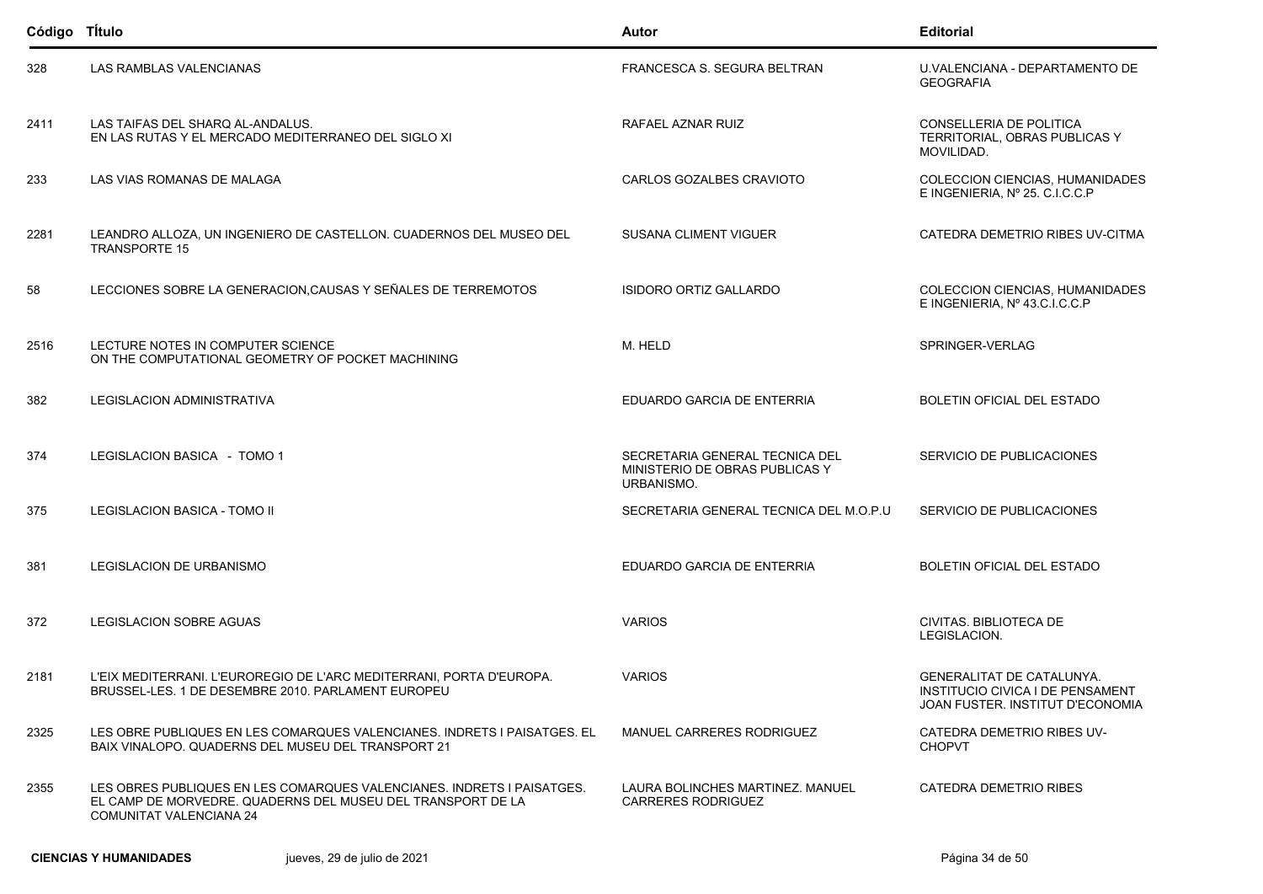| Código Título |                                                                                                                                                                         | <b>Autor</b>                                                                   | <b>Editorial</b>                                                                                         |
|---------------|-------------------------------------------------------------------------------------------------------------------------------------------------------------------------|--------------------------------------------------------------------------------|----------------------------------------------------------------------------------------------------------|
| 328           | LAS RAMBLAS VALENCIANAS                                                                                                                                                 | FRANCESCA S. SEGURA BELTRAN                                                    | U.VALENCIANA - DEPARTAMENTO DE<br><b>GEOGRAFIA</b>                                                       |
| 2411          | LAS TAIFAS DEL SHARQ AL-ANDALUS.<br>EN LAS RUTAS Y EL MERCADO MEDITERRANEO DEL SIGLO XI                                                                                 | RAFAEL AZNAR RUIZ                                                              | CONSELLERIA DE POLITICA<br>TERRITORIAL, OBRAS PUBLICAS Y<br>MOVILIDAD.                                   |
| 233           | LAS VIAS ROMANAS DE MALAGA                                                                                                                                              | CARLOS GOZALBES CRAVIOTO                                                       | COLECCION CIENCIAS, HUMANIDADES<br>E INGENIERIA, Nº 25. C.I.C.C.P                                        |
| 2281          | LEANDRO ALLOZA, UN INGENIERO DE CASTELLON. CUADERNOS DEL MUSEO DEL<br><b>TRANSPORTE 15</b>                                                                              | <b>SUSANA CLIMENT VIGUER</b>                                                   | CATEDRA DEMETRIO RIBES UV-CITMA                                                                          |
| 58            | LECCIONES SOBRE LA GENERACION, CAUSAS Y SEÑALES DE TERREMOTOS                                                                                                           | ISIDORO ORTIZ GALLARDO                                                         | COLECCION CIENCIAS, HUMANIDADES<br>E INGENIERIA, Nº 43.C.I.C.C.P                                         |
| 2516          | LECTURE NOTES IN COMPUTER SCIENCE<br>ON THE COMPUTATIONAL GEOMETRY OF POCKET MACHINING                                                                                  | M. HELD                                                                        | SPRINGER-VERLAG                                                                                          |
| 382           | LEGISLACION ADMINISTRATIVA                                                                                                                                              | EDUARDO GARCIA DE ENTERRIA                                                     | BOLETIN OFICIAL DEL ESTADO                                                                               |
| 374           | LEGISLACION BASICA - TOMO 1                                                                                                                                             | SECRETARIA GENERAL TECNICA DEL<br>MINISTERIO DE OBRAS PUBLICAS Y<br>URBANISMO. | SERVICIO DE PUBLICACIONES                                                                                |
| 375           | LEGISLACION BASICA - TOMO II                                                                                                                                            | SECRETARIA GENERAL TECNICA DEL M.O.P.U                                         | SERVICIO DE PUBLICACIONES                                                                                |
| 381           | LEGISLACION DE URBANISMO                                                                                                                                                | EDUARDO GARCIA DE ENTERRIA                                                     | BOLETIN OFICIAL DEL ESTADO                                                                               |
| 372           | LEGISLACION SOBRE AGUAS                                                                                                                                                 | <b>VARIOS</b>                                                                  | CIVITAS, BIBLIOTECA DE<br>LEGISLACION.                                                                   |
| 2181          | L'EIX MEDITERRANI. L'EUROREGIO DE L'ARC MEDITERRANI, PORTA D'EUROPA.<br>BRUSSEL-LES. 1 DE DESEMBRE 2010. PARLAMENT EUROPEU                                              | <b>VARIOS</b>                                                                  | <b>GENERALITAT DE CATALUNYA.</b><br>INSTITUCIO CIVICA I DE PENSAMENT<br>JOAN FUSTER. INSTITUT D'ECONOMIA |
| 2325          | LES OBRE PUBLIQUES EN LES COMARQUES VALENCIANES. INDRETS I PAISATGES. EL<br>BAIX VINALOPO. QUADERNS DEL MUSEU DEL TRANSPORT 21                                          | <b>MANUEL CARRERES RODRIGUEZ</b>                                               | CATEDRA DEMETRIO RIBES UV-<br><b>CHOPVT</b>                                                              |
| 2355          | LES OBRES PUBLIQUES EN LES COMARQUES VALENCIANES. INDRETS I PAISATGES.<br>EL CAMP DE MORVEDRE. QUADERNS DEL MUSEU DEL TRANSPORT DE LA<br><b>COMUNITAT VALENCIANA 24</b> | LAURA BOLINCHES MARTINEZ. MANUEL<br><b>CARRERES RODRIGUEZ</b>                  | CATEDRA DEMETRIO RIBES                                                                                   |
|               | <b>CIENCIAS Y HUMANIDADES</b><br>jueves, 29 de julio de 2021                                                                                                            |                                                                                | Página 34 de 50                                                                                          |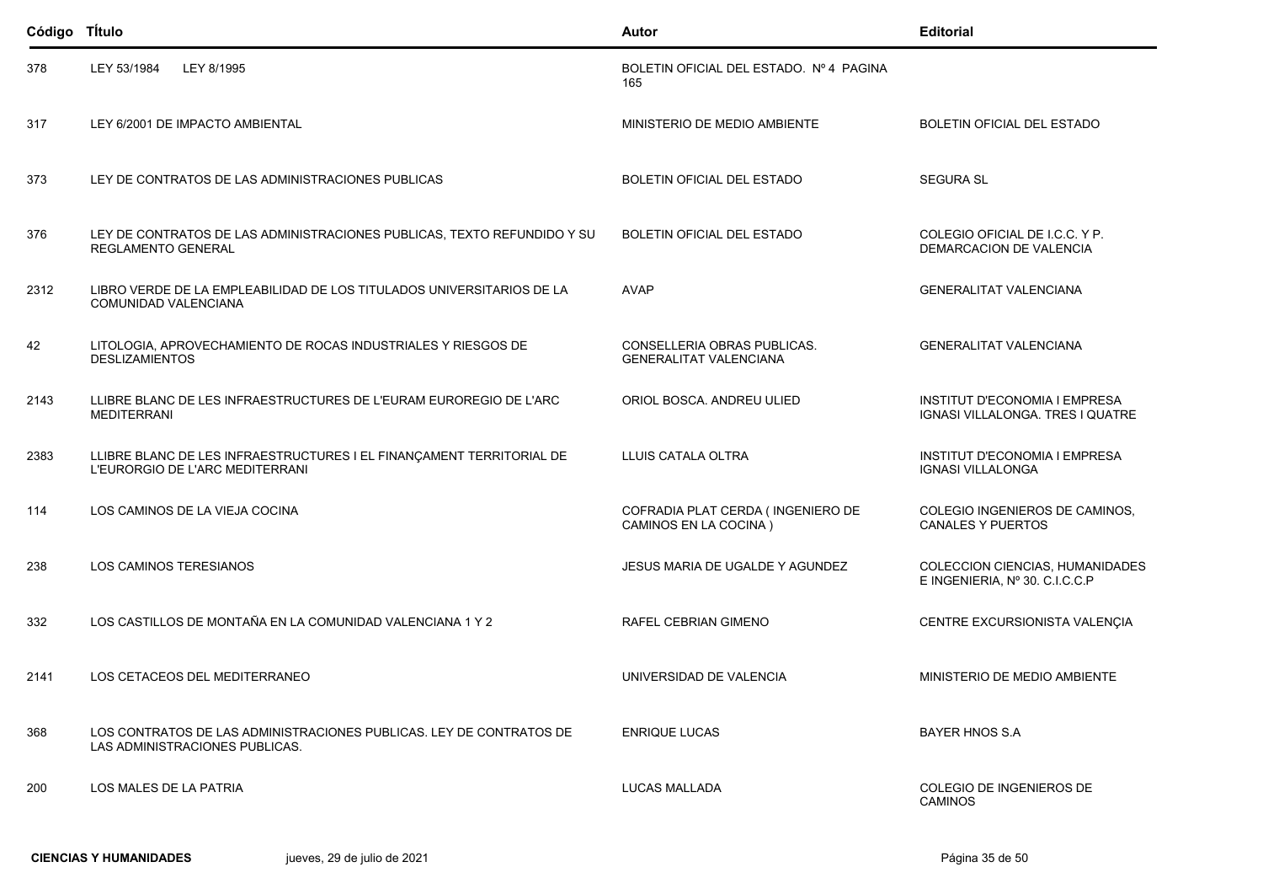| Código Título |                                                                                                         | Autor                                                        | <b>Editorial</b>                                                  |
|---------------|---------------------------------------------------------------------------------------------------------|--------------------------------------------------------------|-------------------------------------------------------------------|
| 378           | LEY 53/1984<br>LEY 8/1995                                                                               | BOLETIN OFICIAL DEL ESTADO. Nº 4 PAGINA<br>165               |                                                                   |
| 317           | LEY 6/2001 DE IMPACTO AMBIENTAL                                                                         | MINISTERIO DE MEDIO AMBIENTE                                 | BOLETIN OFICIAL DEL ESTADO                                        |
| 373           | LEY DE CONTRATOS DE LAS ADMINISTRACIONES PUBLICAS                                                       | BOLETIN OFICIAL DEL ESTADO                                   | <b>SEGURA SL</b>                                                  |
| 376           | LEY DE CONTRATOS DE LAS ADMINISTRACIONES PUBLICAS, TEXTO REFUNDIDO Y SU<br><b>REGLAMENTO GENERAL</b>    | <b>BOLETIN OFICIAL DEL ESTADO</b>                            | COLEGIO OFICIAL DE I.C.C. Y P.<br>DEMARCACION DE VALENCIA         |
| 2312          | LIBRO VERDE DE LA EMPLEABILIDAD DE LOS TITULADOS UNIVERSITARIOS DE LA<br>COMUNIDAD VALENCIANA           | <b>AVAP</b>                                                  | <b>GENERALITAT VALENCIANA</b>                                     |
| 42            | LITOLOGIA, APROVECHAMIENTO DE ROCAS INDUSTRIALES Y RIESGOS DE<br><b>DESLIZAMIENTOS</b>                  | CONSELLERIA OBRAS PUBLICAS.<br><b>GENERALITAT VALENCIANA</b> | <b>GENERALITAT VALENCIANA</b>                                     |
| 2143          | LLIBRE BLANC DE LES INFRAESTRUCTURES DE L'EURAM EUROREGIO DE L'ARC<br><b>MEDITERRANI</b>                | ORIOL BOSCA, ANDREU ULIED                                    | INSTITUT D'ECONOMIA I EMPRESA<br>IGNASI VILLALONGA. TRES I QUATRE |
| 2383          | LLIBRE BLANC DE LES INFRAESTRUCTURES I EL FINANÇAMENT TERRITORIAL DE<br>L'EURORGIO DE L'ARC MEDITERRANI | LLUIS CATALA OLTRA                                           | <b>INSTITUT D'ECONOMIA I EMPRESA</b><br><b>IGNASI VILLALONGA</b>  |
| 114           | LOS CAMINOS DE LA VIEJA COCINA                                                                          | COFRADIA PLAT CERDA (INGENIERO DE<br>CAMINOS EN LA COCINA)   | COLEGIO INGENIEROS DE CAMINOS,<br><b>CANALES Y PUERTOS</b>        |
| 238           | LOS CAMINOS TERESIANOS                                                                                  | JESUS MARIA DE UGALDE Y AGUNDEZ                              | COLECCION CIENCIAS, HUMANIDADES<br>E INGENIERIA, Nº 30. C.I.C.C.P |
| 332           | LOS CASTILLOS DE MONTAÑA EN LA COMUNIDAD VALENCIANA 1 Y 2                                               | RAFEL CEBRIAN GIMENO                                         | CENTRE EXCURSIONISTA VALENÇIA                                     |
| 2141          | LOS CETACEOS DEL MEDITERRANEO                                                                           | UNIVERSIDAD DE VALENCIA                                      | MINISTERIO DE MEDIO AMBIENTE                                      |
| 368           | LOS CONTRATOS DE LAS ADMINISTRACIONES PUBLICAS. LEY DE CONTRATOS DE<br>LAS ADMINISTRACIONES PUBLICAS.   | <b>ENRIQUE LUCAS</b>                                         | BAYER HNOS S.A.                                                   |
| 200           | LOS MALES DE LA PATRIA                                                                                  | LUCAS MALLADA                                                | COLEGIO DE INGENIEROS DE<br><b>CAMINOS</b>                        |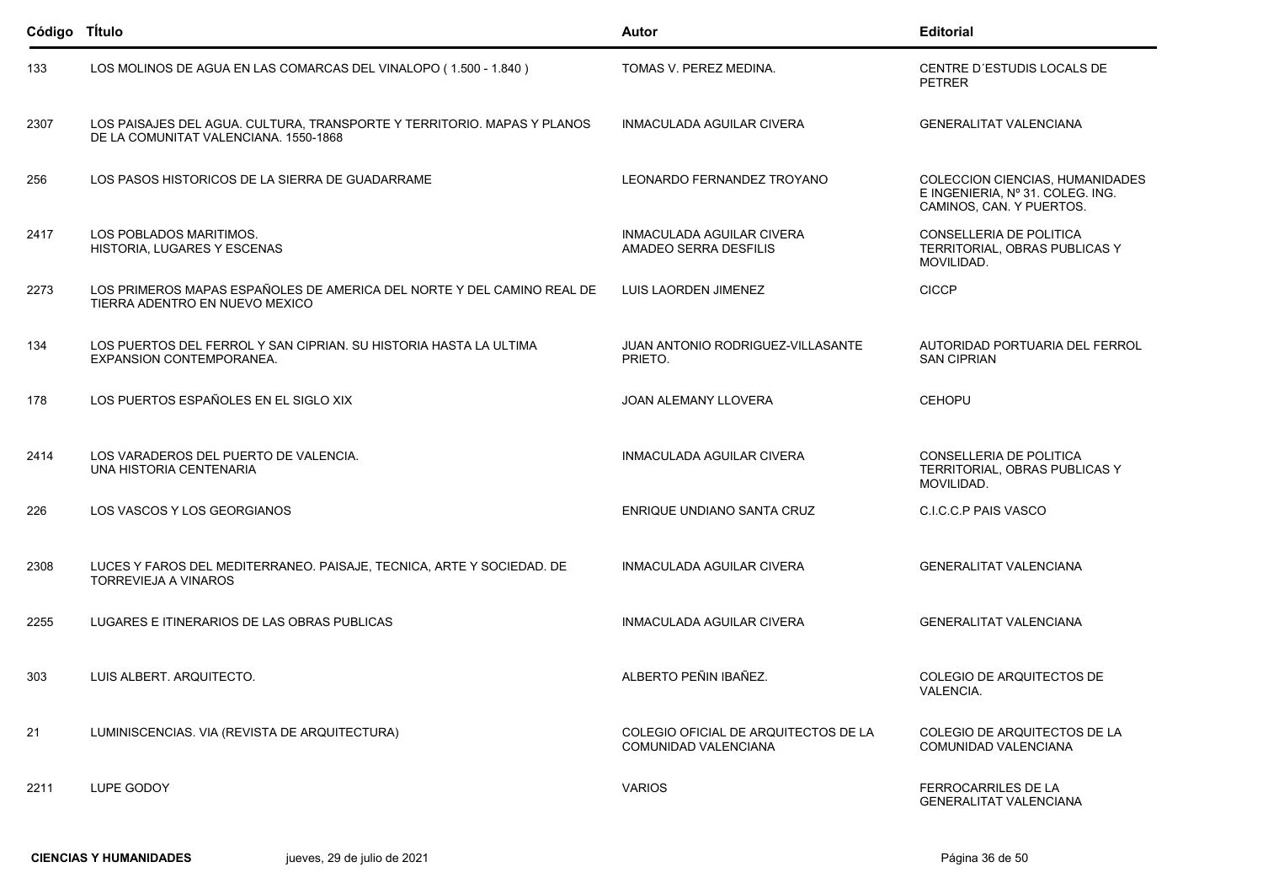| Código Título |                                                                                                                  | Autor                                                               | <b>Editorial</b>                                                                                |
|---------------|------------------------------------------------------------------------------------------------------------------|---------------------------------------------------------------------|-------------------------------------------------------------------------------------------------|
| 133           | LOS MOLINOS DE AGUA EN LAS COMARCAS DEL VINALOPO (1.500 - 1.840)                                                 | TOMAS V. PEREZ MEDINA.                                              | CENTRE D'ESTUDIS LOCALS DE<br><b>PETRER</b>                                                     |
| 2307          | LOS PAISAJES DEL AGUA. CULTURA, TRANSPORTE Y TERRITORIO. MAPAS Y PLANOS<br>DE LA COMUNITAT VALENCIANA, 1550-1868 | INMACULADA AGUILAR CIVERA                                           | <b>GENERALITAT VALENCIANA</b>                                                                   |
| 256           | LOS PASOS HISTORICOS DE LA SIERRA DE GUADARRAME                                                                  | LEONARDO FERNANDEZ TROYANO                                          | COLECCION CIENCIAS, HUMANIDADES<br>E INGENIERIA, Nº 31. COLEG. ING.<br>CAMINOS, CAN. Y PUERTOS. |
| 2417          | LOS POBLADOS MARITIMOS.<br>HISTORIA, LUGARES Y ESCENAS                                                           | <b>INMACULADA AGUILAR CIVERA</b><br>AMADEO SERRA DESFILIS           | CONSELLERIA DE POLITICA<br>TERRITORIAL, OBRAS PUBLICAS Y<br>MOVILIDAD.                          |
| 2273          | LOS PRIMEROS MAPAS ESPAÑOLES DE AMERICA DEL NORTE Y DEL CAMINO REAL DE<br>TIERRA ADENTRO EN NUEVO MEXICO         | LUIS LAORDEN JIMENEZ                                                | <b>CICCP</b>                                                                                    |
| 134           | LOS PUERTOS DEL FERROL Y SAN CIPRIAN. SU HISTORIA HASTA LA ULTIMA<br>EXPANSION CONTEMPORANEA.                    | JUAN ANTONIO RODRIGUEZ-VILLASANTE<br>PRIETO.                        | AUTORIDAD PORTUARIA DEL FERROL<br><b>SAN CIPRIAN</b>                                            |
| 178           | LOS PUERTOS ESPAÑOLES EN EL SIGLO XIX                                                                            | <b>JOAN ALEMANY LLOVERA</b>                                         | <b>CEHOPU</b>                                                                                   |
| 2414          | LOS VARADEROS DEL PUERTO DE VALENCIA.<br>UNA HISTORIA CENTENARIA                                                 | INMACULADA AGUILAR CIVERA                                           | CONSELLERIA DE POLITICA<br>TERRITORIAL, OBRAS PUBLICAS Y<br>MOVILIDAD.                          |
| 226           | LOS VASCOS Y LOS GEORGIANOS                                                                                      | ENRIQUE UNDIANO SANTA CRUZ                                          | C.I.C.C.P PAIS VASCO                                                                            |
| 2308          | LUCES Y FAROS DEL MEDITERRANEO. PAISAJE, TECNICA, ARTE Y SOCIEDAD. DE<br>TORREVIEJA A VINAROS                    | INMACULADA AGUILAR CIVERA                                           | <b>GENERALITAT VALENCIANA</b>                                                                   |
| 2255          | LUGARES E ITINERARIOS DE LAS OBRAS PUBLICAS                                                                      | INMACULADA AGUILAR CIVERA                                           | <b>GENERALITAT VALENCIANA</b>                                                                   |
| 303           | LUIS ALBERT. ARQUITECTO.                                                                                         | ALBERTO PEÑIN IBAÑEZ.                                               | COLEGIO DE ARQUITECTOS DE<br>VALENCIA.                                                          |
| 21            | LUMINISCENCIAS. VIA (REVISTA DE ARQUITECTURA)                                                                    | COLEGIO OFICIAL DE ARQUITECTOS DE LA<br><b>COMUNIDAD VALENCIANA</b> | COLEGIO DE ARQUITECTOS DE LA<br>COMUNIDAD VALENCIANA                                            |
| 2211          | LUPE GODOY                                                                                                       | <b>VARIOS</b>                                                       | FERROCARRILES DE LA<br><b>GENERALITAT VALENCIANA</b>                                            |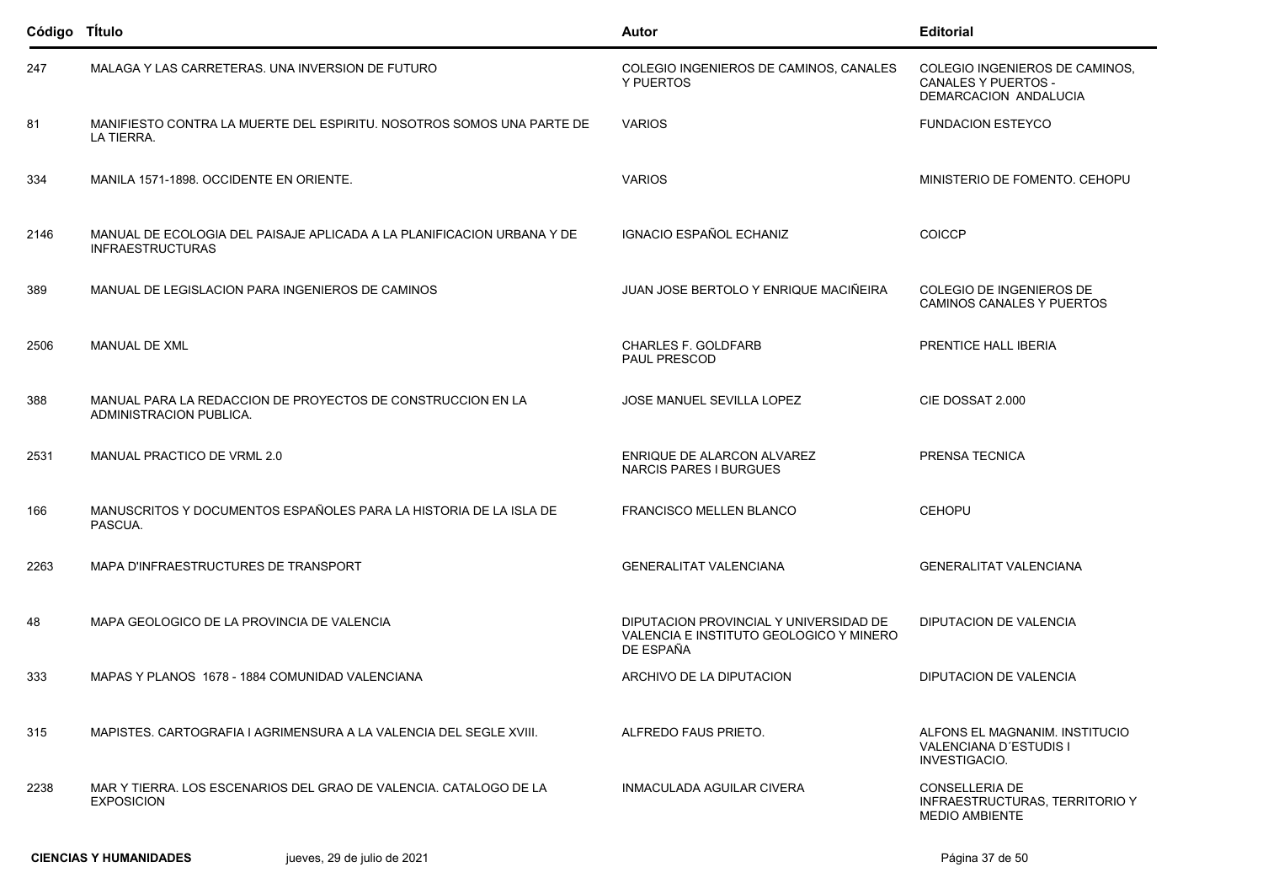| Código Título |                                                                                                   | <b>Autor</b>                                                                                   | <b>Editorial</b>                                                                      |
|---------------|---------------------------------------------------------------------------------------------------|------------------------------------------------------------------------------------------------|---------------------------------------------------------------------------------------|
| 247           | MALAGA Y LAS CARRETERAS. UNA INVERSION DE FUTURO                                                  | COLEGIO INGENIEROS DE CAMINOS, CANALES<br>Y PUERTOS                                            | COLEGIO INGENIEROS DE CAMINOS,<br><b>CANALES Y PUERTOS -</b><br>DEMARCACION ANDALUCIA |
| 81            | MANIFIESTO CONTRA LA MUERTE DEL ESPIRITU. NOSOTROS SOMOS UNA PARTE DE<br>LA TIERRA.               | <b>VARIOS</b>                                                                                  | <b>FUNDACION ESTEYCO</b>                                                              |
| 334           | MANILA 1571-1898. OCCIDENTE EN ORIENTE.                                                           | <b>VARIOS</b>                                                                                  | MINISTERIO DE FOMENTO, CEHOPU                                                         |
| 2146          | MANUAL DE ECOLOGIA DEL PAISAJE APLICADA A LA PLANIFICACION URBANA Y DE<br><b>INFRAESTRUCTURAS</b> | IGNACIO ESPAÑOL ECHANIZ                                                                        | <b>COICCP</b>                                                                         |
| 389           | MANUAL DE LEGISLACION PARA INGENIEROS DE CAMINOS                                                  | JUAN JOSE BERTOLO Y ENRIQUE MACIÑEIRA                                                          | COLEGIO DE INGENIEROS DE<br>CAMINOS CANALES Y PUERTOS                                 |
| 2506          | <b>MANUAL DE XML</b>                                                                              | <b>CHARLES F. GOLDFARB</b><br>PAUL PRESCOD                                                     | PRENTICE HALL IBERIA                                                                  |
| 388           | MANUAL PARA LA REDACCION DE PROYECTOS DE CONSTRUCCION EN LA<br>ADMINISTRACION PUBLICA.            | JOSE MANUEL SEVILLA LOPEZ                                                                      | CIE DOSSAT 2.000                                                                      |
| 2531          | MANUAL PRACTICO DE VRML 2.0                                                                       | ENRIQUE DE ALARCON ALVAREZ<br><b>NARCIS PARES I BURGUES</b>                                    | PRENSA TECNICA                                                                        |
| 166           | MANUSCRITOS Y DOCUMENTOS ESPAÑOLES PARA LA HISTORIA DE LA ISLA DE<br>PASCUA.                      | <b>FRANCISCO MELLEN BLANCO</b>                                                                 | <b>CEHOPU</b>                                                                         |
| 2263          | MAPA D'INFRAESTRUCTURES DE TRANSPORT                                                              | <b>GENERALITAT VALENCIANA</b>                                                                  | <b>GENERALITAT VALENCIANA</b>                                                         |
| 48            | MAPA GEOLOGICO DE LA PROVINCIA DE VALENCIA                                                        | DIPUTACION PROVINCIAL Y UNIVERSIDAD DE<br>VALENCIA E INSTITUTO GEOLOGICO Y MINERO<br>DE ESPAÑA | <b>DIPUTACION DE VALENCIA</b>                                                         |
| 333           | MAPAS Y PLANOS 1678 - 1884 COMUNIDAD VALENCIANA                                                   | ARCHIVO DE LA DIPUTACION                                                                       | DIPUTACION DE VALENCIA                                                                |
| 315           | MAPISTES, CARTOGRAFIA I AGRIMENSURA A LA VALENCIA DEL SEGLE XVIII.                                | ALFREDO FAUS PRIETO.                                                                           | ALFONS EL MAGNANIM. INSTITUCIO<br>VALENCIANA D'ESTUDIS I<br>INVESTIGACIO.             |
| 2238          | MAR Y TIERRA. LOS ESCENARIOS DEL GRAO DE VALENCIA. CATALOGO DE LA<br><b>EXPOSICION</b>            | INMACULADA AGUILAR CIVERA                                                                      | <b>CONSELLERIA DE</b><br>INFRAESTRUCTURAS, TERRITORIO Y<br><b>MEDIO AMBIENTE</b>      |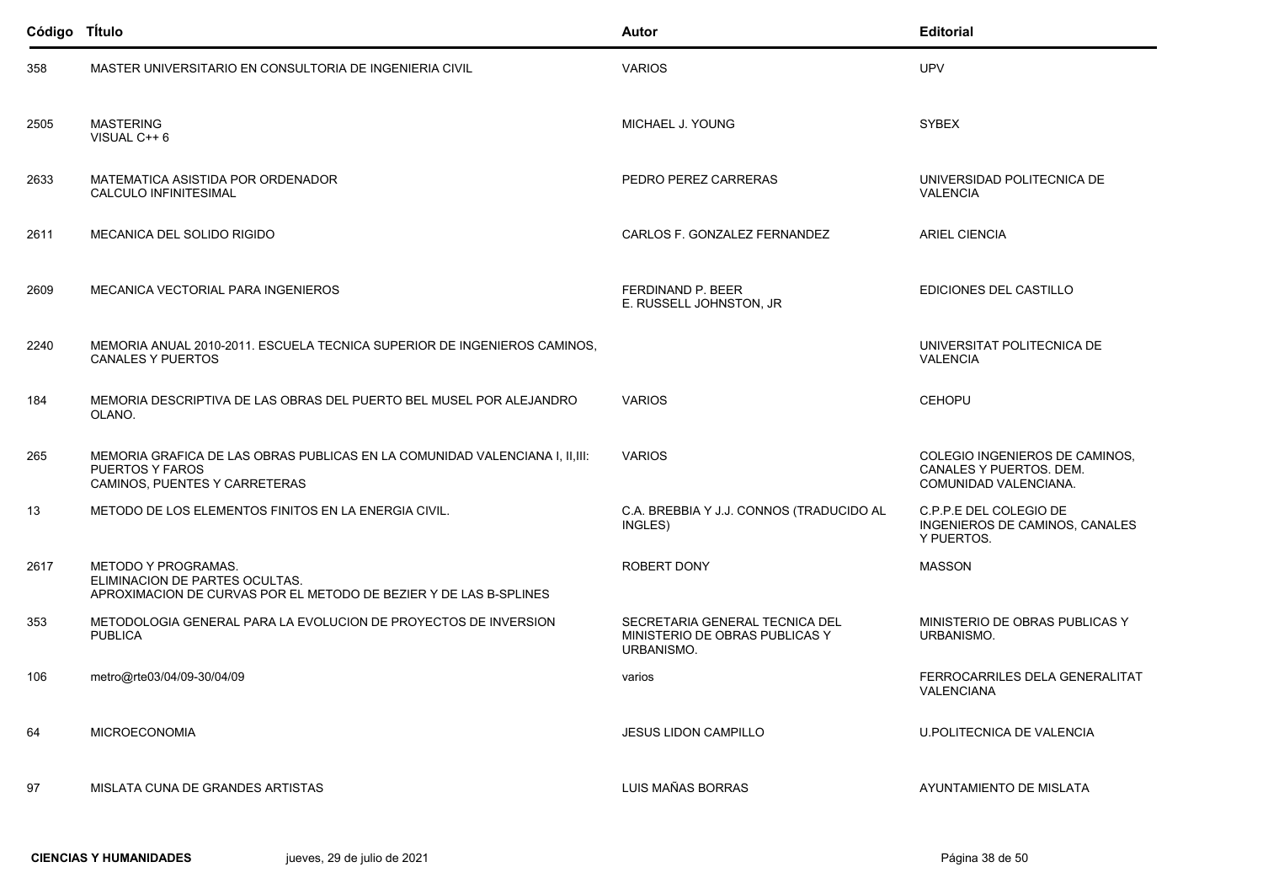| Código TÍtulo |                                                                                                                                         | Autor                                                                          | <b>Editorial</b>                                                                   |
|---------------|-----------------------------------------------------------------------------------------------------------------------------------------|--------------------------------------------------------------------------------|------------------------------------------------------------------------------------|
| 358           | MASTER UNIVERSITARIO EN CONSULTORIA DE INGENIERIA CIVIL                                                                                 | <b>VARIOS</b>                                                                  | <b>UPV</b>                                                                         |
| 2505          | <b>MASTERING</b><br>VISUAL C++ 6                                                                                                        | MICHAEL J. YOUNG                                                               | <b>SYBEX</b>                                                                       |
| 2633          | MATEMATICA ASISTIDA POR ORDENADOR<br>CALCULO INFINITESIMAL                                                                              | PEDRO PEREZ CARRERAS                                                           | UNIVERSIDAD POLITECNICA DE<br><b>VALENCIA</b>                                      |
| 2611          | MECANICA DEL SOLIDO RIGIDO                                                                                                              | CARLOS F. GONZALEZ FERNANDEZ                                                   | <b>ARIEL CIENCIA</b>                                                               |
| 2609          | MECANICA VECTORIAL PARA INGENIEROS                                                                                                      | FERDINAND P. BEER<br>E. RUSSELL JOHNSTON, JR                                   | EDICIONES DEL CASTILLO                                                             |
| 2240          | MEMORIA ANUAL 2010-2011. ESCUELA TECNICA SUPERIOR DE INGENIEROS CAMINOS.<br><b>CANALES Y PUERTOS</b>                                    |                                                                                | UNIVERSITAT POLITECNICA DE<br><b>VALENCIA</b>                                      |
| 184           | MEMORIA DESCRIPTIVA DE LAS OBRAS DEL PUERTO BEL MUSEL POR ALEJANDRO<br>OLANO.                                                           | <b>VARIOS</b>                                                                  | <b>CEHOPU</b>                                                                      |
| 265           | MEMORIA GRAFICA DE LAS OBRAS PUBLICAS EN LA COMUNIDAD VALENCIANA I, II, III:<br><b>PUERTOS Y FAROS</b><br>CAMINOS, PUENTES Y CARRETERAS | <b>VARIOS</b>                                                                  | COLEGIO INGENIEROS DE CAMINOS,<br>CANALES Y PUERTOS. DEM.<br>COMUNIDAD VALENCIANA. |
| 13            | METODO DE LOS ELEMENTOS FINITOS EN LA ENERGIA CIVIL.                                                                                    | C.A. BREBBIA Y J.J. CONNOS (TRADUCIDO AL<br>INGLES)                            | C.P.P.E DEL COLEGIO DE<br>INGENIEROS DE CAMINOS, CANALES<br>Y PUERTOS.             |
| 2617          | <b>METODO Y PROGRAMAS.</b><br>ELIMINACION DE PARTES OCULTAS.<br>APROXIMACION DE CURVAS POR EL METODO DE BEZIER Y DE LAS B-SPLINES       | <b>ROBERT DONY</b>                                                             | <b>MASSON</b>                                                                      |
| 353           | METODOLOGIA GENERAL PARA LA EVOLUCION DE PROYECTOS DE INVERSION<br><b>PUBLICA</b>                                                       | SECRETARIA GENERAL TECNICA DEL<br>MINISTERIO DE OBRAS PUBLICAS Y<br>URBANISMO. | MINISTERIO DE OBRAS PUBLICAS Y<br>URBANISMO.                                       |
| 106           | metro@rte03/04/09-30/04/09                                                                                                              | varios                                                                         | FERROCARRILES DELA GENERALITAT<br>VALENCIANA                                       |
| 64            | <b>MICROECONOMIA</b>                                                                                                                    | <b>JESUS LIDON CAMPILLO</b>                                                    | <b>U.POLITECNICA DE VALENCIA</b>                                                   |
| 97            | MISLATA CUNA DE GRANDES ARTISTAS                                                                                                        | LUIS MAÑAS BORRAS                                                              | <b>AYUNTAMIENTO DE MISLATA</b>                                                     |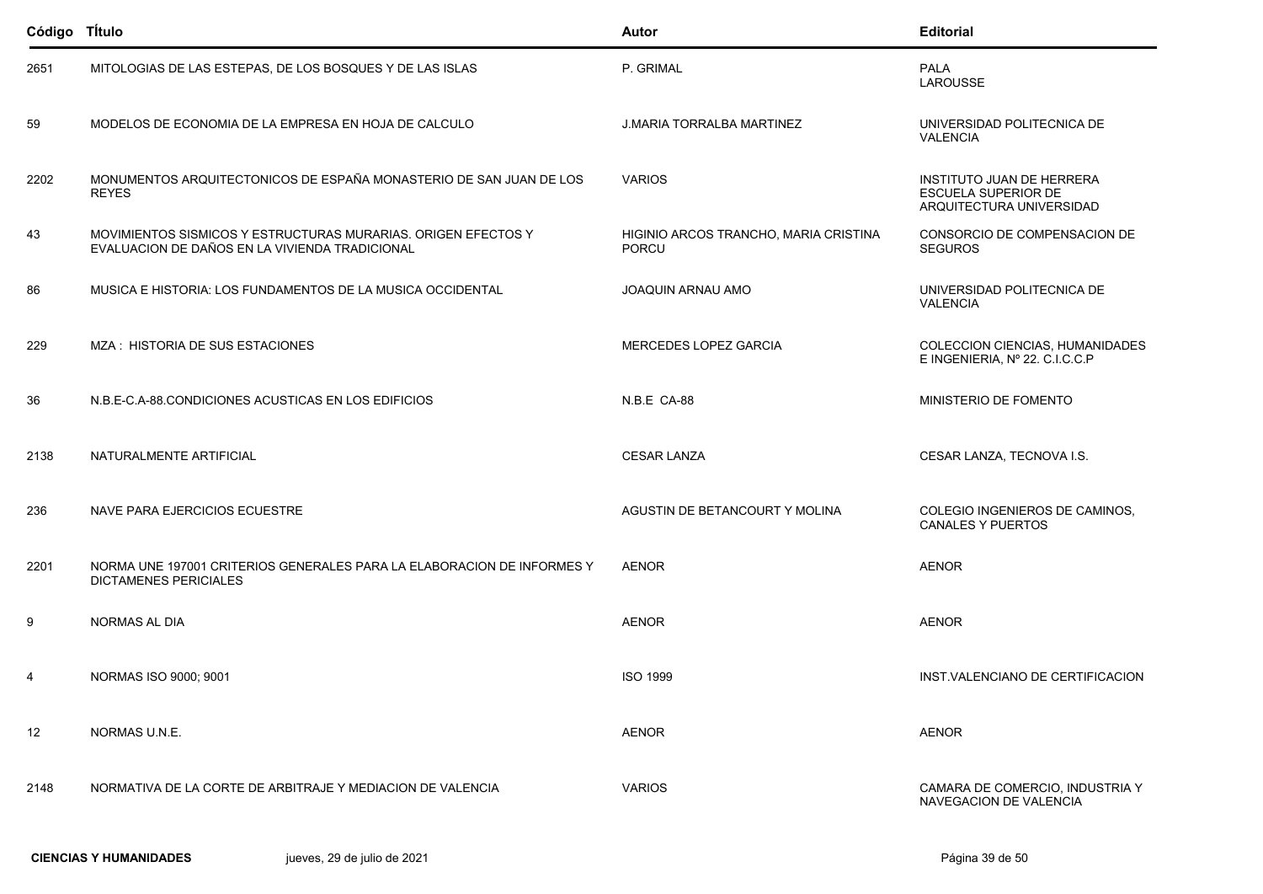| Código Título |                                                                                                                 | <b>Autor</b>                                          | <b>Editorial</b>                                                                    |
|---------------|-----------------------------------------------------------------------------------------------------------------|-------------------------------------------------------|-------------------------------------------------------------------------------------|
| 2651          | MITOLOGIAS DE LAS ESTEPAS, DE LOS BOSQUES Y DE LAS ISLAS                                                        | P. GRIMAL                                             | <b>PALA</b><br><b>LAROUSSE</b>                                                      |
| 59            | MODELOS DE ECONOMIA DE LA EMPRESA EN HOJA DE CALCULO                                                            | <b>J.MARIA TORRALBA MARTINEZ</b>                      | UNIVERSIDAD POLITECNICA DE<br><b>VALENCIA</b>                                       |
| 2202          | MONUMENTOS ARQUITECTONICOS DE ESPAÑA MONASTERIO DE SAN JUAN DE LOS<br><b>REYES</b>                              | <b>VARIOS</b>                                         | <b>INSTITUTO JUAN DE HERRERA</b><br>ESCUELA SUPERIOR DE<br>ARQUITECTURA UNIVERSIDAD |
| 43            | MOVIMIENTOS SISMICOS Y ESTRUCTURAS MURARIAS. ORIGEN EFECTOS Y<br>EVALUACION DE DAÑOS EN LA VIVIENDA TRADICIONAL | HIGINIO ARCOS TRANCHO, MARIA CRISTINA<br><b>PORCU</b> | CONSORCIO DE COMPENSACION DE<br><b>SEGUROS</b>                                      |
| 86            | MUSICA E HISTORIA: LOS FUNDAMENTOS DE LA MUSICA OCCIDENTAL                                                      | <b>JOAQUIN ARNAU AMO</b>                              | UNIVERSIDAD POLITECNICA DE<br><b>VALENCIA</b>                                       |
| 229           | MZA: HISTORIA DE SUS ESTACIONES                                                                                 | MERCEDES LOPEZ GARCIA                                 | COLECCION CIENCIAS, HUMANIDADES<br>E INGENIERIA, Nº 22. C.I.C.C.P                   |
| 36            | N.B.E-C.A-88.CONDICIONES ACUSTICAS EN LOS EDIFICIOS                                                             | N.B.E CA-88                                           | MINISTERIO DE FOMENTO                                                               |
| 2138          | NATURALMENTE ARTIFICIAL                                                                                         | <b>CESAR LANZA</b>                                    | CESAR LANZA, TECNOVA I.S.                                                           |
| 236           | NAVE PARA EJERCICIOS ECUESTRE                                                                                   | AGUSTIN DE BETANCOURT Y MOLINA                        | COLEGIO INGENIEROS DE CAMINOS,<br><b>CANALES Y PUERTOS</b>                          |
| 2201          | NORMA UNE 197001 CRITERIOS GENERALES PARA LA ELABORACION DE INFORMES Y<br><b>DICTAMENES PERICIALES</b>          | <b>AENOR</b>                                          | <b>AENOR</b>                                                                        |
| 9             | <b>NORMAS AL DIA</b>                                                                                            | <b>AENOR</b>                                          | <b>AENOR</b>                                                                        |
| 4             | NORMAS ISO 9000; 9001                                                                                           | <b>ISO 1999</b>                                       | INST. VALENCIANO DE CERTIFICACION                                                   |
| 12            | NORMAS U.N.E.                                                                                                   | <b>AENOR</b>                                          | <b>AENOR</b>                                                                        |
| 2148          | NORMATIVA DE LA CORTE DE ARBITRAJE Y MEDIACION DE VALENCIA                                                      | <b>VARIOS</b>                                         | CAMARA DE COMERCIO, INDUSTRIA Y<br>NAVEGACION DE VALENCIA                           |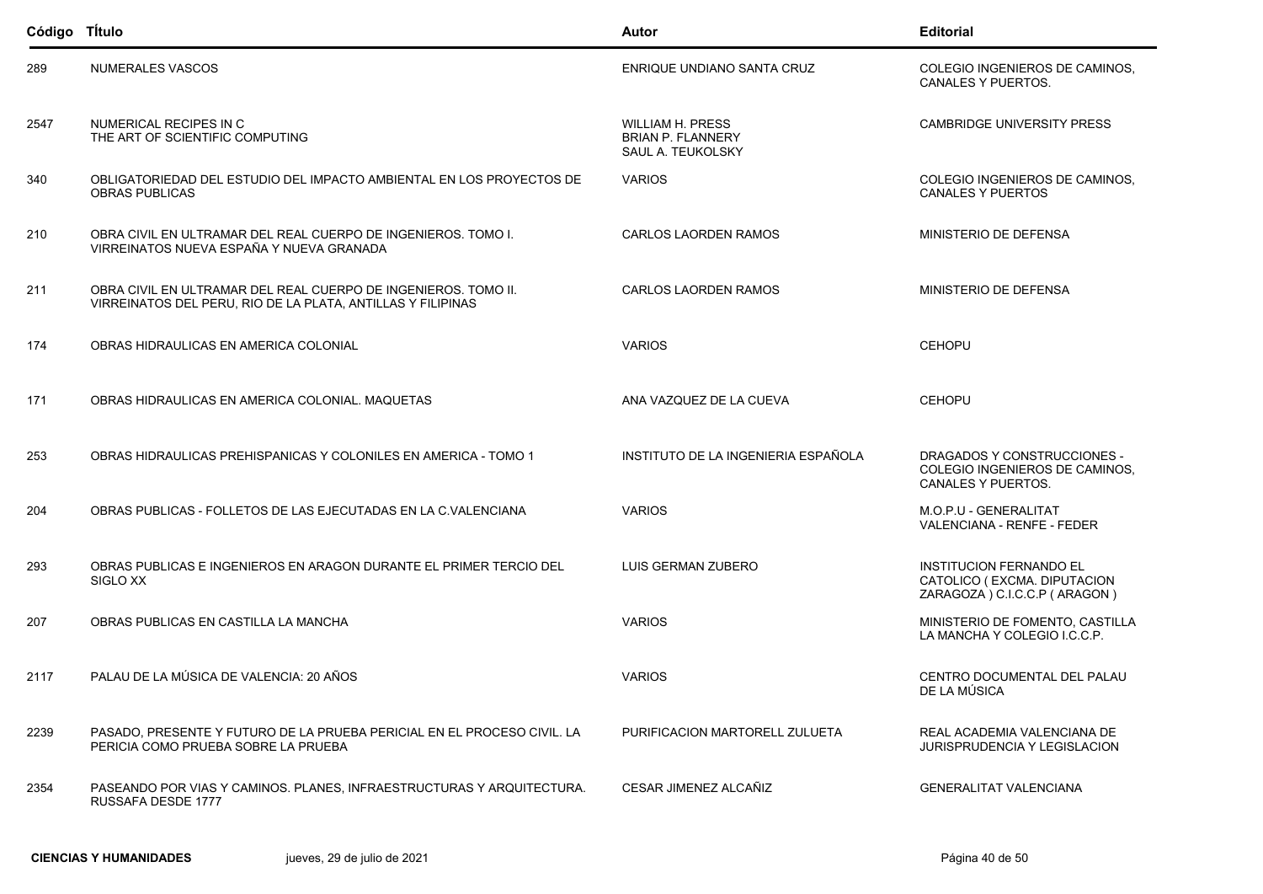| Código TÍtulo |                                                                                                                               | Autor                                                                    | <b>Editorial</b>                                                                               |
|---------------|-------------------------------------------------------------------------------------------------------------------------------|--------------------------------------------------------------------------|------------------------------------------------------------------------------------------------|
| 289           | NUMERALES VASCOS                                                                                                              | ENRIQUE UNDIANO SANTA CRUZ                                               | COLEGIO INGENIEROS DE CAMINOS,<br><b>CANALES Y PUERTOS.</b>                                    |
| 2547          | NUMERICAL RECIPES IN C<br>THE ART OF SCIENTIFIC COMPUTING                                                                     | <b>WILLIAM H. PRESS</b><br><b>BRIAN P. FLANNERY</b><br>SAUL A. TEUKOLSKY | <b>CAMBRIDGE UNIVERSITY PRESS</b>                                                              |
| 340           | OBLIGATORIEDAD DEL ESTUDIO DEL IMPACTO AMBIENTAL EN LOS PROYECTOS DE<br><b>OBRAS PUBLICAS</b>                                 | <b>VARIOS</b>                                                            | COLEGIO INGENIEROS DE CAMINOS,<br><b>CANALES Y PUERTOS</b>                                     |
| 210           | OBRA CIVIL EN ULTRAMAR DEL REAL CUERPO DE INGENIEROS. TOMO I.<br>VIRREINATOS NUEVA ESPAÑA Y NUEVA GRANADA                     | <b>CARLOS LAORDEN RAMOS</b>                                              | MINISTERIO DE DEFENSA                                                                          |
| 211           | OBRA CIVIL EN ULTRAMAR DEL REAL CUERPO DE INGENIEROS. TOMO II.<br>VIRREINATOS DEL PERU, RIO DE LA PLATA, ANTILLAS Y FILIPINAS | <b>CARLOS LAORDEN RAMOS</b>                                              | MINISTERIO DE DEFENSA                                                                          |
| 174           | OBRAS HIDRAULICAS EN AMERICA COLONIAL                                                                                         | <b>VARIOS</b>                                                            | <b>CEHOPU</b>                                                                                  |
| 171           | OBRAS HIDRAULICAS EN AMERICA COLONIAL. MAQUETAS                                                                               | ANA VAZQUEZ DE LA CUEVA                                                  | <b>CEHOPU</b>                                                                                  |
| 253           | OBRAS HIDRAULICAS PREHISPANICAS Y COLONILES EN AMERICA - TOMO 1                                                               | INSTITUTO DE LA INGENIERIA ESPAÑOLA                                      | <b>DRAGADOS Y CONSTRUCCIONES -</b><br>COLEGIO INGENIEROS DE CAMINOS,<br>CANALES Y PUERTOS.     |
| 204           | OBRAS PUBLICAS - FOLLETOS DE LAS EJECUTADAS EN LA C.VALENCIANA                                                                | <b>VARIOS</b>                                                            | M.O.P.U - GENERALITAT<br>VALENCIANA - RENFE - FEDER                                            |
| 293           | OBRAS PUBLICAS E INGENIEROS EN ARAGON DURANTE EL PRIMER TERCIO DEL<br>SIGLO XX                                                | LUIS GERMAN ZUBERO                                                       | <b>INSTITUCION FERNANDO EL</b><br>CATOLICO (EXCMA. DIPUTACION<br>ZARAGOZA ) C.I.C.C.P (ARAGON) |
| 207           | OBRAS PUBLICAS EN CASTILLA LA MANCHA                                                                                          | <b>VARIOS</b>                                                            | MINISTERIO DE FOMENTO, CASTILLA<br>LA MANCHA Y COLEGIO I.C.C.P.                                |
| 2117          | PALAU DE LA MÚSICA DE VALENCIA: 20 AÑOS                                                                                       | <b>VARIOS</b>                                                            | CENTRO DOCUMENTAL DEL PALAU<br>DE LA MÚSICA                                                    |
| 2239          | PASADO, PRESENTE Y FUTURO DE LA PRUEBA PERICIAL EN EL PROCESO CIVIL. LA<br>PERICIA COMO PRUEBA SOBRE LA PRUEBA                | PURIFICACION MARTORELL ZULUETA                                           | REAL ACADEMIA VALENCIANA DE<br><b>JURISPRUDENCIA Y LEGISLACION</b>                             |
| 2354          | PASEANDO POR VIAS Y CAMINOS. PLANES, INFRAESTRUCTURAS Y ARQUITECTURA.<br>RUSSAFA DESDE 1777                                   | CESAR JIMENEZ ALCAÑIZ                                                    | <b>GENERALITAT VALENCIANA</b>                                                                  |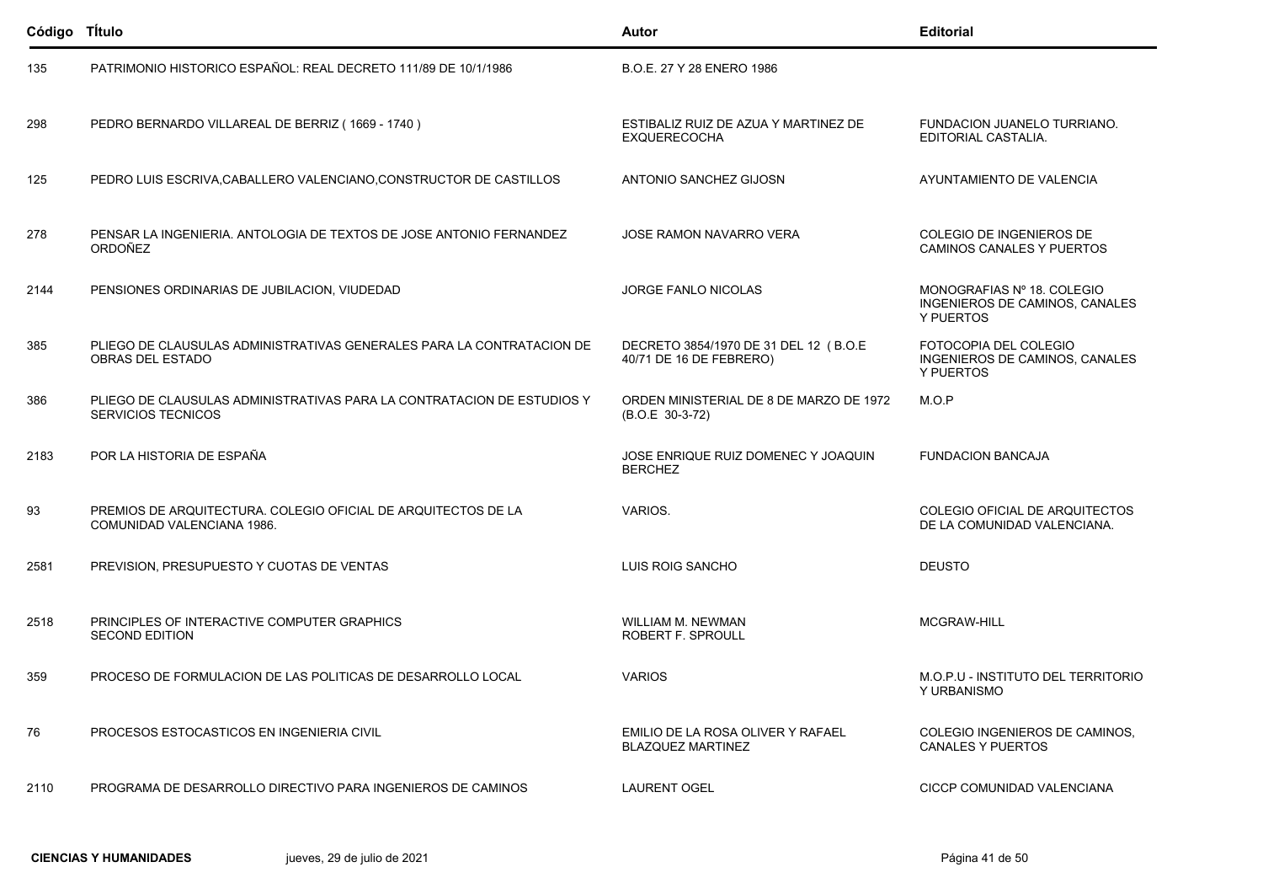| Código Título |                                                                                                     | Autor                                                             | <b>Editorial</b>                                                          |
|---------------|-----------------------------------------------------------------------------------------------------|-------------------------------------------------------------------|---------------------------------------------------------------------------|
| 135           | PATRIMONIO HISTORICO ESPAÑOL: REAL DECRETO 111/89 DE 10/1/1986                                      | B.O.E. 27 Y 28 ENERO 1986                                         |                                                                           |
| 298           | PEDRO BERNARDO VILLAREAL DE BERRIZ (1669 - 1740)                                                    | ESTIBALIZ RUIZ DE AZUA Y MARTINEZ DE<br><b>EXQUERECOCHA</b>       | FUNDACION JUANELO TURRIANO.<br>EDITORIAL CASTALIA.                        |
| 125           | PEDRO LUIS ESCRIVA, CABALLERO VALENCIANO, CONSTRUCTOR DE CASTILLOS                                  | ANTONIO SANCHEZ GIJOSN                                            | AYUNTAMIENTO DE VALENCIA                                                  |
| 278           | PENSAR LA INGENIERIA. ANTOLOGIA DE TEXTOS DE JOSE ANTONIO FERNANDEZ<br>ORDOÑEZ                      | JOSE RAMON NAVARRO VERA                                           | COLEGIO DE INGENIEROS DE<br>CAMINOS CANALES Y PUERTOS                     |
| 2144          | PENSIONES ORDINARIAS DE JUBILACION, VIUDEDAD                                                        | <b>JORGE FANLO NICOLAS</b>                                        | MONOGRAFIAS Nº 18, COLEGIO<br>INGENIEROS DE CAMINOS, CANALES<br>Y PUERTOS |
| 385           | PLIEGO DE CLAUSULAS ADMINISTRATIVAS GENERALES PARA LA CONTRATACION DE<br>OBRAS DEL ESTADO           | DECRETO 3854/1970 DE 31 DEL 12 (B.O.E)<br>40/71 DE 16 DE FEBRERO) | FOTOCOPIA DEL COLEGIO<br>INGENIEROS DE CAMINOS, CANALES<br>Y PUERTOS      |
| 386           | PLIEGO DE CLAUSULAS ADMINISTRATIVAS PARA LA CONTRATACION DE ESTUDIOS Y<br><b>SERVICIOS TECNICOS</b> | ORDEN MINISTERIAL DE 8 DE MARZO DE 1972<br>(B.O.E 30-3-72)        | M.O.P                                                                     |
| 2183          | POR LA HISTORIA DE ESPAÑA                                                                           | JOSE ENRIQUE RUIZ DOMENEC Y JOAQUIN<br><b>BERCHEZ</b>             | <b>FUNDACION BANCAJA</b>                                                  |
| 93            | PREMIOS DE ARQUITECTURA, COLEGIO OFICIAL DE ARQUITECTOS DE LA<br>COMUNIDAD VALENCIANA 1986.         | VARIOS.                                                           | COLEGIO OFICIAL DE ARQUITECTOS<br>DE LA COMUNIDAD VALENCIANA.             |
| 2581          | PREVISION, PRESUPUESTO Y CUOTAS DE VENTAS                                                           | LUIS ROIG SANCHO                                                  | <b>DEUSTO</b>                                                             |
| 2518          | PRINCIPLES OF INTERACTIVE COMPUTER GRAPHICS<br><b>SECOND EDITION</b>                                | WILLIAM M. NEWMAN<br>ROBERT F. SPROULL                            | MCGRAW-HILL                                                               |
| 359           | PROCESO DE FORMULACION DE LAS POLITICAS DE DESARROLLO LOCAL                                         | <b>VARIOS</b>                                                     | M.O.P.U - INSTITUTO DEL TERRITORIO<br>Y URBANISMO                         |
| 76            | PROCESOS ESTOCASTICOS EN INGENIERIA CIVIL                                                           | EMILIO DE LA ROSA OLIVER Y RAFAEL<br><b>BLAZQUEZ MARTINEZ</b>     | COLEGIO INGENIEROS DE CAMINOS.<br><b>CANALES Y PUERTOS</b>                |
| 2110          | PROGRAMA DE DESARROLLO DIRECTIVO PARA INGENIEROS DE CAMINOS                                         | <b>LAURENT OGEL</b>                                               | CICCP COMUNIDAD VALENCIANA                                                |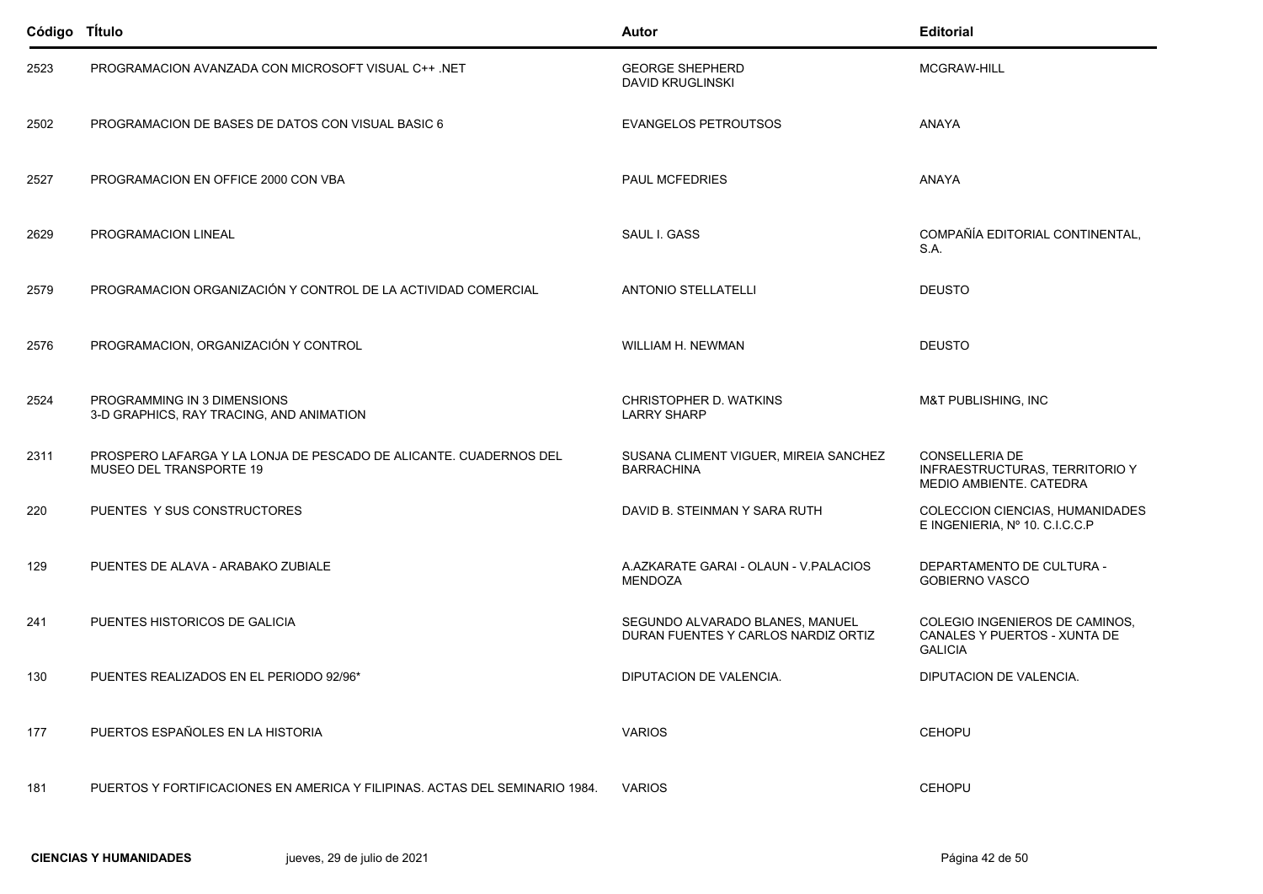| Código TÍtulo |                                                                                              | Autor                                                                  | <b>Editorial</b>                                                                          |
|---------------|----------------------------------------------------------------------------------------------|------------------------------------------------------------------------|-------------------------------------------------------------------------------------------|
| 2523          | PROGRAMACION AVANZADA CON MICROSOFT VISUAL C++ .NET                                          | <b>GEORGE SHEPHERD</b><br><b>DAVID KRUGLINSKI</b>                      | MCGRAW-HILL                                                                               |
| 2502          | PROGRAMACION DE BASES DE DATOS CON VISUAL BASIC 6                                            | <b>EVANGELOS PETROUTSOS</b>                                            | ANAYA                                                                                     |
| 2527          | PROGRAMACION EN OFFICE 2000 CON VBA                                                          | <b>PAUL MCFEDRIES</b>                                                  | ANAYA                                                                                     |
| 2629          | PROGRAMACION LINEAL                                                                          | SAUL I. GASS                                                           | COMPAÑÍA EDITORIAL CONTINENTAL.<br>S.A.                                                   |
| 2579          | PROGRAMACION ORGANIZACIÓN Y CONTROL DE LA ACTIVIDAD COMERCIAL                                | <b>ANTONIO STELLATELLI</b>                                             | <b>DEUSTO</b>                                                                             |
| 2576          | PROGRAMACION, ORGANIZACIÓN Y CONTROL                                                         | WILLIAM H. NEWMAN                                                      | <b>DEUSTO</b>                                                                             |
| 2524          | PROGRAMMING IN 3 DIMENSIONS<br>3-D GRAPHICS, RAY TRACING, AND ANIMATION                      | CHRISTOPHER D. WATKINS<br><b>LARRY SHARP</b>                           | M&T PUBLISHING, INC                                                                       |
| 2311          | PROSPERO LAFARGA Y LA LONJA DE PESCADO DE ALICANTE. CUADERNOS DEL<br>MUSEO DEL TRANSPORTE 19 | SUSANA CLIMENT VIGUER, MIREIA SANCHEZ<br><b>BARRACHINA</b>             | <b>CONSELLERIA DE</b><br><b>INFRAESTRUCTURAS, TERRITORIO Y</b><br>MEDIO AMBIENTE. CATEDRA |
| 220           | PUENTES Y SUS CONSTRUCTORES                                                                  | DAVID B. STEINMAN Y SARA RUTH                                          | COLECCION CIENCIAS, HUMANIDADES<br>E INGENIERIA, Nº 10. C.I.C.C.P                         |
| 129           | PUENTES DE ALAVA - ARABAKO ZUBIALE                                                           | A.AZKARATE GARAI - OLAUN - V.PALACIOS<br><b>MENDOZA</b>                | DEPARTAMENTO DE CULTURA -<br><b>GOBIERNO VASCO</b>                                        |
| 241           | PUENTES HISTORICOS DE GALICIA                                                                | SEGUNDO ALVARADO BLANES, MANUEL<br>DURAN FUENTES Y CARLOS NARDIZ ORTIZ | COLEGIO INGENIEROS DE CAMINOS,<br>CANALES Y PUERTOS - XUNTA DE<br><b>GALICIA</b>          |
| 130           | PUENTES REALIZADOS EN EL PERIODO 92/96*                                                      | DIPUTACION DE VALENCIA.                                                | DIPUTACION DE VALENCIA.                                                                   |
| 177           | PUERTOS ESPAÑOLES EN LA HISTORIA                                                             | <b>VARIOS</b>                                                          | <b>CEHOPU</b>                                                                             |
| 181           | PUERTOS Y FORTIFICACIONES EN AMERICA Y FILIPINAS. ACTAS DEL SEMINARIO 1984.                  | <b>VARIOS</b>                                                          | <b>CEHOPU</b>                                                                             |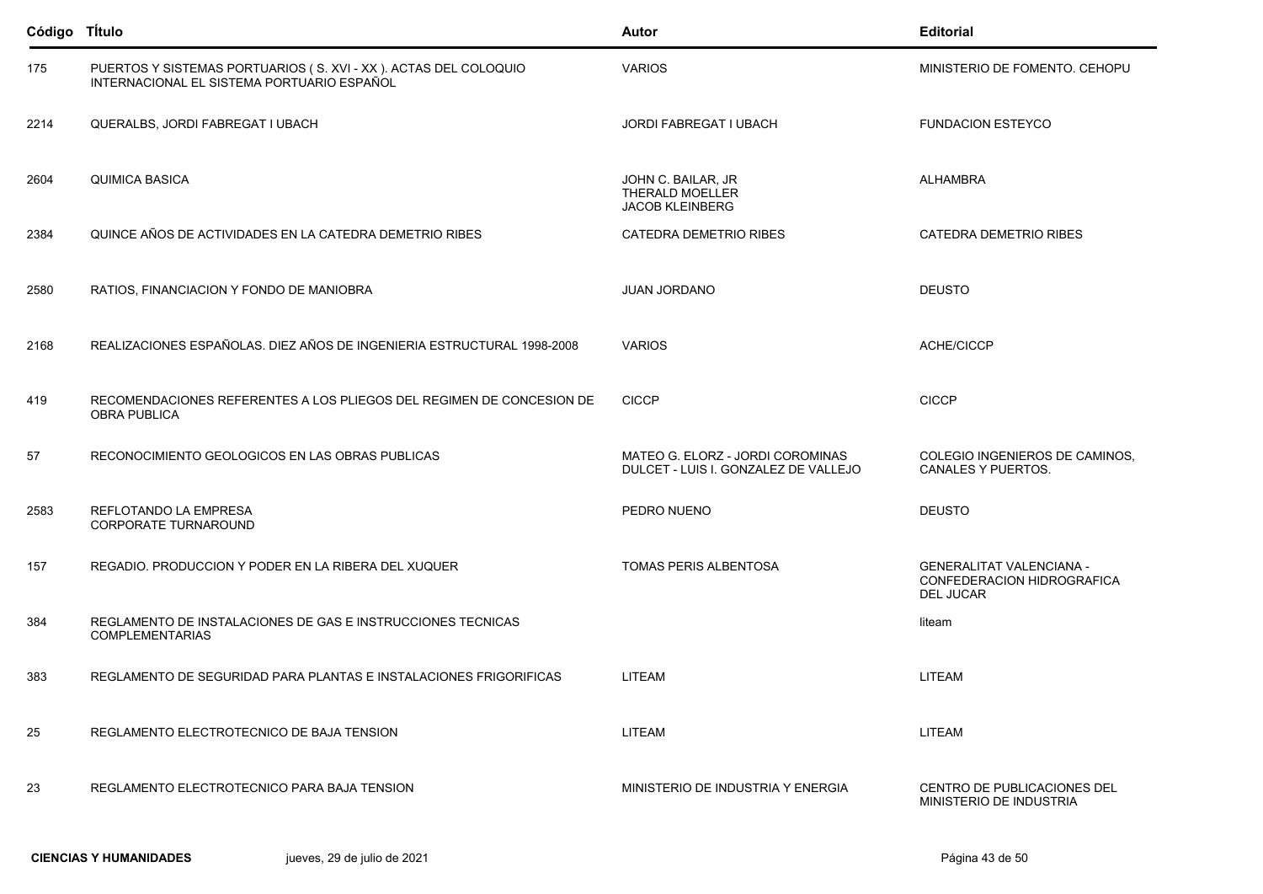| Código TÍtulo |                                                                                                               | <b>Autor</b>                                                             | <b>Editorial</b>                                                                  |
|---------------|---------------------------------------------------------------------------------------------------------------|--------------------------------------------------------------------------|-----------------------------------------------------------------------------------|
| 175           | PUERTOS Y SISTEMAS PORTUARIOS (S. XVI - XX). ACTAS DEL COLOQUIO<br>INTERNACIONAL EL SISTEMA PORTUARIO ESPAÑOL | <b>VARIOS</b>                                                            | MINISTERIO DE FOMENTO. CEHOPU                                                     |
| 2214          | QUERALBS, JORDI FABREGAT I UBACH                                                                              | <b>JORDI FABREGAT I UBACH</b>                                            | <b>FUNDACION ESTEYCO</b>                                                          |
| 2604          | <b>QUIMICA BASICA</b>                                                                                         | JOHN C. BAILAR, JR<br><b>THERALD MOELLER</b><br><b>JACOB KLEINBERG</b>   | <b>ALHAMBRA</b>                                                                   |
| 2384          | QUINCE AÑOS DE ACTIVIDADES EN LA CATEDRA DEMETRIO RIBES                                                       | <b>CATEDRA DEMETRIO RIBES</b>                                            | CATEDRA DEMETRIO RIBES                                                            |
| 2580          | RATIOS, FINANCIACION Y FONDO DE MANIOBRA                                                                      | <b>JUAN JORDANO</b>                                                      | <b>DEUSTO</b>                                                                     |
| 2168          | REALIZACIONES ESPAÑOLAS. DIEZ AÑOS DE INGENIERIA ESTRUCTURAL 1998-2008                                        | <b>VARIOS</b>                                                            | ACHE/CICCP                                                                        |
| 419           | RECOMENDACIONES REFERENTES A LOS PLIEGOS DEL REGIMEN DE CONCESION DE<br><b>OBRA PUBLICA</b>                   | <b>CICCP</b>                                                             | <b>CICCP</b>                                                                      |
| 57            | RECONOCIMIENTO GEOLOGICOS EN LAS OBRAS PUBLICAS                                                               | MATEO G. ELORZ - JORDI COROMINAS<br>DULCET - LUIS I. GONZALEZ DE VALLEJO | COLEGIO INGENIEROS DE CAMINOS,<br><b>CANALES Y PUERTOS.</b>                       |
| 2583          | REFLOTANDO LA EMPRESA<br>CORPORATE TURNAROUND                                                                 | PEDRO NUENO                                                              | <b>DEUSTO</b>                                                                     |
| 157           | REGADIO. PRODUCCION Y PODER EN LA RIBERA DEL XUQUER                                                           | TOMAS PERIS ALBENTOSA                                                    | <b>GENERALITAT VALENCIANA -</b><br>CONFEDERACION HIDROGRAFICA<br><b>DEL JUCAR</b> |
| 384           | REGLAMENTO DE INSTALACIONES DE GAS E INSTRUCCIONES TECNICAS<br><b>COMPLEMENTARIAS</b>                         |                                                                          | liteam                                                                            |
| 383           | REGLAMENTO DE SEGURIDAD PARA PLANTAS E INSTALACIONES FRIGORIFICAS                                             | <b>LITEAM</b>                                                            | <b>LITEAM</b>                                                                     |
| 25            | REGLAMENTO ELECTROTECNICO DE BAJA TENSION                                                                     | LITEAM                                                                   | <b>LITEAM</b>                                                                     |
| 23            | REGLAMENTO ELECTROTECNICO PARA BAJA TENSION                                                                   | MINISTERIO DE INDUSTRIA Y ENERGIA                                        | CENTRO DE PUBLICACIONES DEL<br>MINISTERIO DE INDUSTRIA                            |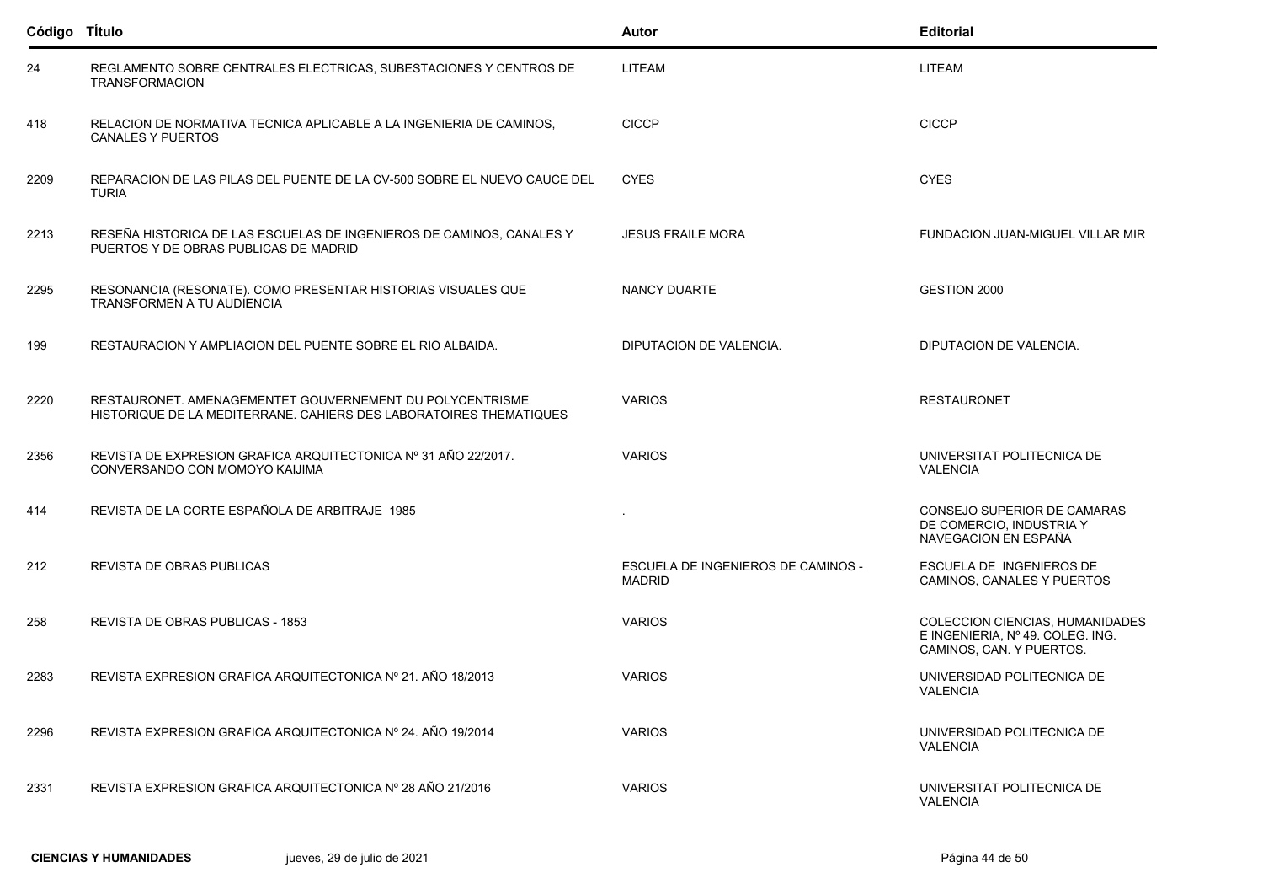| Código TÍtulo |                                                                                                                                | Autor                                               | <b>Editorial</b>                                                                                |
|---------------|--------------------------------------------------------------------------------------------------------------------------------|-----------------------------------------------------|-------------------------------------------------------------------------------------------------|
| 24            | REGLAMENTO SOBRE CENTRALES ELECTRICAS, SUBESTACIONES Y CENTROS DE<br><b>TRANSFORMACION</b>                                     | LITEAM                                              | LITEAM                                                                                          |
| 418           | RELACION DE NORMATIVA TECNICA APLICABLE A LA INGENIERIA DE CAMINOS,<br><b>CANALES Y PUERTOS</b>                                | <b>CICCP</b>                                        | <b>CICCP</b>                                                                                    |
| 2209          | REPARACION DE LAS PILAS DEL PUENTE DE LA CV-500 SOBRE EL NUEVO CAUCE DEL<br><b>TURIA</b>                                       | <b>CYES</b>                                         | <b>CYES</b>                                                                                     |
| 2213          | RESEÑA HISTORICA DE LAS ESCUELAS DE INGENIEROS DE CAMINOS, CANALES Y<br>PUERTOS Y DE OBRAS PUBLICAS DE MADRID                  | <b>JESUS FRAILE MORA</b>                            | FUNDACION JUAN-MIGUEL VILLAR MIR                                                                |
| 2295          | RESONANCIA (RESONATE). COMO PRESENTAR HISTORIAS VISUALES QUE<br>TRANSFORMEN A TU AUDIENCIA                                     | NANCY DUARTE                                        | GESTION 2000                                                                                    |
| 199           | RESTAURACION Y AMPLIACION DEL PUENTE SOBRE EL RIO ALBAIDA.                                                                     | DIPUTACION DE VALENCIA.                             | DIPUTACION DE VALENCIA.                                                                         |
| 2220          | RESTAURONET. AMENAGEMENTET GOUVERNEMENT DU POLYCENTRISME<br>HISTORIQUE DE LA MEDITERRANE. CAHIERS DES LABORATOIRES THEMATIQUES | <b>VARIOS</b>                                       | <b>RESTAURONET</b>                                                                              |
| 2356          | REVISTA DE EXPRESION GRAFICA ARQUITECTONICA Nº 31 AÑO 22/2017.<br>CONVERSANDO CON MOMOYO KAIJIMA                               | <b>VARIOS</b>                                       | UNIVERSITAT POLITECNICA DE<br><b>VALENCIA</b>                                                   |
| 414           | REVISTA DE LA CORTE ESPAÑOLA DE ARBITRAJE 1985                                                                                 |                                                     | CONSEJO SUPERIOR DE CAMARAS<br>DE COMERCIO, INDUSTRIA Y<br>NAVEGACION EN ESPAÑA                 |
| 212           | REVISTA DE OBRAS PUBLICAS                                                                                                      | ESCUELA DE INGENIEROS DE CAMINOS -<br><b>MADRID</b> | ESCUELA DE INGENIEROS DE<br>CAMINOS, CANALES Y PUERTOS                                          |
| 258           | REVISTA DE OBRAS PUBLICAS - 1853                                                                                               | <b>VARIOS</b>                                       | COLECCION CIENCIAS, HUMANIDADES<br>E INGENIERIA, Nº 49. COLEG. ING.<br>CAMINOS, CAN. Y PUERTOS. |
| 2283          | REVISTA EXPRESION GRAFICA ARQUITECTONICA Nº 21. AÑO 18/2013                                                                    | <b>VARIOS</b>                                       | UNIVERSIDAD POLITECNICA DE<br>VALENCIA                                                          |
| 2296          | REVISTA EXPRESION GRAFICA ARQUITECTONICA Nº 24, AÑO 19/2014                                                                    | <b>VARIOS</b>                                       | UNIVERSIDAD POLITECNICA DE<br><b>VALENCIA</b>                                                   |
| 2331          | REVISTA EXPRESION GRAFICA ARQUITECTONICA Nº 28 AÑO 21/2016                                                                     | <b>VARIOS</b>                                       | UNIVERSITAT POLITECNICA DE<br><b>VALENCIA</b>                                                   |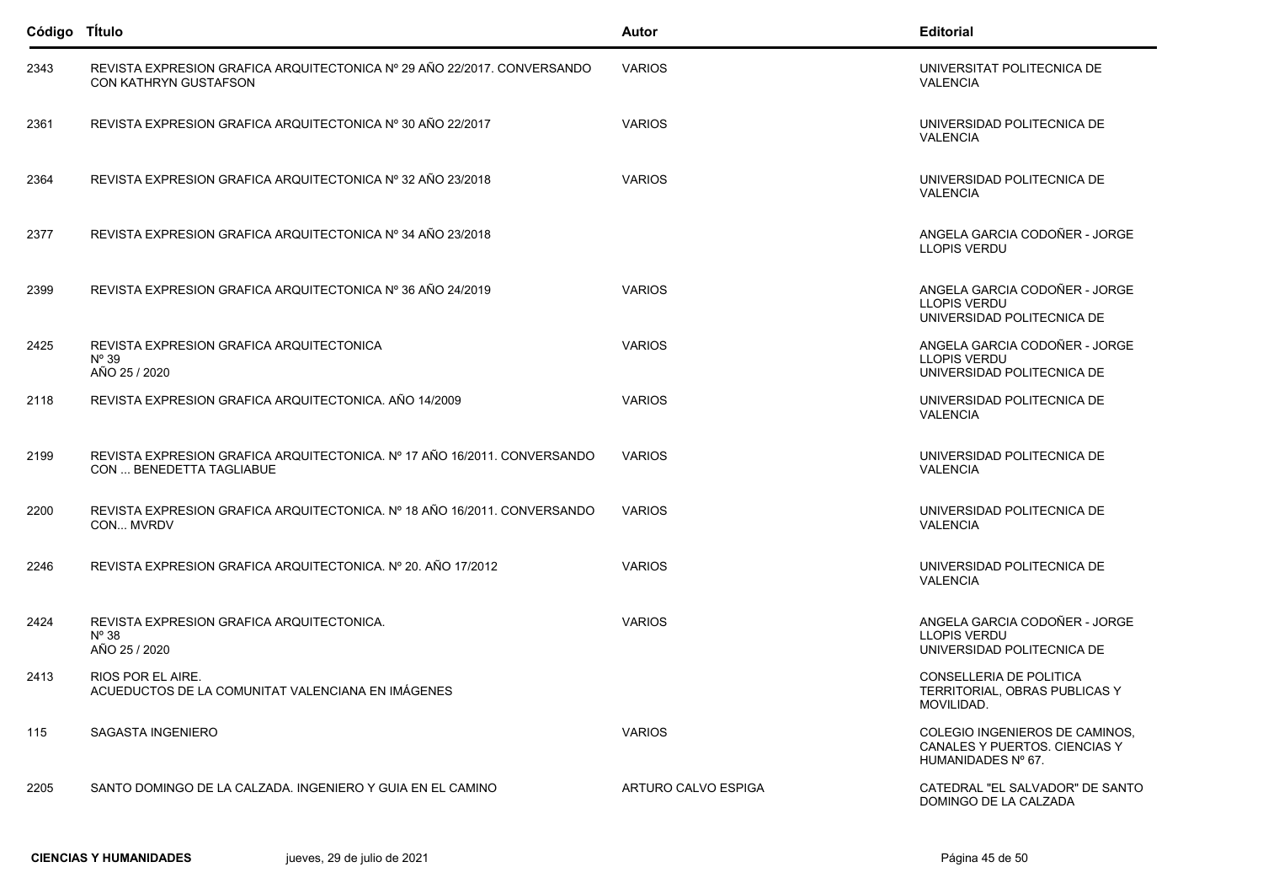| Código Título |                                                                                                         | Autor               | <b>Editorial</b>                                                                      |
|---------------|---------------------------------------------------------------------------------------------------------|---------------------|---------------------------------------------------------------------------------------|
| 2343          | REVISTA EXPRESION GRAFICA ARQUITECTONICA Nº 29 AÑO 22/2017. CONVERSANDO<br><b>CON KATHRYN GUSTAFSON</b> | <b>VARIOS</b>       | UNIVERSITAT POLITECNICA DE<br><b>VALENCIA</b>                                         |
| 2361          | REVISTA EXPRESION GRAFICA ARQUITECTONICA Nº 30 AÑO 22/2017                                              | <b>VARIOS</b>       | UNIVERSIDAD POLITECNICA DE<br><b>VALENCIA</b>                                         |
| 2364          | REVISTA EXPRESION GRAFICA ARQUITECTONICA Nº 32 AÑO 23/2018                                              | <b>VARIOS</b>       | UNIVERSIDAD POLITECNICA DE<br><b>VALENCIA</b>                                         |
| 2377          | REVISTA EXPRESION GRAFICA ARQUITECTONICA Nº 34 AÑO 23/2018                                              |                     | ANGELA GARCIA CODOÑER - JORGE<br><b>LLOPIS VERDU</b>                                  |
| 2399          | REVISTA EXPRESION GRAFICA ARQUITECTONICA Nº 36 AÑO 24/2019                                              | <b>VARIOS</b>       | ANGELA GARCIA CODOÑER - JORGE<br><b>LLOPIS VERDU</b><br>UNIVERSIDAD POLITECNICA DE    |
| 2425          | REVISTA EXPRESION GRAFICA ARQUITECTONICA<br>$N^{\circ}$ 39<br>AÑO 25 / 2020                             | <b>VARIOS</b>       | ANGELA GARCIA CODOÑER - JORGE<br>LLOPIS VERDU<br>UNIVERSIDAD POLITECNICA DE           |
| 2118          | REVISTA EXPRESION GRAFICA ARQUITECTONICA, AÑO 14/2009                                                   | <b>VARIOS</b>       | UNIVERSIDAD POLITECNICA DE<br><b>VALENCIA</b>                                         |
| 2199          | REVISTA EXPRESION GRAFICA ARQUITECTONICA. Nº 17 AÑO 16/2011. CONVERSANDO<br>CON  BENEDETTA TAGLIABUE    | <b>VARIOS</b>       | UNIVERSIDAD POLITECNICA DE<br><b>VALENCIA</b>                                         |
| 2200          | REVISTA EXPRESION GRAFICA ARQUITECTONICA. Nº 18 AÑO 16/2011. CONVERSANDO<br>CON MVRDV                   | <b>VARIOS</b>       | UNIVERSIDAD POLITECNICA DE<br><b>VALENCIA</b>                                         |
| 2246          | REVISTA EXPRESION GRAFICA ARQUITECTONICA. Nº 20. AÑO 17/2012                                            | <b>VARIOS</b>       | UNIVERSIDAD POLITECNICA DE<br><b>VALENCIA</b>                                         |
| 2424          | REVISTA EXPRESION GRAFICA ARQUITECTONICA.<br>$N^{\circ}38$<br>AÑO 25 / 2020                             | <b>VARIOS</b>       | ANGELA GARCIA CODOÑER - JORGE<br><b>LLOPIS VERDU</b><br>UNIVERSIDAD POLITECNICA DE    |
| 2413          | RIOS POR EL AIRE.<br>ACUEDUCTOS DE LA COMUNITAT VALENCIANA EN IMÁGENES                                  |                     | <b>CONSELLERIA DE POLITICA</b><br>TERRITORIAL, OBRAS PUBLICAS Y<br>MOVILIDAD.         |
| 115           | <b>SAGASTA INGENIERO</b>                                                                                | <b>VARIOS</b>       | COLEGIO INGENIEROS DE CAMINOS,<br>CANALES Y PUERTOS, CIENCIAS Y<br>HUMANIDADES Nº 67. |
| 2205          | SANTO DOMINGO DE LA CALZADA. INGENIERO Y GUIA EN EL CAMINO                                              | ARTURO CALVO ESPIGA | CATEDRAL "EL SALVADOR" DE SANTO<br>DOMINGO DE LA CALZADA                              |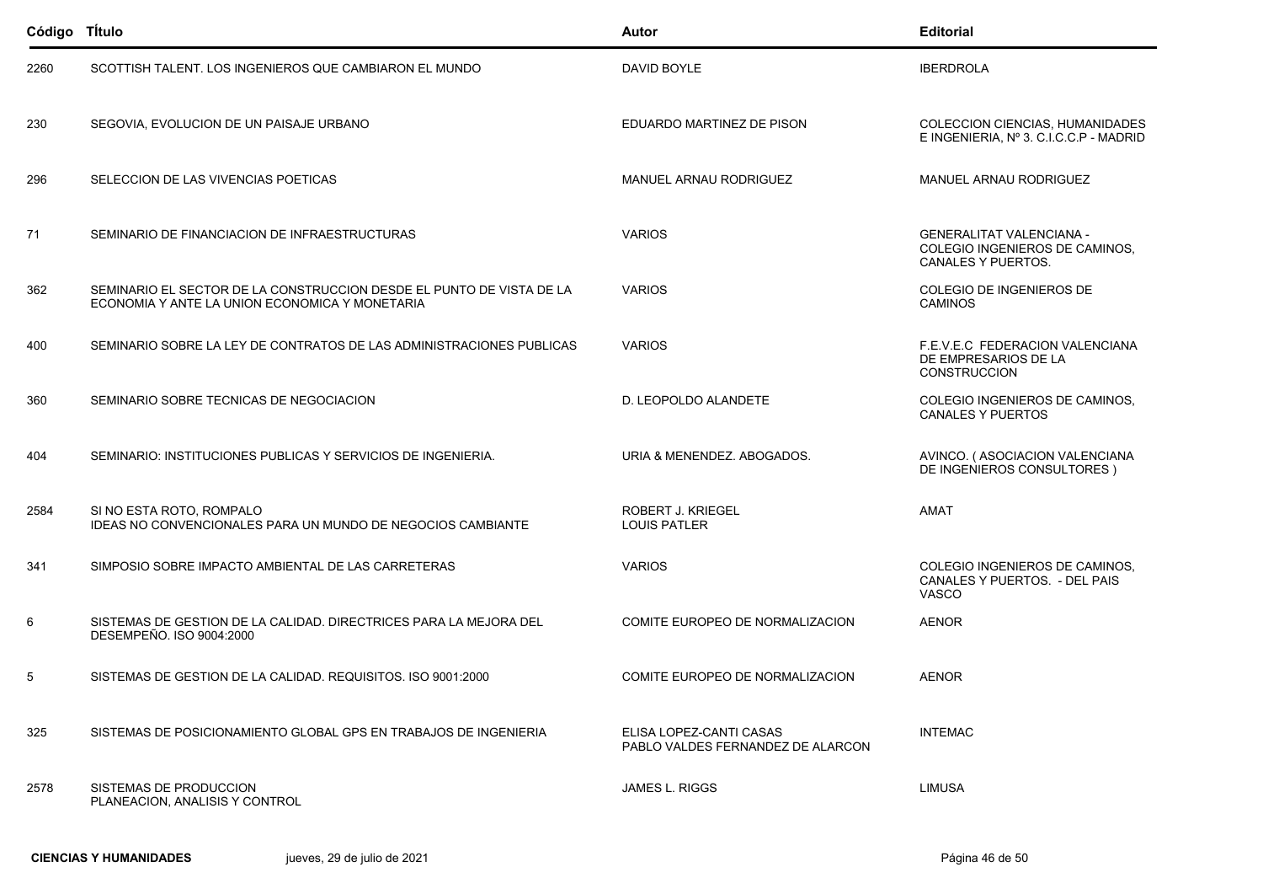| Código TÍtulo |                                                                                                                        | Autor                                                        | <b>Editorial</b>                                                                        |
|---------------|------------------------------------------------------------------------------------------------------------------------|--------------------------------------------------------------|-----------------------------------------------------------------------------------------|
| 2260          | SCOTTISH TALENT. LOS INGENIEROS QUE CAMBIARON EL MUNDO                                                                 | DAVID BOYLE                                                  | <b>IBERDROLA</b>                                                                        |
| 230           | SEGOVIA, EVOLUCION DE UN PAISAJE URBANO                                                                                | EDUARDO MARTINEZ DE PISON                                    | COLECCION CIENCIAS, HUMANIDADES<br>E INGENIERIA, Nº 3. C.I.C.C.P - MADRID               |
| 296           | SELECCION DE LAS VIVENCIAS POETICAS                                                                                    | MANUEL ARNAU RODRIGUEZ                                       | MANUEL ARNAU RODRIGUEZ                                                                  |
| 71            | SEMINARIO DE FINANCIACION DE INFRAESTRUCTURAS                                                                          | <b>VARIOS</b>                                                | <b>GENERALITAT VALENCIANA -</b><br>COLEGIO INGENIEROS DE CAMINOS,<br>CANALES Y PUERTOS. |
| 362           | SEMINARIO EL SECTOR DE LA CONSTRUCCION DESDE EL PUNTO DE VISTA DE LA<br>ECONOMIA Y ANTE LA UNION ECONOMICA Y MONETARIA | <b>VARIOS</b>                                                | COLEGIO DE INGENIEROS DE<br><b>CAMINOS</b>                                              |
| 400           | SEMINARIO SOBRE LA LEY DE CONTRATOS DE LAS ADMINISTRACIONES PUBLICAS                                                   | <b>VARIOS</b>                                                | F.E.V.E.C FEDERACION VALENCIANA<br>DE EMPRESARIOS DE LA<br>CONSTRUCCION                 |
| 360           | SEMINARIO SOBRE TECNICAS DE NEGOCIACION                                                                                | D. LEOPOLDO ALANDETE                                         | COLEGIO INGENIEROS DE CAMINOS,<br><b>CANALES Y PUERTOS</b>                              |
| 404           | SEMINARIO: INSTITUCIONES PUBLICAS Y SERVICIOS DE INGENIERIA.                                                           | URIA & MENENDEZ. ABOGADOS.                                   | AVINCO. (ASOCIACION VALENCIANA<br>DE INGENIEROS CONSULTORES)                            |
| 2584          | SI NO ESTA ROTO, ROMPALO<br><b>IDEAS NO CONVENCIONALES PARA UN MUNDO DE NEGOCIOS CAMBIANTE</b>                         | <b>ROBERT J. KRIEGEL</b><br><b>LOUIS PATLER</b>              | AMAT                                                                                    |
| 341           | SIMPOSIO SOBRE IMPACTO AMBIENTAL DE LAS CARRETERAS                                                                     | <b>VARIOS</b>                                                | COLEGIO INGENIEROS DE CAMINOS,<br>CANALES Y PUERTOS. - DEL PAIS<br><b>VASCO</b>         |
| 6             | SISTEMAS DE GESTION DE LA CALIDAD. DIRECTRICES PARA LA MEJORA DEL<br>DESEMPEÑO. ISO 9004:2000                          | COMITE EUROPEO DE NORMALIZACION                              | <b>AENOR</b>                                                                            |
| 5             | SISTEMAS DE GESTION DE LA CALIDAD. REQUISITOS. ISO 9001.2000                                                           | COMITE EUROPEO DE NORMALIZACION                              | <b>AENOR</b>                                                                            |
| 325           | SISTEMAS DE POSICIONAMIENTO GLOBAL GPS EN TRABAJOS DE INGENIERIA                                                       | ELISA LOPEZ-CANTI CASAS<br>PABLO VALDES FERNANDEZ DE ALARCON | <b>INTEMAC</b>                                                                          |
| 2578          | SISTEMAS DE PRODUCCION<br>PLANEACION, ANALISIS Y CONTROL                                                               | JAMES L. RIGGS                                               | LIMUSA                                                                                  |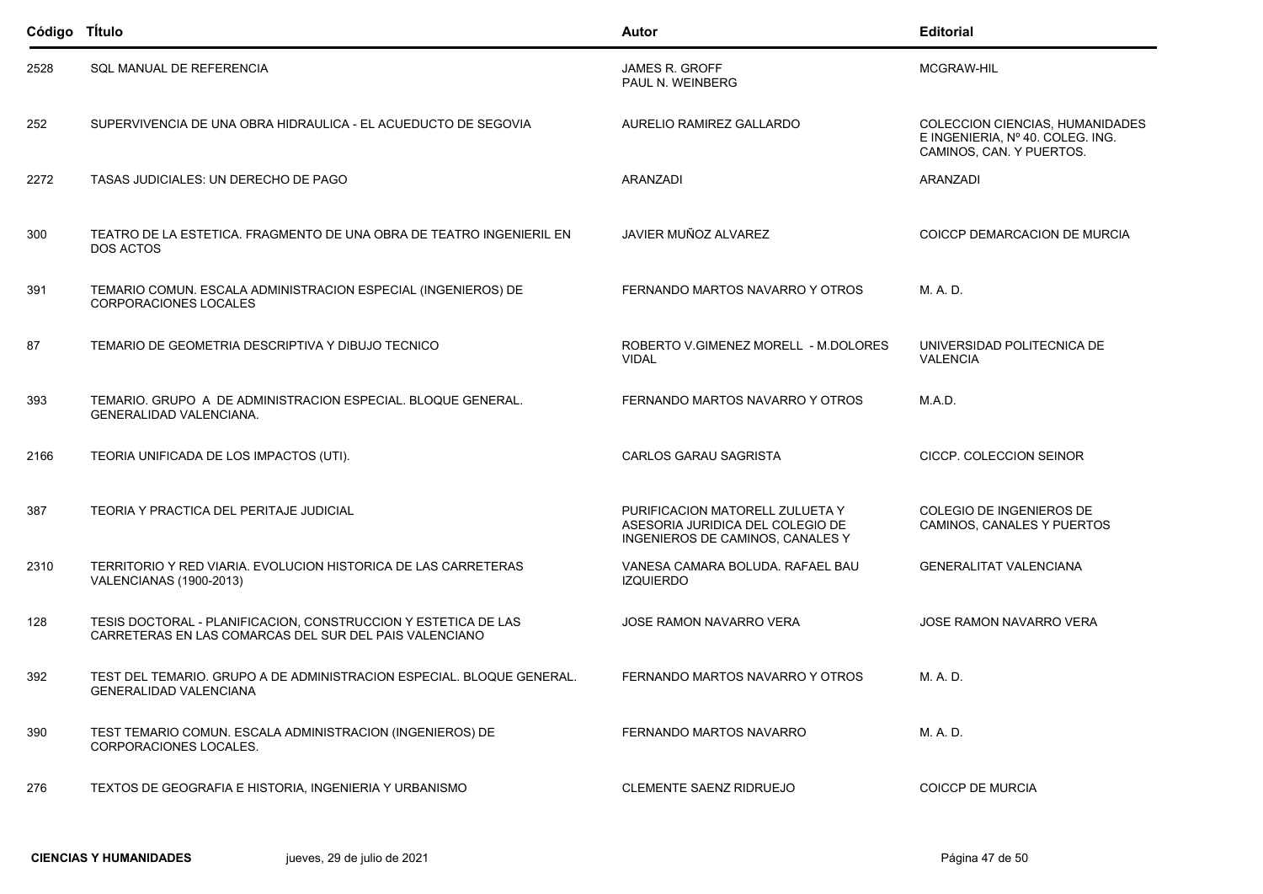| Código TÍtulo |                                                                                                                          | <b>Autor</b>                                                                                            | <b>Editorial</b>                                                                                |
|---------------|--------------------------------------------------------------------------------------------------------------------------|---------------------------------------------------------------------------------------------------------|-------------------------------------------------------------------------------------------------|
| 2528          | SQL MANUAL DE REFERENCIA                                                                                                 | <b>JAMES R. GROFF</b><br>PAUL N. WEINBERG                                                               | MCGRAW-HIL                                                                                      |
| 252           | SUPERVIVENCIA DE UNA OBRA HIDRAULICA - EL ACUEDUCTO DE SEGOVIA                                                           | AURELIO RAMIREZ GALLARDO                                                                                | COLECCION CIENCIAS, HUMANIDADES<br>E INGENIERIA, Nº 40. COLEG. ING.<br>CAMINOS, CAN. Y PUERTOS. |
| 2272          | TASAS JUDICIALES: UN DERECHO DE PAGO                                                                                     | <b>ARANZADI</b>                                                                                         | ARANZADI                                                                                        |
| 300           | TEATRO DE LA ESTETICA. FRAGMENTO DE UNA OBRA DE TEATRO INGENIERIL EN<br><b>DOS ACTOS</b>                                 | JAVIER MUÑOZ ALVAREZ                                                                                    | COICCP DEMARCACION DE MURCIA                                                                    |
| 391           | TEMARIO COMUN. ESCALA ADMINISTRACION ESPECIAL (INGENIEROS) DE<br><b>CORPORACIONES LOCALES</b>                            | FERNANDO MARTOS NAVARRO Y OTROS                                                                         | M. A. D.                                                                                        |
| 87            | TEMARIO DE GEOMETRIA DESCRIPTIVA Y DIBUJO TECNICO                                                                        | ROBERTO V.GIMENEZ MORELL - M.DOLORES<br><b>VIDAL</b>                                                    | UNIVERSIDAD POLITECNICA DE<br><b>VALENCIA</b>                                                   |
| 393           | TEMARIO. GRUPO A DE ADMINISTRACION ESPECIAL. BLOQUE GENERAL.<br>GENERALIDAD VALENCIANA.                                  | FERNANDO MARTOS NAVARRO Y OTROS                                                                         | MAD.                                                                                            |
| 2166          | TEORIA UNIFICADA DE LOS IMPACTOS (UTI).                                                                                  | CARLOS GARAU SAGRISTA                                                                                   | CICCP. COLECCION SEINOR                                                                         |
| 387           | TEORIA Y PRACTICA DEL PERITAJE JUDICIAL                                                                                  | PURIFICACION MATORELL ZULUETA Y<br>ASESORIA JURIDICA DEL COLEGIO DE<br>INGENIEROS DE CAMINOS, CANALES Y | COLEGIO DE INGENIEROS DE<br>CAMINOS, CANALES Y PUERTOS                                          |
| 2310          | TERRITORIO Y RED VIARIA. EVOLUCION HISTORICA DE LAS CARRETERAS<br><b>VALENCIANAS (1900-2013)</b>                         | VANESA CAMARA BOLUDA. RAFAEL BAU<br><b>IZQUIERDO</b>                                                    | <b>GENERALITAT VALENCIANA</b>                                                                   |
| 128           | TESIS DOCTORAL - PLANIFICACION, CONSTRUCCION Y ESTETICA DE LAS<br>CARRETERAS EN LAS COMARCAS DEL SUR DEL PAIS VALENCIANO | <b>JOSE RAMON NAVARRO VERA</b>                                                                          | <b>JOSE RAMON NAVARRO VERA</b>                                                                  |
| 392           | TEST DEL TEMARIO. GRUPO A DE ADMINISTRACION ESPECIAL. BLOQUE GENERAL.<br>GENERALIDAD VALENCIANA                          | FERNANDO MARTOS NAVARRO Y OTROS                                                                         | M. A. D.                                                                                        |
| 390           | TEST TEMARIO COMUN. ESCALA ADMINISTRACION (INGENIEROS) DE<br>CORPORACIONES LOCALES.                                      | FERNANDO MARTOS NAVARRO                                                                                 | M. A. D.                                                                                        |
| 276           | TEXTOS DE GEOGRAFIA E HISTORIA, INGENIERIA Y URBANISMO                                                                   | <b>CLEMENTE SAENZ RIDRUEJO</b>                                                                          | <b>COICCP DE MURCIA</b>                                                                         |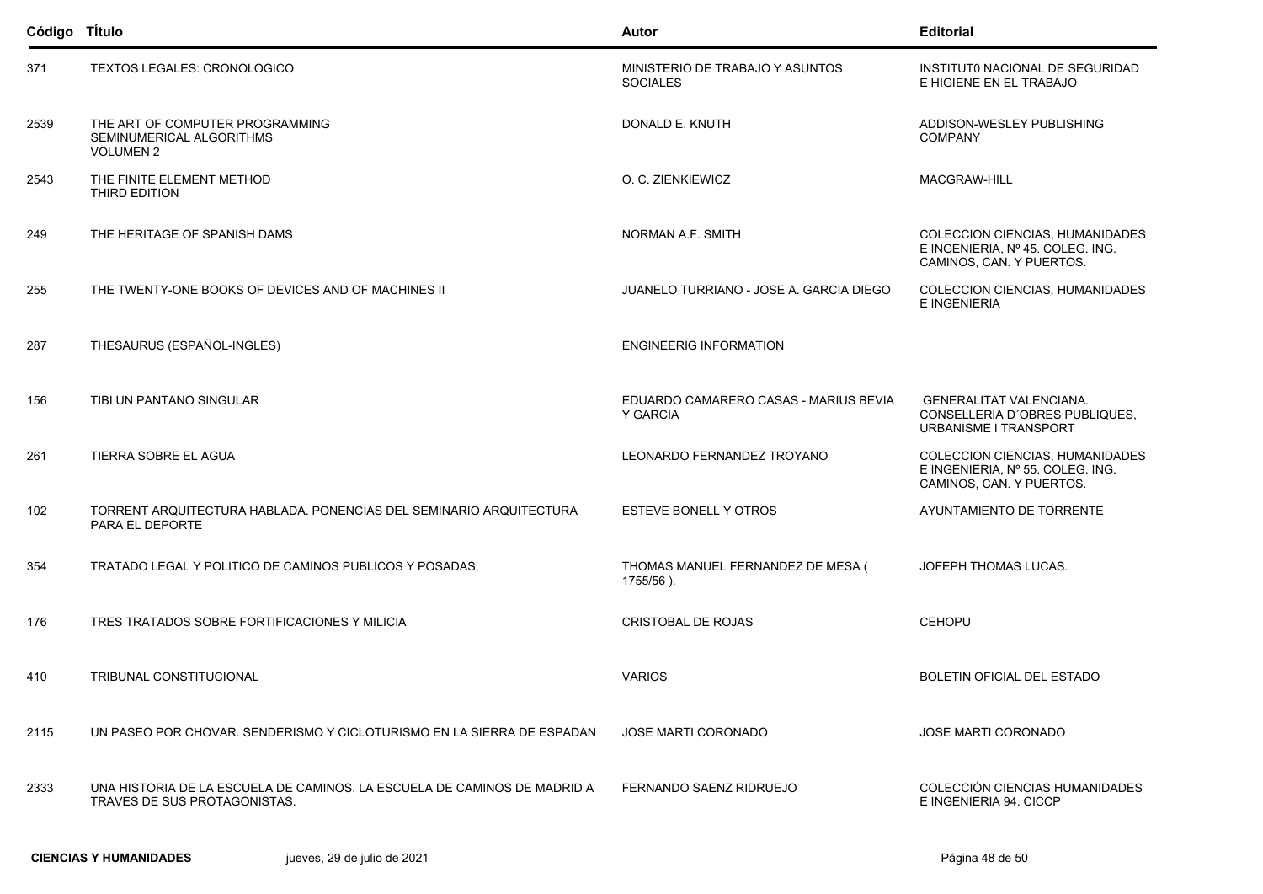| Código TÍtulo |                                                                                                          | <b>Autor</b>                                       | <b>Editorial</b>                                                                                |
|---------------|----------------------------------------------------------------------------------------------------------|----------------------------------------------------|-------------------------------------------------------------------------------------------------|
| 371           | TEXTOS LEGALES: CRONOLOGICO                                                                              | MINISTERIO DE TRABAJO Y ASUNTOS<br><b>SOCIALES</b> | INSTITUTO NACIONAL DE SEGURIDAD<br>E HIGIENE EN EL TRABAJO                                      |
| 2539          | THE ART OF COMPUTER PROGRAMMING<br>SEMINUMERICAL ALGORITHMS<br><b>VOLUMEN 2</b>                          | DONALD E. KNUTH                                    | ADDISON-WESLEY PUBLISHING<br><b>COMPANY</b>                                                     |
| 2543          | THE FINITE ELEMENT METHOD<br>THIRD EDITION                                                               | O. C. ZIENKIEWICZ                                  | MACGRAW-HILL                                                                                    |
| 249           | THE HERITAGE OF SPANISH DAMS                                                                             | NORMAN A.F. SMITH                                  | COLECCION CIENCIAS, HUMANIDADES<br>E INGENIERIA, Nº 45. COLEG. ING.<br>CAMINOS, CAN. Y PUERTOS. |
| 255           | THE TWENTY-ONE BOOKS OF DEVICES AND OF MACHINES II                                                       | JUANELO TURRIANO - JOSE A. GARCIA DIEGO            | COLECCION CIENCIAS, HUMANIDADES<br>E INGENIERIA                                                 |
| 287           | THESAURUS (ESPAÑOL-INGLES)                                                                               | <b>ENGINEERIG INFORMATION</b>                      |                                                                                                 |
| 156           | TIBI UN PANTANO SINGULAR                                                                                 | EDUARDO CAMARERO CASAS - MARIUS BEVIA<br>Y GARCIA  | <b>GENERALITAT VALENCIANA.</b><br>CONSELLERIA D'OBRES PUBLIQUES,<br>URBANISME I TRANSPORT       |
| 261           | TIERRA SOBRE EL AGUA                                                                                     | LEONARDO FERNANDEZ TROYANO                         | COLECCION CIENCIAS, HUMANIDADES<br>E INGENIERIA, Nº 55. COLEG. ING.<br>CAMINOS, CAN. Y PUERTOS. |
| 102           | TORRENT ARQUITECTURA HABLADA. PONENCIAS DEL SEMINARIO ARQUITECTURA<br>PARA EL DEPORTE                    | ESTEVE BONELL Y OTROS                              | AYUNTAMIENTO DE TORRENTE                                                                        |
| 354           | TRATADO LEGAL Y POLITICO DE CAMINOS PUBLICOS Y POSADAS.                                                  | THOMAS MANUEL FERNANDEZ DE MESA (<br>1755/56).     | JOFEPH THOMAS LUCAS.                                                                            |
| 176           | TRES TRATADOS SOBRE FORTIFICACIONES Y MILICIA                                                            | CRISTOBAL DE ROJAS                                 | <b>CEHOPU</b>                                                                                   |
| 410           | TRIBUNAL CONSTITUCIONAL                                                                                  | <b>VARIOS</b>                                      | BOLETIN OFICIAL DEL ESTADO                                                                      |
| 2115          | UN PASEO POR CHOVAR. SENDERISMO Y CICLOTURISMO EN LA SIERRA DE ESPADAN                                   | <b>JOSE MARTI CORONADO</b>                         | <b>JOSE MARTI CORONADO</b>                                                                      |
| 2333          | UNA HISTORIA DE LA ESCUELA DE CAMINOS. LA ESCUELA DE CAMINOS DE MADRID A<br>TRAVES DE SUS PROTAGONISTAS. | FERNANDO SAENZ RIDRUEJO                            | COLECCIÓN CIENCIAS HUMANIDADES<br>E INGENIERIA 94. CICCP                                        |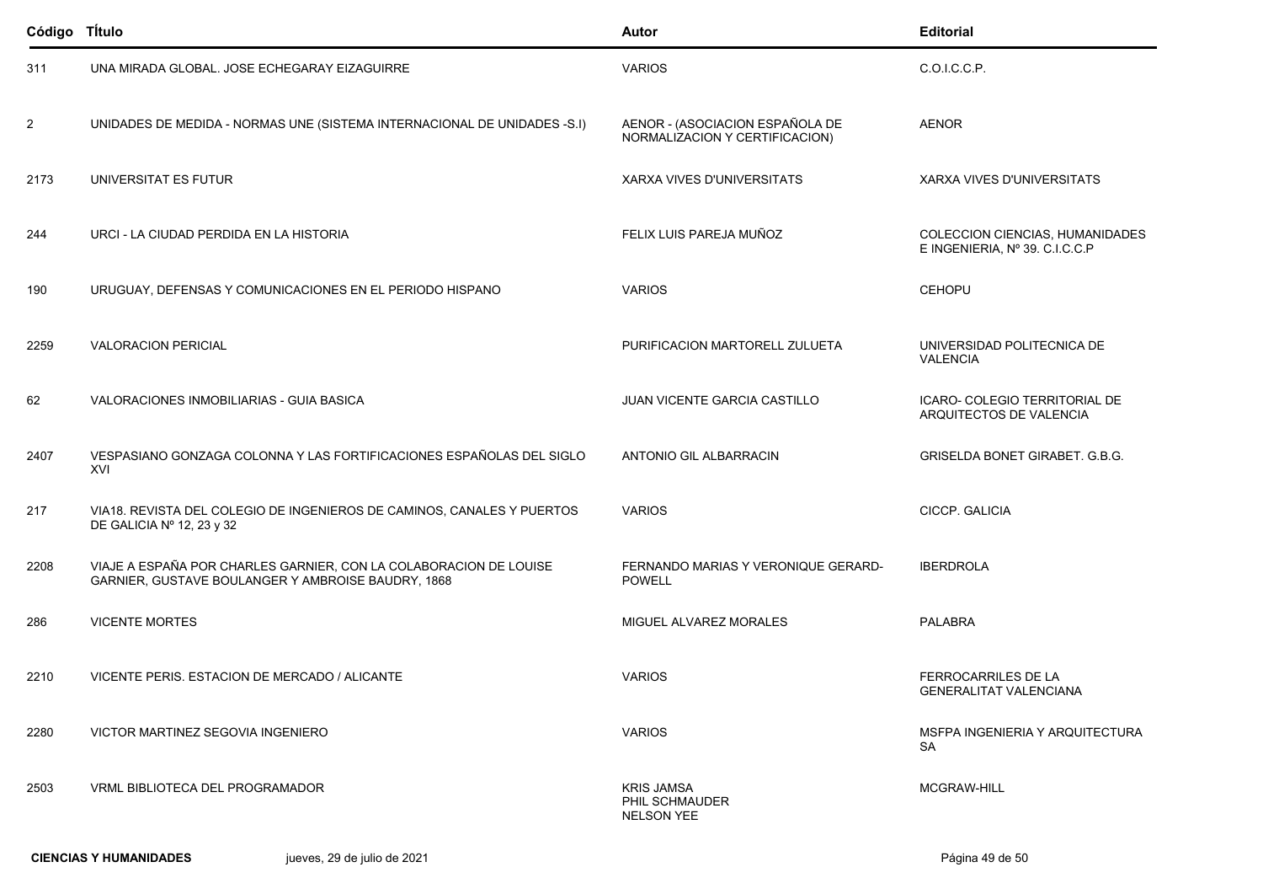| Código Título  |                                                                                                                         | Autor                                                             | <b>Editorial</b>                                                  |
|----------------|-------------------------------------------------------------------------------------------------------------------------|-------------------------------------------------------------------|-------------------------------------------------------------------|
| 311            | UNA MIRADA GLOBAL. JOSE ECHEGARAY EIZAGUIRRE                                                                            | <b>VARIOS</b>                                                     | C.O.I.C.C.P.                                                      |
| $\overline{2}$ | UNIDADES DE MEDIDA - NORMAS UNE (SISTEMA INTERNACIONAL DE UNIDADES -S.I)                                                | AENOR - (ASOCIACION ESPAÑOLA DE<br>NORMALIZACION Y CERTIFICACION) | <b>AENOR</b>                                                      |
| 2173           | UNIVERSITAT ES FUTUR                                                                                                    | XARXA VIVES D'UNIVERSITATS                                        | <b>XARXA VIVES D'UNIVERSITATS</b>                                 |
| 244            | URCI - LA CIUDAD PERDIDA EN LA HISTORIA                                                                                 | FELIX LUIS PAREJA MUÑOZ                                           | COLECCION CIENCIAS, HUMANIDADES<br>E INGENIERIA, Nº 39. C.I.C.C.P |
| 190            | URUGUAY, DEFENSAS Y COMUNICACIONES EN EL PERIODO HISPANO                                                                | <b>VARIOS</b>                                                     | <b>CEHOPU</b>                                                     |
| 2259           | <b>VALORACION PERICIAL</b>                                                                                              | PURIFICACION MARTORELL ZULUETA                                    | UNIVERSIDAD POLITECNICA DE<br><b>VALENCIA</b>                     |
| 62             | VALORACIONES INMOBILIARIAS - GUIA BASICA                                                                                | JUAN VICENTE GARCIA CASTILLO                                      | ICARO- COLEGIO TERRITORIAL DE<br>ARQUITECTOS DE VALENCIA          |
| 2407           | VESPASIANO GONZAGA COLONNA Y LAS FORTIFICACIONES ESPAÑOLAS DEL SIGLO<br>XVI                                             | ANTONIO GIL ALBARRACIN                                            | <b>GRISELDA BONET GIRABET. G.B.G.</b>                             |
| 217            | VIA18. REVISTA DEL COLEGIO DE INGENIEROS DE CAMINOS, CANALES Y PUERTOS<br>DE GALICIA Nº 12, 23 y 32                     | <b>VARIOS</b>                                                     | CICCP. GALICIA                                                    |
| 2208           | VIAJE A ESPAÑA POR CHARLES GARNIER, CON LA COLABORACION DE LOUISE<br>GARNIER, GUSTAVE BOULANGER Y AMBROISE BAUDRY, 1868 | FERNANDO MARIAS Y VERONIQUE GERARD-<br><b>POWELL</b>              | <b>IBERDROLA</b>                                                  |
| 286            | <b>VICENTE MORTES</b>                                                                                                   | MIGUEL ALVAREZ MORALES                                            | <b>PALABRA</b>                                                    |
| 2210           | VICENTE PERIS. ESTACION DE MERCADO / ALICANTE                                                                           | <b>VARIOS</b>                                                     | FERROCARRILES DE LA<br><b>GENERALITAT VALENCIANA</b>              |
| 2280           | <b>VICTOR MARTINEZ SEGOVIA INGENIERO</b>                                                                                | <b>VARIOS</b>                                                     | MSFPA INGENIERIA Y ARQUITECTURA<br><b>SA</b>                      |
| 2503           | VRML BIBLIOTECA DEL PROGRAMADOR                                                                                         | <b>KRIS JAMSA</b><br>PHIL SCHMAUDER<br><b>NELSON YEE</b>          | MCGRAW-HILL                                                       |